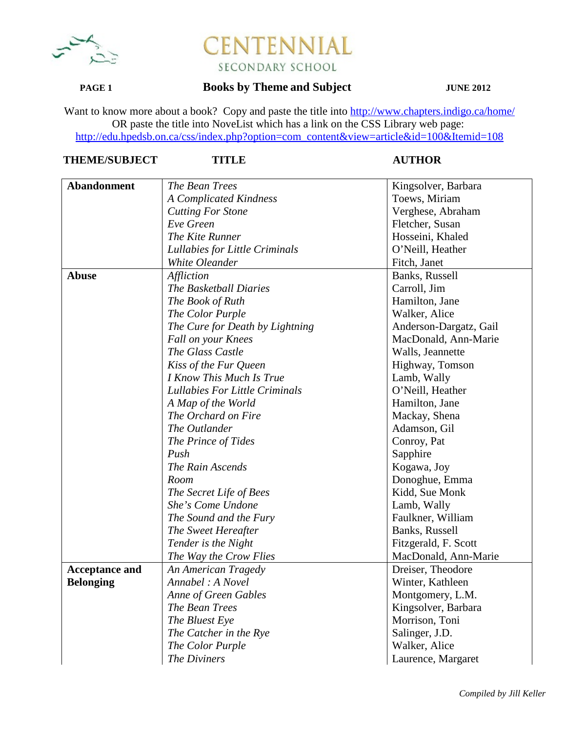

# **ITENNIAL** FI SECONDARY SCHOOL

### **PAGE 1 Books by Theme and Subject JUNE 2012**

Want to know more about a book? Copy and paste the title into http://www.chapters.indigo.ca/home/ OR paste the title into NoveList which has a link on the CSS Library web page: http://edu.hpedsb.on.ca/css/index.php?option=com\_content&view=article&id=100&Itemid=108

| <b>Abandonment</b>    | The Bean Trees                  | Kingsolver, Barbara    |
|-----------------------|---------------------------------|------------------------|
|                       | <b>A Complicated Kindness</b>   | Toews, Miriam          |
|                       | <b>Cutting For Stone</b>        | Verghese, Abraham      |
|                       | Eve Green                       | Fletcher, Susan        |
|                       | The Kite Runner                 | Hosseini, Khaled       |
|                       | Lullabies for Little Criminals  | O'Neill, Heather       |
|                       | White Oleander                  | Fitch, Janet           |
| <b>Abuse</b>          | Affliction                      | Banks, Russell         |
|                       | The Basketball Diaries          | Carroll, Jim           |
|                       | The Book of Ruth                | Hamilton, Jane         |
|                       | The Color Purple                | Walker, Alice          |
|                       | The Cure for Death by Lightning | Anderson-Dargatz, Gail |
|                       | Fall on your Knees              | MacDonald, Ann-Marie   |
|                       | The Glass Castle                | Walls, Jeannette       |
|                       | Kiss of the Fur Queen           | Highway, Tomson        |
|                       | I Know This Much Is True        | Lamb, Wally            |
|                       | Lullabies For Little Criminals  | O'Neill, Heather       |
|                       | A Map of the World              | Hamilton, Jane         |
|                       | The Orchard on Fire             | Mackay, Shena          |
|                       | The Outlander                   | Adamson, Gil           |
|                       | The Prince of Tides             | Conroy, Pat            |
|                       | Push                            | Sapphire               |
|                       | The Rain Ascends                | Kogawa, Joy            |
|                       | Room                            | Donoghue, Emma         |
|                       | The Secret Life of Bees         | Kidd, Sue Monk         |
|                       | She's Come Undone               | Lamb, Wally            |
|                       | The Sound and the Fury          | Faulkner, William      |
|                       | The Sweet Hereafter             | Banks, Russell         |
|                       | Tender is the Night             | Fitzgerald, F. Scott   |
|                       | The Way the Crow Flies          | MacDonald, Ann-Marie   |
| <b>Acceptance and</b> | An American Tragedy             | Dreiser, Theodore      |
| <b>Belonging</b>      | Annabel: A Novel                | Winter, Kathleen       |
|                       | Anne of Green Gables            | Montgomery, L.M.       |
|                       | The Bean Trees                  | Kingsolver, Barbara    |
|                       | The Bluest Eye                  | Morrison, Toni         |
|                       | The Catcher in the Rye          | Salinger, J.D.         |
|                       | The Color Purple                | Walker, Alice          |
|                       | The Diviners                    | Laurence, Margaret     |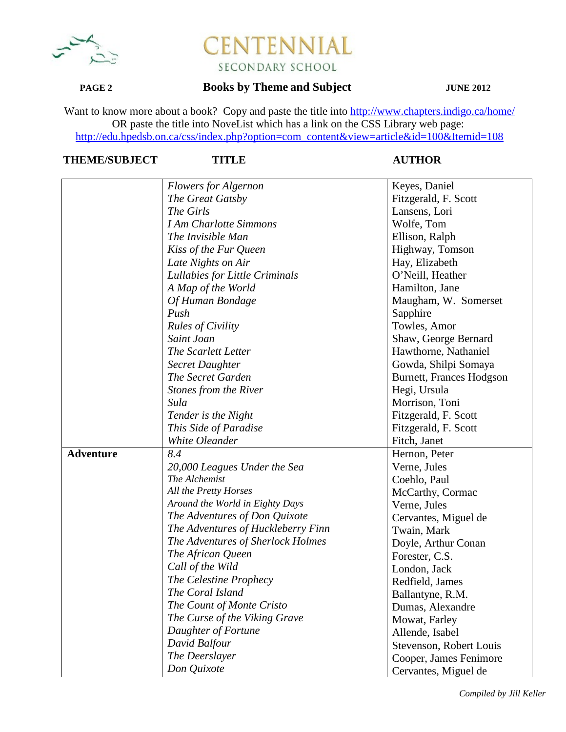

## **PAGE 2 Books by Theme and Subject JUNE 2012**

Want to know more about a book? Copy and paste the title into http://www.chapters.indigo.ca/home/ OR paste the title into NoveList which has a link on the CSS Library web page: http://edu.hpedsb.on.ca/css/index.php?option=com\_content&view=article&id=100&Itemid=108

|                  | <b>Flowers for Algernon</b>        | Keyes, Daniel                   |
|------------------|------------------------------------|---------------------------------|
|                  | The Great Gatsby                   | Fitzgerald, F. Scott            |
|                  | The Girls                          | Lansens, Lori                   |
|                  | <b>I Am Charlotte Simmons</b>      | Wolfe, Tom                      |
|                  | The Invisible Man                  | Ellison, Ralph                  |
|                  | Kiss of the Fur Queen              | Highway, Tomson                 |
|                  | Late Nights on Air                 | Hay, Elizabeth                  |
|                  | Lullabies for Little Criminals     | O'Neill, Heather                |
|                  | A Map of the World                 | Hamilton, Jane                  |
|                  | Of Human Bondage                   | Maugham, W. Somerset            |
|                  | Push                               | Sapphire                        |
|                  | <b>Rules of Civility</b>           | Towles, Amor                    |
|                  | Saint Joan                         | Shaw, George Bernard            |
|                  | The Scarlett Letter                | Hawthorne, Nathaniel            |
|                  | <b>Secret Daughter</b>             | Gowda, Shilpi Somaya            |
|                  | The Secret Garden                  | <b>Burnett, Frances Hodgson</b> |
|                  | <b>Stones from the River</b>       | Hegi, Ursula                    |
|                  | Sula                               | Morrison, Toni                  |
|                  | Tender is the Night                | Fitzgerald, F. Scott            |
|                  | This Side of Paradise              | Fitzgerald, F. Scott            |
|                  | White Oleander                     | Fitch, Janet                    |
| <b>Adventure</b> | 8.4                                | Hernon, Peter                   |
|                  | 20,000 Leagues Under the Sea       | Verne, Jules                    |
|                  | The Alchemist                      | Coehlo, Paul                    |
|                  | All the Pretty Horses              | McCarthy, Cormac                |
|                  | Around the World in Eighty Days    | Verne, Jules                    |
|                  | The Adventures of Don Quixote      | Cervantes, Miguel de            |
|                  | The Adventures of Huckleberry Finn | Twain, Mark                     |
|                  | The Adventures of Sherlock Holmes  | Doyle, Arthur Conan             |
|                  | The African Queen                  | Forester, C.S.                  |
|                  | Call of the Wild                   | London, Jack                    |
|                  | The Celestine Prophecy             | Redfield, James                 |
|                  | The Coral Island                   | Ballantyne, R.M.                |
|                  | The Count of Monte Cristo          | Dumas, Alexandre                |
|                  | The Curse of the Viking Grave      | Mowat, Farley                   |
|                  | Daughter of Fortune                | Allende, Isabel                 |
|                  | David Balfour                      | Stevenson, Robert Louis         |
|                  | The Deerslayer                     | Cooper, James Fenimore          |
|                  | Don Quixote                        | Cervantes, Miguel de            |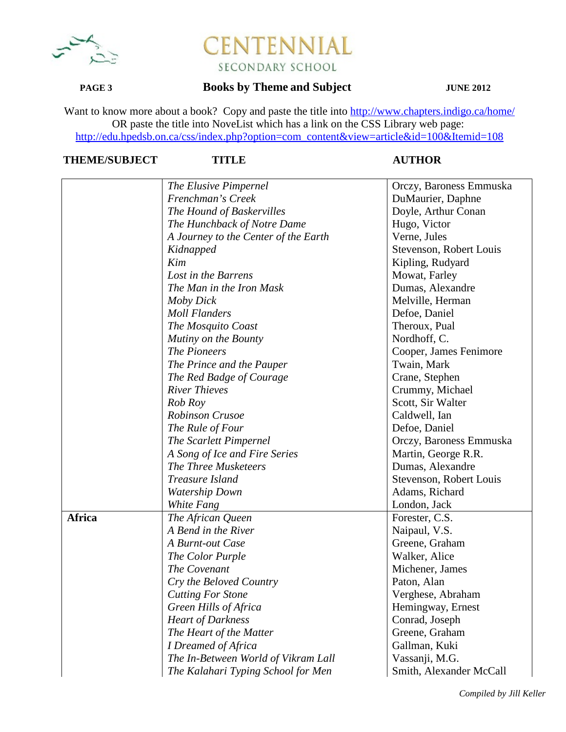

## **PAGE 3 Books by Theme and Subject JUNE 2012**

Want to know more about a book? Copy and paste the title into http://www.chapters.indigo.ca/home/ OR paste the title into NoveList which has a link on the CSS Library web page: http://edu.hpedsb.on.ca/css/index.php?option=com\_content&view=article&id=100&Itemid=108

|               | The Elusive Pimpernel                            | Orczy, Baroness Emmuska              |
|---------------|--------------------------------------------------|--------------------------------------|
|               | Frenchman's Creek                                | DuMaurier, Daphne                    |
|               | The Hound of Baskervilles                        | Doyle, Arthur Conan                  |
|               | The Hunchback of Notre Dame                      | Hugo, Victor                         |
|               | A Journey to the Center of the Earth             | Verne, Jules                         |
|               | Kidnapped                                        | Stevenson, Robert Louis              |
|               | Kim                                              | Kipling, Rudyard                     |
|               | Lost in the Barrens                              | Mowat, Farley                        |
|               | The Man in the Iron Mask                         | Dumas, Alexandre                     |
|               | Moby Dick                                        | Melville, Herman                     |
|               | <b>Moll Flanders</b>                             | Defoe, Daniel                        |
|               | The Mosquito Coast                               | Theroux, Pual                        |
|               | Mutiny on the Bounty                             | Nordhoff, C.                         |
|               | The Pioneers                                     | Cooper, James Fenimore               |
|               | The Prince and the Pauper                        | Twain, Mark                          |
|               |                                                  |                                      |
|               | The Red Badge of Courage<br><b>River Thieves</b> | Crane, Stephen                       |
|               | Rob Roy                                          | Crummy, Michael<br>Scott, Sir Walter |
|               | <b>Robinson Crusoe</b>                           |                                      |
|               |                                                  | Caldwell, Ian                        |
|               | The Rule of Four                                 | Defoe, Daniel                        |
|               | The Scarlett Pimpernel                           | Orczy, Baroness Emmuska              |
|               | A Song of Ice and Fire Series                    | Martin, George R.R.                  |
|               | The Three Musketeers                             | Dumas, Alexandre                     |
|               | Treasure Island                                  | Stevenson, Robert Louis              |
|               | <b>Watership Down</b>                            | Adams, Richard                       |
|               | White Fang                                       | London, Jack                         |
| <b>Africa</b> | The African Queen                                | Forester, C.S.                       |
|               | A Bend in the River                              | Naipaul, V.S.                        |
|               | A Burnt-out Case                                 | Greene, Graham                       |
|               | The Color Purple                                 | Walker, Alice                        |
|               | The Covenant                                     | Michener, James                      |
|               | Cry the Beloved Country                          | Paton, Alan                          |
|               | <b>Cutting For Stone</b>                         | Verghese, Abraham                    |
|               | Green Hills of Africa                            | Hemingway, Ernest                    |
|               | <b>Heart of Darkness</b>                         | Conrad, Joseph                       |
|               | The Heart of the Matter                          | Greene, Graham                       |
|               | I Dreamed of Africa                              | Gallman, Kuki                        |
|               | The In-Between World of Vikram Lall              | Vassanji, M.G.                       |
|               | The Kalahari Typing School for Men               | Smith, Alexander McCall              |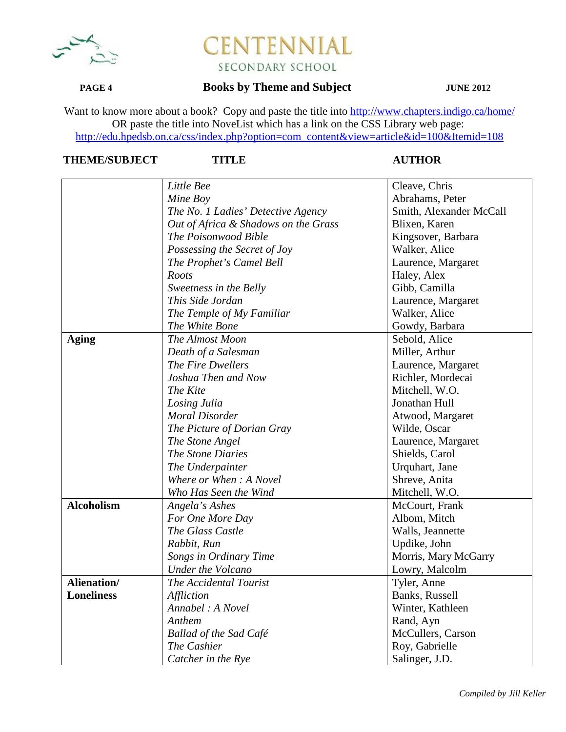

## **PAGE 4 Books by Theme and Subject JUNE 2012**

Want to know more about a book? Copy and paste the title into http://www.chapters.indigo.ca/home/ OR paste the title into NoveList which has a link on the CSS Library web page: http://edu.hpedsb.on.ca/css/index.php?option=com\_content&view=article&id=100&Itemid=108

|                    | Little Bee                           | Cleave, Chris           |
|--------------------|--------------------------------------|-------------------------|
|                    | Mine Boy                             | Abrahams, Peter         |
|                    | The No. 1 Ladies' Detective Agency   | Smith, Alexander McCall |
|                    | Out of Africa & Shadows on the Grass | Blixen, Karen           |
|                    | The Poisonwood Bible                 | Kingsover, Barbara      |
|                    | Possessing the Secret of Joy         | Walker, Alice           |
|                    | The Prophet's Camel Bell             | Laurence, Margaret      |
|                    | Roots                                | Haley, Alex             |
|                    | Sweetness in the Belly               | Gibb, Camilla           |
|                    | This Side Jordan                     | Laurence, Margaret      |
|                    | The Temple of My Familiar            | Walker, Alice           |
|                    | The White Bone                       | Gowdy, Barbara          |
| <b>Aging</b>       | The Almost Moon                      | Sebold, Alice           |
|                    | Death of a Salesman                  | Miller, Arthur          |
|                    | The Fire Dwellers                    | Laurence, Margaret      |
|                    | Joshua Then and Now                  | Richler, Mordecai       |
|                    | The Kite                             | Mitchell, W.O.          |
|                    | Losing Julia                         | Jonathan Hull           |
|                    | <b>Moral Disorder</b>                | Atwood, Margaret        |
|                    | The Picture of Dorian Gray           | Wilde, Oscar            |
|                    | The Stone Angel                      | Laurence, Margaret      |
|                    | The Stone Diaries                    | Shields, Carol          |
|                    | The Underpainter                     | Urquhart, Jane          |
|                    | Where or When: A Novel               | Shreve, Anita           |
|                    | Who Has Seen the Wind                | Mitchell, W.O.          |
| <b>Alcoholism</b>  | Angela's Ashes                       | McCourt, Frank          |
|                    | For One More Day                     | Albom, Mitch            |
|                    | The Glass Castle                     | Walls, Jeannette        |
|                    | Rabbit, Run                          | Updike, John            |
|                    | Songs in Ordinary Time               | Morris, Mary McGarry    |
|                    | <b>Under the Volcano</b>             | Lowry, Malcolm          |
| <b>Alienation/</b> | The Accidental Tourist               | Tyler, Anne             |
| <b>Loneliness</b>  | Affliction                           | Banks, Russell          |
|                    | Annabel: A Novel                     | Winter, Kathleen        |
|                    | Anthem                               | Rand, Ayn               |
|                    | <b>Ballad of the Sad Café</b>        | McCullers, Carson       |
|                    | The Cashier                          | Roy, Gabrielle          |
|                    | Catcher in the Rye                   | Salinger, J.D.          |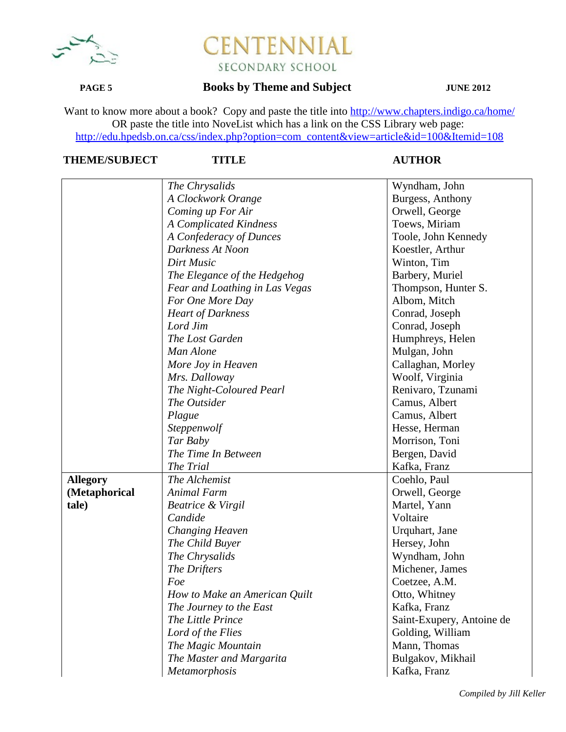

## **PAGE 5 Books by Theme and Subject JUNE 2012**

Want to know more about a book? Copy and paste the title into http://www.chapters.indigo.ca/home/ OR paste the title into NoveList which has a link on the CSS Library web page: http://edu.hpedsb.on.ca/css/index.php?option=com\_content&view=article&id=100&Itemid=108

|                 | The Chrysalids                 | Wyndham, John             |
|-----------------|--------------------------------|---------------------------|
|                 | A Clockwork Orange             | Burgess, Anthony          |
|                 | Coming up For Air              | Orwell, George            |
|                 | A Complicated Kindness         | Toews, Miriam             |
|                 | A Confederacy of Dunces        | Toole, John Kennedy       |
|                 | Darkness At Noon               | Koestler, Arthur          |
|                 | Dirt Music                     | Winton, Tim               |
|                 | The Elegance of the Hedgehog   | Barbery, Muriel           |
|                 | Fear and Loathing in Las Vegas | Thompson, Hunter S.       |
|                 | For One More Day               | Albom, Mitch              |
|                 | <b>Heart of Darkness</b>       | Conrad, Joseph            |
|                 | Lord Jim                       | Conrad, Joseph            |
|                 | The Lost Garden                | Humphreys, Helen          |
|                 | Man Alone                      | Mulgan, John              |
|                 | More Joy in Heaven             | Callaghan, Morley         |
|                 | Mrs. Dalloway                  | Woolf, Virginia           |
|                 | The Night-Coloured Pearl       | Renivaro, Tzunami         |
|                 | The Outsider                   | Camus, Albert             |
|                 | Plague                         | Camus, Albert             |
|                 | Steppenwolf                    | Hesse, Herman             |
|                 | Tar Baby                       | Morrison, Toni            |
|                 | The Time In Between            | Bergen, David             |
|                 | The Trial                      | Kafka, Franz              |
| <b>Allegory</b> | The Alchemist                  | Coehlo, Paul              |
| (Metaphorical   | Animal Farm                    | Orwell, George            |
| tale)           | Beatrice & Virgil              | Martel, Yann              |
|                 | Candide                        | Voltaire                  |
|                 | <b>Changing Heaven</b>         | Urquhart, Jane            |
|                 | The Child Buyer                | Hersey, John              |
|                 | The Chrysalids                 | Wyndham, John             |
|                 | The Drifters                   | Michener, James           |
|                 | Foe                            | Coetzee, A.M.             |
|                 | How to Make an American Quilt  | Otto, Whitney             |
|                 | The Journey to the East        | Kafka, Franz              |
|                 | The Little Prince              | Saint-Exupery, Antoine de |
|                 | Lord of the Flies              | Golding, William          |
|                 | The Magic Mountain             | Mann, Thomas              |
|                 | The Master and Margarita       | Bulgakov, Mikhail         |
|                 | Metamorphosis                  | Kafka, Franz              |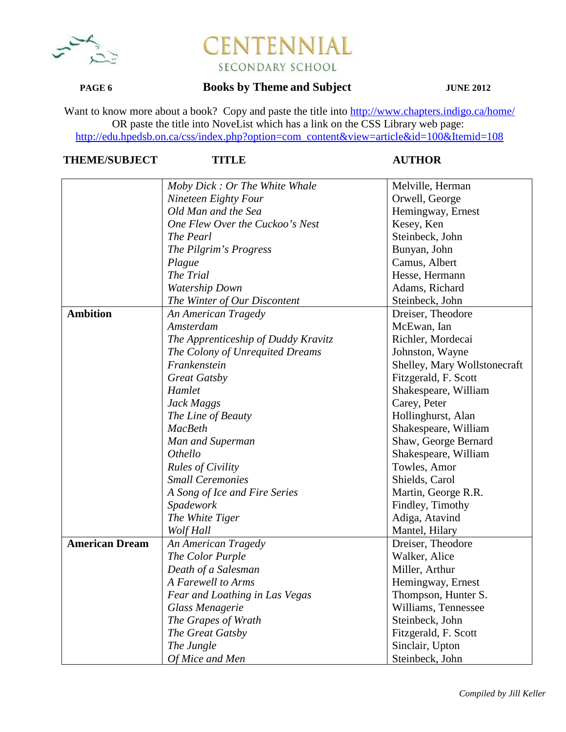

## **PAGE 6 Books by Theme and Subject JUNE 2012**

Want to know more about a book? Copy and paste the title into http://www.chapters.indigo.ca/home/ OR paste the title into NoveList which has a link on the CSS Library web page: http://edu.hpedsb.on.ca/css/index.php?option=com\_content&view=article&id=100&Itemid=108

|                       | Moby Dick: Or The White Whale       | Melville, Herman             |
|-----------------------|-------------------------------------|------------------------------|
|                       | Nineteen Eighty Four                | Orwell, George               |
|                       | Old Man and the Sea                 | Hemingway, Ernest            |
|                       | One Flew Over the Cuckoo's Nest     | Kesey, Ken                   |
|                       | The Pearl                           | Steinbeck, John              |
|                       | The Pilgrim's Progress              | Bunyan, John                 |
|                       | Plague                              | Camus, Albert                |
|                       | The Trial                           | Hesse, Hermann               |
|                       | Watership Down                      | Adams, Richard               |
|                       | The Winter of Our Discontent        | Steinbeck, John              |
| <b>Ambition</b>       | An American Tragedy                 | Dreiser, Theodore            |
|                       | Amsterdam                           | McEwan, Ian                  |
|                       | The Apprenticeship of Duddy Kravitz | Richler, Mordecai            |
|                       | The Colony of Unrequited Dreams     | Johnston, Wayne              |
|                       | Frankenstein                        | Shelley, Mary Wollstonecraft |
|                       | <b>Great Gatsby</b>                 | Fitzgerald, F. Scott         |
|                       | Hamlet                              | Shakespeare, William         |
|                       | Jack Maggs                          | Carey, Peter                 |
|                       | The Line of Beauty                  | Hollinghurst, Alan           |
|                       | <b>MacBeth</b>                      | Shakespeare, William         |
|                       | Man and Superman                    | Shaw, George Bernard         |
|                       | Othello                             | Shakespeare, William         |
|                       | <b>Rules of Civility</b>            | Towles, Amor                 |
|                       | <b>Small Ceremonies</b>             | Shields, Carol               |
|                       | A Song of Ice and Fire Series       | Martin, George R.R.          |
|                       | Spadework                           | Findley, Timothy             |
|                       | The White Tiger                     | Adiga, Atavind               |
|                       | Wolf Hall                           | Mantel, Hilary               |
| <b>American Dream</b> | An American Tragedy                 | Dreiser, Theodore            |
|                       | The Color Purple                    | Walker, Alice                |
|                       | Death of a Salesman                 | Miller, Arthur               |
|                       | A Farewell to Arms                  | Hemingway, Ernest            |
|                       | Fear and Loathing in Las Vegas      | Thompson, Hunter S.          |
|                       | Glass Menagerie                     | Williams, Tennessee          |
|                       | The Grapes of Wrath                 | Steinbeck, John              |
|                       | The Great Gatsby                    | Fitzgerald, F. Scott         |
|                       | The Jungle                          | Sinclair, Upton              |
|                       | Of Mice and Men                     | Steinbeck, John              |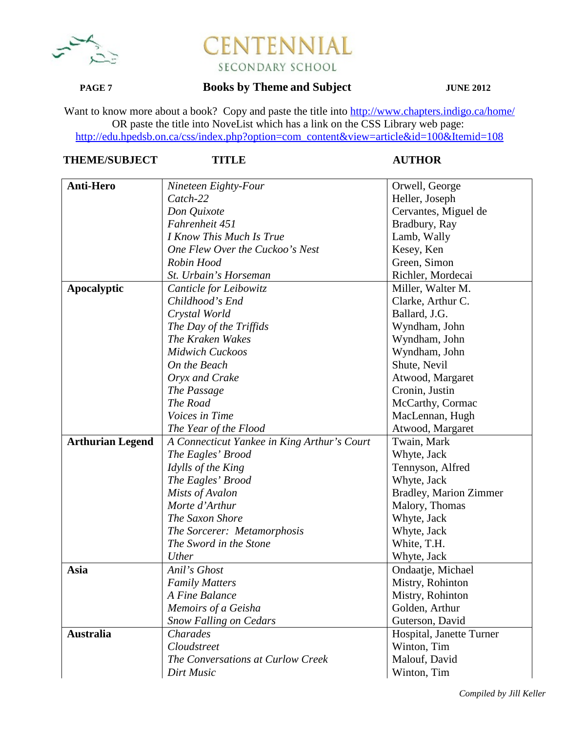

### **PAGE 7 Books by Theme and Subject JUNE 2012**

Want to know more about a book? Copy and paste the title into http://www.chapters.indigo.ca/home/ OR paste the title into NoveList which has a link on the CSS Library web page: http://edu.hpedsb.on.ca/css/index.php?option=com\_content&view=article&id=100&Itemid=108

## **THEME/SUBJECT TITLE AUTHOR**

| <b>Anti-Hero</b>        | Nineteen Eighty-Four                        | Orwell, George                |
|-------------------------|---------------------------------------------|-------------------------------|
|                         | Catch-22                                    | Heller, Joseph                |
|                         | Don Quixote                                 | Cervantes, Miguel de          |
|                         | Fahrenheit 451                              | Bradbury, Ray                 |
|                         | I Know This Much Is True                    | Lamb, Wally                   |
|                         | One Flew Over the Cuckoo's Nest             | Kesey, Ken                    |
|                         | Robin Hood                                  | Green, Simon                  |
|                         | St. Urbain's Horseman                       | Richler, Mordecai             |
| <b>Apocalyptic</b>      | Canticle for Leibowitz                      | Miller, Walter M.             |
|                         | Childhood's End                             | Clarke, Arthur C.             |
|                         | Crystal World                               | Ballard, J.G.                 |
|                         | The Day of the Triffids                     | Wyndham, John                 |
|                         | The Kraken Wakes                            | Wyndham, John                 |
|                         | <b>Midwich Cuckoos</b>                      | Wyndham, John                 |
|                         | On the Beach                                | Shute, Nevil                  |
|                         | Oryx and Crake                              | Atwood, Margaret              |
|                         | The Passage                                 | Cronin, Justin                |
|                         | The Road                                    | McCarthy, Cormac              |
|                         | Voices in Time                              | MacLennan, Hugh               |
|                         | The Year of the Flood                       | Atwood, Margaret              |
| <b>Arthurian Legend</b> | A Connecticut Yankee in King Arthur's Court | Twain, Mark                   |
|                         | The Eagles' Brood                           | Whyte, Jack                   |
|                         | Idylls of the King                          | Tennyson, Alfred              |
|                         | The Eagles' Brood                           | Whyte, Jack                   |
|                         | Mists of Avalon                             | <b>Bradley, Marion Zimmer</b> |
|                         | Morte d'Arthur                              | Malory, Thomas                |
|                         | The Saxon Shore                             | Whyte, Jack                   |
|                         | The Sorcerer: Metamorphosis                 | Whyte, Jack                   |
|                         | The Sword in the Stone                      | White, T.H.                   |
|                         | Uther                                       | Whyte, Jack                   |
| Asia                    | Anil's Ghost                                | Ondaatje, Michael             |
|                         | <b>Family Matters</b>                       | Mistry, Rohinton              |
|                         | A Fine Balance                              | Mistry, Rohinton              |
|                         | Memoirs of a Geisha                         | Golden, Arthur                |
|                         | <b>Snow Falling on Cedars</b>               | Guterson, David               |
| <b>Australia</b>        | Charades                                    | Hospital, Janette Turner      |
|                         | Cloudstreet                                 | Winton, Tim                   |
|                         | The Conversations at Curlow Creek           | Malouf, David                 |
|                         | Dirt Music                                  | Winton, Tim                   |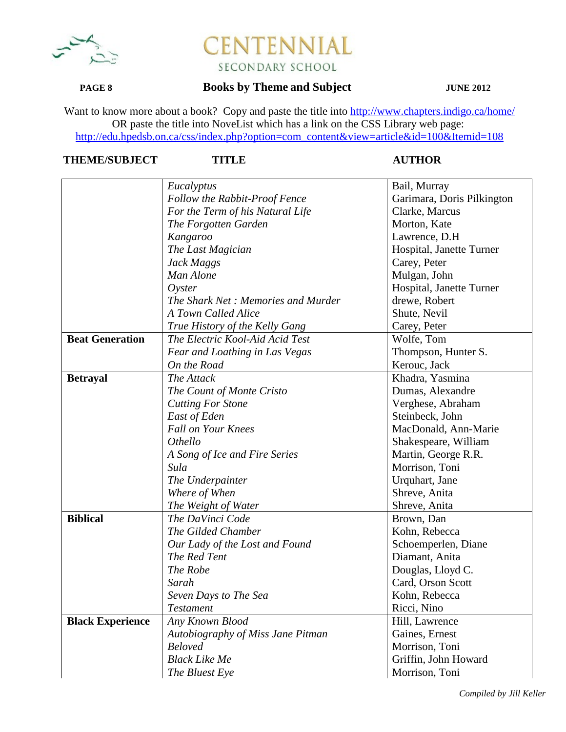

## **PAGE 8 Books by Theme and Subject JUNE 2012**

Want to know more about a book? Copy and paste the title into http://www.chapters.indigo.ca/home/ OR paste the title into NoveList which has a link on the CSS Library web page: http://edu.hpedsb.on.ca/css/index.php?option=com\_content&view=article&id=100&Itemid=108

|                         | Eucalyptus                         | Bail, Murray               |
|-------------------------|------------------------------------|----------------------------|
|                         | Follow the Rabbit-Proof Fence      | Garimara, Doris Pilkington |
|                         | For the Term of his Natural Life   | Clarke, Marcus             |
|                         | The Forgotten Garden               | Morton, Kate               |
|                         | Kangaroo                           | Lawrence, D.H              |
|                         | The Last Magician                  | Hospital, Janette Turner   |
|                         | Jack Maggs                         | Carey, Peter               |
|                         | Man Alone                          | Mulgan, John               |
|                         | Oyster                             | Hospital, Janette Turner   |
|                         | The Shark Net: Memories and Murder | drewe, Robert              |
|                         | A Town Called Alice                | Shute, Nevil               |
|                         | True History of the Kelly Gang     | Carey, Peter               |
| <b>Beat Generation</b>  | The Electric Kool-Aid Acid Test    | Wolfe, Tom                 |
|                         | Fear and Loathing in Las Vegas     | Thompson, Hunter S.        |
|                         | On the Road                        | Kerouc, Jack               |
| <b>Betrayal</b>         | The Attack                         | Khadra, Yasmina            |
|                         | The Count of Monte Cristo          | Dumas, Alexandre           |
|                         | <b>Cutting For Stone</b>           | Verghese, Abraham          |
|                         | East of Eden                       | Steinbeck, John            |
|                         | <b>Fall on Your Knees</b>          | MacDonald, Ann-Marie       |
|                         | Othello                            | Shakespeare, William       |
|                         | A Song of Ice and Fire Series      | Martin, George R.R.        |
|                         | Sula                               | Morrison, Toni             |
|                         | The Underpainter                   | Urquhart, Jane             |
|                         | Where of When                      | Shreve, Anita              |
|                         | The Weight of Water                | Shreve, Anita              |
| <b>Biblical</b>         | The DaVinci Code                   | Brown, Dan                 |
|                         | The Gilded Chamber                 | Kohn, Rebecca              |
|                         | Our Lady of the Lost and Found     | Schoemperlen, Diane        |
|                         | The Red Tent                       | Diamant, Anita             |
|                         | The Robe                           | Douglas, Lloyd C.          |
|                         | Sarah                              | Card, Orson Scott          |
|                         | Seven Days to The Sea              | Kohn, Rebecca              |
|                         | <b>Testament</b>                   | Ricci, Nino                |
| <b>Black Experience</b> | Any Known Blood                    | Hill, Lawrence             |
|                         | Autobiography of Miss Jane Pitman  | Gaines, Ernest             |
|                         | <b>Beloved</b>                     | Morrison, Toni             |
|                         | <b>Black Like Me</b>               | Griffin, John Howard       |
|                         | The Bluest Eye                     | Morrison, Toni             |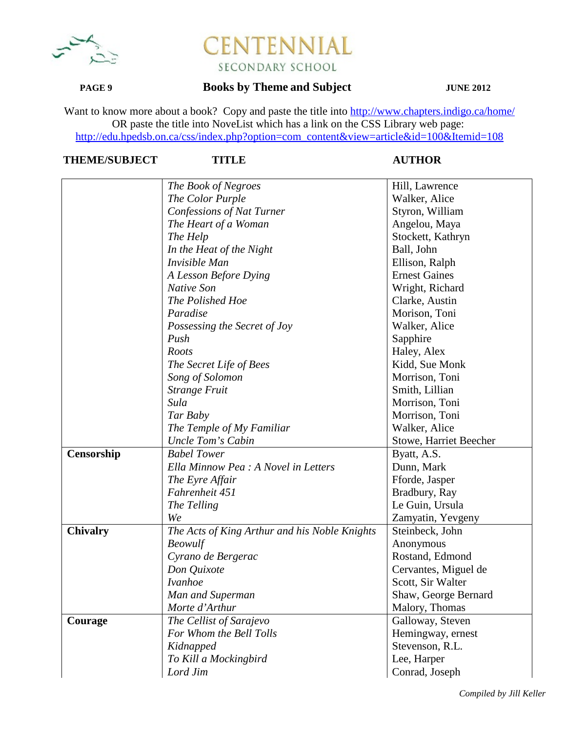

## **PAGE 9 Books by Theme and Subject JUNE 2012**

Want to know more about a book? Copy and paste the title into http://www.chapters.indigo.ca/home/ OR paste the title into NoveList which has a link on the CSS Library web page: http://edu.hpedsb.on.ca/css/index.php?option=com\_content&view=article&id=100&Itemid=108

# **THEME/SUBJECT TITLE AUTHOR**

|                 | The Book of Negroes                           | Hill, Lawrence         |
|-----------------|-----------------------------------------------|------------------------|
|                 | The Color Purple                              | Walker, Alice          |
|                 | Confessions of Nat Turner                     | Styron, William        |
|                 | The Heart of a Woman                          | Angelou, Maya          |
|                 | The Help                                      | Stockett, Kathryn      |
|                 | In the Heat of the Night                      | Ball, John             |
|                 | Invisible Man                                 | Ellison, Ralph         |
|                 | A Lesson Before Dying                         | <b>Ernest Gaines</b>   |
|                 | <b>Native Son</b>                             | Wright, Richard        |
|                 | The Polished Hoe                              | Clarke, Austin         |
|                 | Paradise                                      | Morison, Toni          |
|                 |                                               | Walker, Alice          |
|                 | Possessing the Secret of Joy<br>Push          |                        |
|                 | Roots                                         | Sapphire               |
|                 |                                               | Haley, Alex            |
|                 | The Secret Life of Bees                       | Kidd, Sue Monk         |
|                 | Song of Solomon                               | Morrison, Toni         |
|                 | <b>Strange Fruit</b>                          | Smith, Lillian         |
|                 | Sula                                          | Morrison, Toni         |
|                 | Tar Baby                                      | Morrison, Toni         |
|                 | The Temple of My Familiar                     | Walker, Alice          |
|                 | Uncle Tom's Cabin                             | Stowe, Harriet Beecher |
| Censorship      | <b>Babel Tower</b>                            | Byatt, A.S.            |
|                 | Ella Minnow Pea : A Novel in Letters          | Dunn, Mark             |
|                 | The Eyre Affair                               | Fforde, Jasper         |
|                 | Fahrenheit 451                                | Bradbury, Ray          |
|                 | The Telling                                   | Le Guin, Ursula        |
|                 | We                                            | Zamyatin, Yevgeny      |
| <b>Chivalry</b> | The Acts of King Arthur and his Noble Knights | Steinbeck, John        |
|                 | Beowulf                                       | Anonymous              |
|                 | Cyrano de Bergerac                            | Rostand, Edmond        |
|                 | Don Quixote                                   | Cervantes, Miguel de   |
|                 | <i>Ivanhoe</i>                                | Scott, Sir Walter      |
|                 | Man and Superman                              | Shaw, George Bernard   |
|                 | Morte d'Arthur                                | Malory, Thomas         |
| Courage         | The Cellist of Sarajevo                       | Galloway, Steven       |
|                 | For Whom the Bell Tolls                       | Hemingway, ernest      |
|                 | Kidnapped                                     | Stevenson, R.L.        |
|                 | To Kill a Mockingbird                         | Lee, Harper            |
|                 | Lord Jim                                      | Conrad, Joseph         |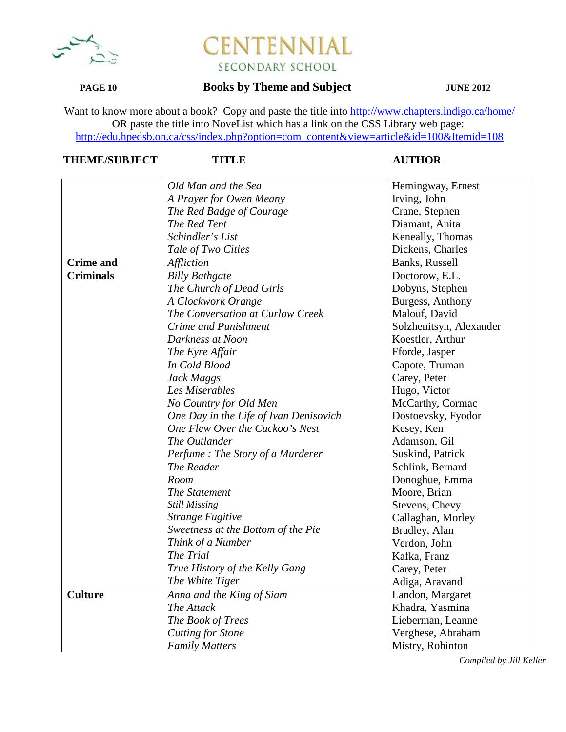

## **PAGE 10 Books by Theme and Subject JUNE 2012**

Want to know more about a book? Copy and paste the title into http://www.chapters.indigo.ca/home/ OR paste the title into NoveList which has a link on the CSS Library web page: http://edu.hpedsb.on.ca/css/index.php?option=com\_content&view=article&id=100&Itemid=108

## **THEME/SUBJECT TITLE AUTHOR**

|                  | Old Man and the Sea                    | Hemingway, Ernest       |
|------------------|----------------------------------------|-------------------------|
|                  | A Prayer for Owen Meany                | Irving, John            |
|                  | The Red Badge of Courage               | Crane, Stephen          |
|                  | The Red Tent                           | Diamant, Anita          |
|                  | Schindler's List                       | Keneally, Thomas        |
|                  | Tale of Two Cities                     | Dickens, Charles        |
| <b>Crime</b> and | Affliction                             | Banks, Russell          |
| <b>Criminals</b> | <b>Billy Bathgate</b>                  | Doctorow, E.L.          |
|                  | The Church of Dead Girls               | Dobyns, Stephen         |
|                  | A Clockwork Orange                     | Burgess, Anthony        |
|                  | The Conversation at Curlow Creek       | Malouf, David           |
|                  | Crime and Punishment                   | Solzhenitsyn, Alexander |
|                  | Darkness at Noon                       | Koestler, Arthur        |
|                  | The Eyre Affair                        | Fforde, Jasper          |
|                  | In Cold Blood                          | Capote, Truman          |
|                  | Jack Maggs                             | Carey, Peter            |
|                  | Les Miserables                         | Hugo, Victor            |
|                  | No Country for Old Men                 | McCarthy, Cormac        |
|                  | One Day in the Life of Ivan Denisovich | Dostoevsky, Fyodor      |
|                  | One Flew Over the Cuckoo's Nest        | Kesey, Ken              |
|                  | The Outlander                          | Adamson, Gil            |
|                  | Perfume: The Story of a Murderer       | Suskind, Patrick        |
|                  | The Reader                             | Schlink, Bernard        |
|                  | Room                                   | Donoghue, Emma          |
|                  | The Statement                          | Moore, Brian            |
|                  | <b>Still Missing</b>                   | Stevens, Chevy          |
|                  | <b>Strange Fugitive</b>                | Callaghan, Morley       |
|                  | Sweetness at the Bottom of the Pie     | Bradley, Alan           |
|                  | Think of a Number                      | Verdon, John            |
|                  | The Trial                              | Kafka, Franz            |
|                  | True History of the Kelly Gang         | Carey, Peter            |
|                  | The White Tiger                        | Adiga, Aravand          |
| <b>Culture</b>   | Anna and the King of Siam              | Landon, Margaret        |
|                  | The Attack                             | Khadra, Yasmina         |
|                  | The Book of Trees                      | Lieberman, Leanne       |
|                  | <b>Cutting for Stone</b>               | Verghese, Abraham       |
|                  | <b>Family Matters</b>                  | Mistry, Rohinton        |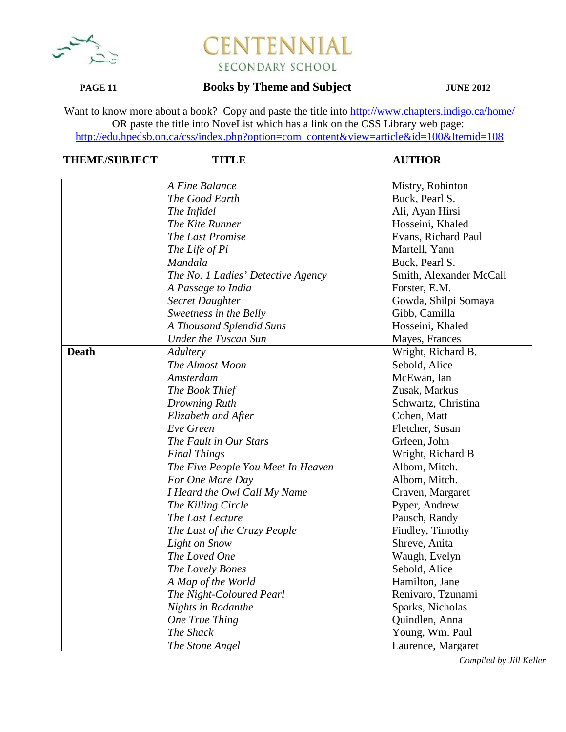

## **PAGE 11 Books by Theme and Subject JUNE 2012**

Want to know more about a book? Copy and paste the title into http://www.chapters.indigo.ca/home/ OR paste the title into NoveList which has a link on the CSS Library web page: http://edu.hpedsb.on.ca/css/index.php?option=com\_content&view=article&id=100&Itemid=108

# **THEME/SUBJECT TITLE AUTHOR**

|              | A Fine Balance                     | Mistry, Rohinton        |
|--------------|------------------------------------|-------------------------|
|              | The Good Earth                     | Buck, Pearl S.          |
|              | The Infidel                        | Ali, Ayan Hirsi         |
|              | The Kite Runner                    | Hosseini, Khaled        |
|              | The Last Promise                   | Evans, Richard Paul     |
|              | The Life of Pi                     | Martell, Yann           |
|              | Mandala                            | Buck, Pearl S.          |
|              | The No. 1 Ladies' Detective Agency | Smith, Alexander McCall |
|              | A Passage to India                 | Forster, E.M.           |
|              | <b>Secret Daughter</b>             | Gowda, Shilpi Somaya    |
|              | Sweetness in the Belly             | Gibb, Camilla           |
|              | A Thousand Splendid Suns           | Hosseini, Khaled        |
|              | <b>Under the Tuscan Sun</b>        | Mayes, Frances          |
| <b>Death</b> | Adultery                           | Wright, Richard B.      |
|              | The Almost Moon                    | Sebold, Alice           |
|              | Amsterdam                          | McEwan, Ian             |
|              | The Book Thief                     | Zusak, Markus           |
|              | Drowning Ruth                      | Schwartz, Christina     |
|              | Elizabeth and After                | Cohen, Matt             |
|              | Eve Green                          | Fletcher, Susan         |
|              | The Fault in Our Stars             | Grfeen, John            |
|              | <b>Final Things</b>                | Wright, Richard B       |
|              | The Five People You Meet In Heaven | Albom, Mitch.           |
|              | For One More Day                   | Albom, Mitch.           |
|              | I Heard the Owl Call My Name       | Craven, Margaret        |
|              | The Killing Circle                 | Pyper, Andrew           |
|              | The Last Lecture                   | Pausch, Randy           |
|              | The Last of the Crazy People       | Findley, Timothy        |
|              | Light on Snow                      | Shreve, Anita           |
|              | The Loved One                      | Waugh, Evelyn           |
|              | The Lovely Bones                   | Sebold, Alice           |
|              | A Map of the World                 | Hamilton, Jane          |
|              | The Night-Coloured Pearl           | Renivaro, Tzunami       |
|              | <b>Nights in Rodanthe</b>          | Sparks, Nicholas        |
|              | One True Thing                     | Quindlen, Anna          |
|              | The Shack                          | Young, Wm. Paul         |
|              | The Stone Angel                    | Laurence, Margaret      |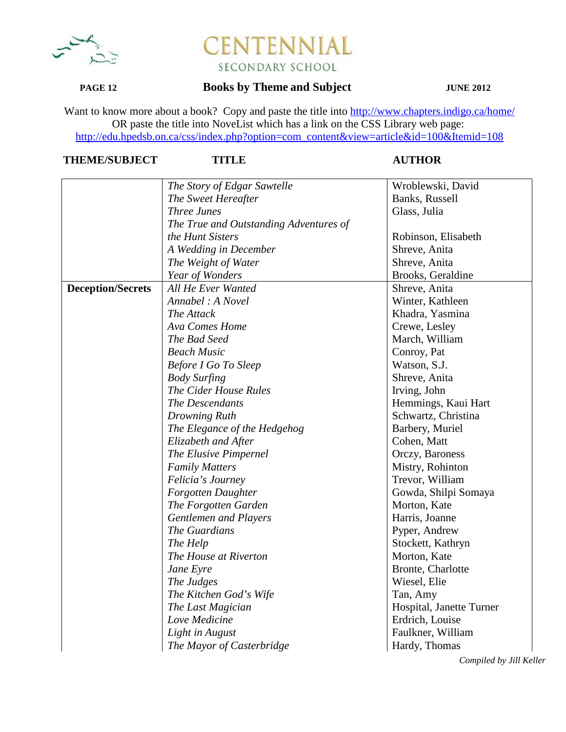

## **PAGE 12 Books by Theme and Subject JUNE 2012**

Want to know more about a book? Copy and paste the title into http://www.chapters.indigo.ca/home/ OR paste the title into NoveList which has a link on the CSS Library web page: http://edu.hpedsb.on.ca/css/index.php?option=com\_content&view=article&id=100&Itemid=108

## **THEME/SUBJECT TITLE AUTHOR**

|                          | The Story of Edgar Sawtelle            | Wroblewski, David        |
|--------------------------|----------------------------------------|--------------------------|
|                          | The Sweet Hereafter                    | Banks, Russell           |
|                          | <b>Three Junes</b>                     | Glass, Julia             |
|                          | The True and Outstanding Adventures of |                          |
|                          | the Hunt Sisters                       | Robinson, Elisabeth      |
|                          | A Wedding in December                  | Shreve, Anita            |
|                          | The Weight of Water                    | Shreve, Anita            |
|                          | Year of Wonders                        | Brooks, Geraldine        |
| <b>Deception/Secrets</b> | All He Ever Wanted                     | Shreve, Anita            |
|                          | Annabel : A Novel                      | Winter, Kathleen         |
|                          | The Attack                             | Khadra, Yasmina          |
|                          | Ava Comes Home                         | Crewe, Lesley            |
|                          | The Bad Seed                           | March, William           |
|                          | <b>Beach Music</b>                     | Conroy, Pat              |
|                          | <b>Before I Go To Sleep</b>            | Watson, S.J.             |
|                          | <b>Body Surfing</b>                    | Shreve, Anita            |
|                          | The Cider House Rules                  | Irving, John             |
|                          | The Descendants                        | Hemmings, Kaui Hart      |
|                          | Drowning Ruth                          | Schwartz, Christina      |
|                          | The Elegance of the Hedgehog           | Barbery, Muriel          |
|                          | Elizabeth and After                    | Cohen, Matt              |
|                          | The Elusive Pimpernel                  | Orczy, Baroness          |
|                          | <b>Family Matters</b>                  | Mistry, Rohinton         |
|                          | Felicia's Journey                      | Trevor, William          |
|                          | Forgotten Daughter                     | Gowda, Shilpi Somaya     |
|                          | The Forgotten Garden                   | Morton, Kate             |
|                          | <b>Gentlemen and Players</b>           | Harris, Joanne           |
|                          | The Guardians                          | Pyper, Andrew            |
|                          | The Help                               | Stockett, Kathryn        |
|                          | The House at Riverton                  | Morton, Kate             |
|                          | Jane Eyre                              | Bronte, Charlotte        |
|                          | The Judges                             | Wiesel, Elie             |
|                          | The Kitchen God's Wife                 | Tan, Amy                 |
|                          | The Last Magician                      | Hospital, Janette Turner |
|                          | Love Medicine                          | Erdrich, Louise          |
|                          | Light in August                        | Faulkner, William        |
|                          | The Mayor of Casterbridge              | Hardy, Thomas            |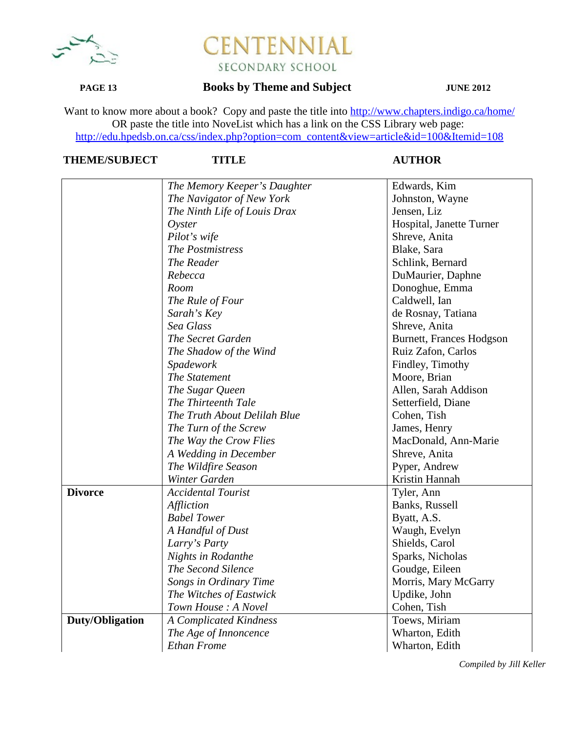

### **PAGE 13 Books by Theme and Subject JUNE 2012**

Want to know more about a book? Copy and paste the title into http://www.chapters.indigo.ca/home/ OR paste the title into NoveList which has a link on the CSS Library web page: http://edu.hpedsb.on.ca/css/index.php?option=com\_content&view=article&id=100&Itemid=108

## **THEME/SUBJECT TITLE AUTHOR**

|                              | Edwards, Kim                                                                                                                                                                                                                                                                                                                                                                      |
|------------------------------|-----------------------------------------------------------------------------------------------------------------------------------------------------------------------------------------------------------------------------------------------------------------------------------------------------------------------------------------------------------------------------------|
|                              | Johnston, Wayne                                                                                                                                                                                                                                                                                                                                                                   |
|                              | Jensen, Liz                                                                                                                                                                                                                                                                                                                                                                       |
|                              | Hospital, Janette Turner                                                                                                                                                                                                                                                                                                                                                          |
|                              | Shreve, Anita                                                                                                                                                                                                                                                                                                                                                                     |
|                              | Blake, Sara                                                                                                                                                                                                                                                                                                                                                                       |
|                              | Schlink, Bernard                                                                                                                                                                                                                                                                                                                                                                  |
|                              | DuMaurier, Daphne                                                                                                                                                                                                                                                                                                                                                                 |
|                              | Donoghue, Emma                                                                                                                                                                                                                                                                                                                                                                    |
| The Rule of Four             | Caldwell, Ian                                                                                                                                                                                                                                                                                                                                                                     |
| Sarah's Key                  | de Rosnay, Tatiana                                                                                                                                                                                                                                                                                                                                                                |
| Sea Glass                    | Shreve, Anita                                                                                                                                                                                                                                                                                                                                                                     |
| The Secret Garden            | <b>Burnett, Frances Hodgson</b>                                                                                                                                                                                                                                                                                                                                                   |
| The Shadow of the Wind       | Ruiz Zafon, Carlos                                                                                                                                                                                                                                                                                                                                                                |
| Spadework                    | Findley, Timothy                                                                                                                                                                                                                                                                                                                                                                  |
| The Statement                | Moore, Brian                                                                                                                                                                                                                                                                                                                                                                      |
| The Sugar Queen              | Allen, Sarah Addison                                                                                                                                                                                                                                                                                                                                                              |
| The Thirteenth Tale          | Setterfield, Diane                                                                                                                                                                                                                                                                                                                                                                |
| The Truth About Delilah Blue | Cohen, Tish                                                                                                                                                                                                                                                                                                                                                                       |
|                              | James, Henry                                                                                                                                                                                                                                                                                                                                                                      |
| The Way the Crow Flies       | MacDonald, Ann-Marie                                                                                                                                                                                                                                                                                                                                                              |
| A Wedding in December        | Shreve, Anita                                                                                                                                                                                                                                                                                                                                                                     |
| The Wildfire Season          | Pyper, Andrew                                                                                                                                                                                                                                                                                                                                                                     |
| Winter Garden                | Kristin Hannah                                                                                                                                                                                                                                                                                                                                                                    |
| <b>Accidental Tourist</b>    | Tyler, Ann                                                                                                                                                                                                                                                                                                                                                                        |
| Affliction                   | Banks, Russell                                                                                                                                                                                                                                                                                                                                                                    |
| <b>Babel Tower</b>           | Byatt, A.S.                                                                                                                                                                                                                                                                                                                                                                       |
| A Handful of Dust            | Waugh, Evelyn                                                                                                                                                                                                                                                                                                                                                                     |
|                              | Shields, Carol                                                                                                                                                                                                                                                                                                                                                                    |
|                              | Sparks, Nicholas                                                                                                                                                                                                                                                                                                                                                                  |
| The Second Silence           | Goudge, Eileen                                                                                                                                                                                                                                                                                                                                                                    |
|                              | Morris, Mary McGarry                                                                                                                                                                                                                                                                                                                                                              |
|                              | Updike, John                                                                                                                                                                                                                                                                                                                                                                      |
|                              | Cohen, Tish                                                                                                                                                                                                                                                                                                                                                                       |
|                              | Toews, Miriam                                                                                                                                                                                                                                                                                                                                                                     |
|                              | Wharton, Edith                                                                                                                                                                                                                                                                                                                                                                    |
| <b>Ethan Frome</b>           | Wharton, Edith                                                                                                                                                                                                                                                                                                                                                                    |
|                              | The Memory Keeper's Daughter<br>The Navigator of New York<br>The Ninth Life of Louis Drax<br>$O$ yster<br>Pilot's wife<br>The Postmistress<br>The Reader<br>Rebecca<br>Room<br>The Turn of the Screw<br>Larry's Party<br>Nights in Rodanthe<br>Songs in Ordinary Time<br>The Witches of Eastwick<br>Town House: A Novel<br><b>A Complicated Kindness</b><br>The Age of Innoncence |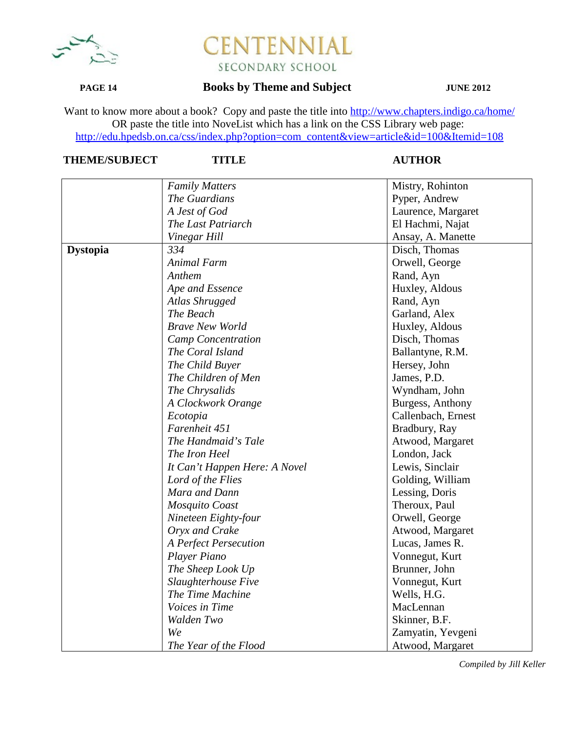

## **PAGE 14 Books by Theme and Subject JUNE 2012**

Want to know more about a book? Copy and paste the title into http://www.chapters.indigo.ca/home/ OR paste the title into NoveList which has a link on the CSS Library web page: http://edu.hpedsb.on.ca/css/index.php?option=com\_content&view=article&id=100&Itemid=108

# **THEME/SUBJECT TITLE AUTHOR**

|                 | <b>Family Matters</b>         | Mistry, Rohinton   |
|-----------------|-------------------------------|--------------------|
|                 | The Guardians                 | Pyper, Andrew      |
|                 | A Jest of God                 | Laurence, Margaret |
|                 | The Last Patriarch            | El Hachmi, Najat   |
|                 | Vinegar Hill                  | Ansay, A. Manette  |
|                 | 334                           | Disch, Thomas      |
| <b>Dystopia</b> |                               |                    |
|                 | Animal Farm                   | Orwell, George     |
|                 | Anthem                        | Rand, Ayn          |
|                 | Ape and Essence               | Huxley, Aldous     |
|                 | Atlas Shrugged                | Rand, Ayn          |
|                 | The Beach                     | Garland, Alex      |
|                 | <b>Brave New World</b>        | Huxley, Aldous     |
|                 | <b>Camp Concentration</b>     | Disch, Thomas      |
|                 | The Coral Island              | Ballantyne, R.M.   |
|                 | The Child Buyer               | Hersey, John       |
|                 | The Children of Men           | James, P.D.        |
|                 | The Chrysalids                | Wyndham, John      |
|                 | A Clockwork Orange            | Burgess, Anthony   |
|                 | Ecotopia                      | Callenbach, Ernest |
|                 | Farenheit 451                 | Bradbury, Ray      |
|                 | The Handmaid's Tale           | Atwood, Margaret   |
|                 | The Iron Heel                 | London, Jack       |
|                 | It Can't Happen Here: A Novel | Lewis, Sinclair    |
|                 | Lord of the Flies             | Golding, William   |
|                 | Mara and Dann                 | Lessing, Doris     |
|                 | Mosquito Coast                | Theroux, Paul      |
|                 | Nineteen Eighty-four          | Orwell, George     |
|                 | Oryx and Crake                | Atwood, Margaret   |
|                 | A Perfect Persecution         | Lucas, James R.    |
|                 | Player Piano                  | Vonnegut, Kurt     |
|                 | The Sheep Look Up             | Brunner, John      |
|                 | Slaughterhouse Five           | Vonnegut, Kurt     |
|                 | The Time Machine              | Wells, H.G.        |
|                 | Voices in Time                | MacLennan          |
|                 | Walden Two                    | Skinner, B.F.      |
|                 | We                            | Zamyatin, Yevgeni  |
|                 | The Year of the Flood         | Atwood, Margaret   |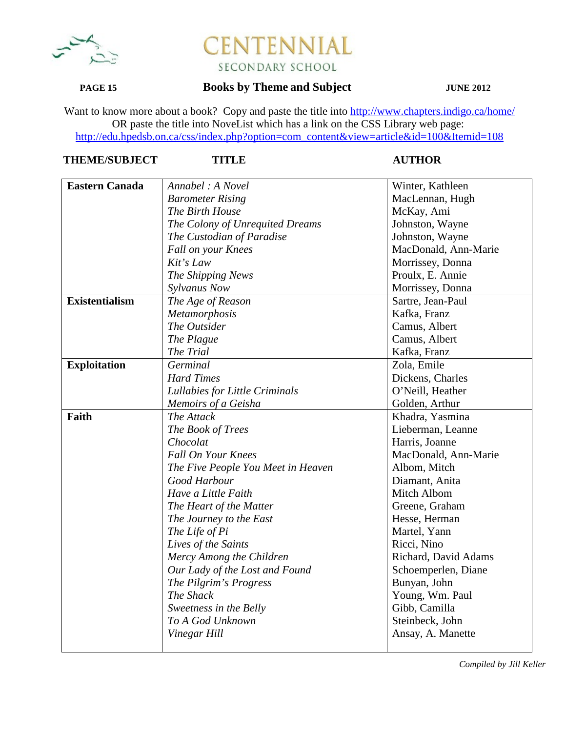

### **PAGE 15 Books by Theme and Subject JUNE 2012**

Want to know more about a book? Copy and paste the title into http://www.chapters.indigo.ca/home/ OR paste the title into NoveList which has a link on the CSS Library web page: http://edu.hpedsb.on.ca/css/index.php?option=com\_content&view=article&id=100&Itemid=108

| <b>THEME/SUBJECT</b> |  |
|----------------------|--|
|                      |  |

### **TITLE AUTHOR**

| <b>Eastern Canada</b> | Annabel: A Novel                   | Winter, Kathleen     |
|-----------------------|------------------------------------|----------------------|
|                       | <b>Barometer Rising</b>            | MacLennan, Hugh      |
|                       | The Birth House                    | McKay, Ami           |
|                       | The Colony of Unrequited Dreams    | Johnston, Wayne      |
|                       | The Custodian of Paradise          | Johnston, Wayne      |
|                       | Fall on your Knees                 | MacDonald, Ann-Marie |
|                       | Kit's Law                          | Morrissey, Donna     |
|                       | The Shipping News                  | Proulx, E. Annie     |
|                       | Sylvanus Now                       | Morrissey, Donna     |
| <b>Existentialism</b> | The Age of Reason                  | Sartre, Jean-Paul    |
|                       | Metamorphosis                      | Kafka, Franz         |
|                       | The Outsider                       | Camus, Albert        |
|                       | The Plague                         | Camus, Albert        |
|                       | The Trial                          | Kafka, Franz         |
| <b>Exploitation</b>   | Germinal                           | Zola, Emile          |
|                       | <b>Hard Times</b>                  | Dickens, Charles     |
|                       | Lullabies for Little Criminals     | O'Neill, Heather     |
|                       | Memoirs of a Geisha                | Golden, Arthur       |
| Faith                 | The Attack                         | Khadra, Yasmina      |
|                       | The Book of Trees                  | Lieberman, Leanne    |
|                       | Chocolat                           | Harris, Joanne       |
|                       | <b>Fall On Your Knees</b>          | MacDonald, Ann-Marie |
|                       | The Five People You Meet in Heaven | Albom, Mitch         |
|                       | Good Harbour                       | Diamant, Anita       |
|                       | Have a Little Faith                | Mitch Albom          |
|                       | The Heart of the Matter            | Greene, Graham       |
|                       | The Journey to the East            | Hesse, Herman        |
|                       | The Life of Pi                     | Martel, Yann         |
|                       | Lives of the Saints                | Ricci, Nino          |
|                       | Mercy Among the Children           | Richard, David Adams |
|                       | Our Lady of the Lost and Found     | Schoemperlen, Diane  |
|                       | The Pilgrim's Progress             | Bunyan, John         |
|                       | The Shack                          | Young, Wm. Paul      |
|                       | Sweetness in the Belly             | Gibb, Camilla        |
|                       | To A God Unknown                   | Steinbeck, John      |
|                       | Vinegar Hill                       | Ansay, A. Manette    |
|                       |                                    |                      |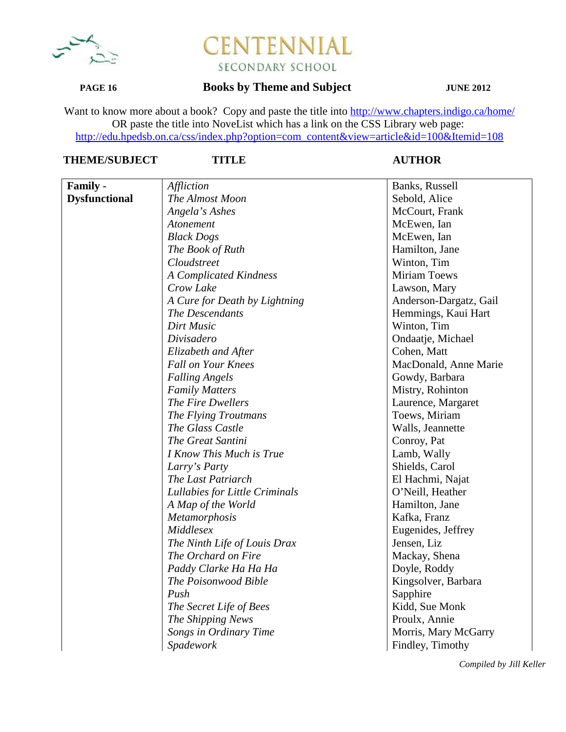

### **PAGE 16 Books by Theme and Subject JUNE 2012**

Want to know more about a book? Copy and paste the title into http://www.chapters.indigo.ca/home/ OR paste the title into NoveList which has a link on the CSS Library web page: http://edu.hpedsb.on.ca/css/index.php?option=com\_content&view=article&id=100&Itemid=108

# **THEME/SUBJECT TITLE AUTHOR**

| <b>Family -</b>      | Affliction                     | Banks, Russell         |
|----------------------|--------------------------------|------------------------|
| <b>Dysfunctional</b> | The Almost Moon                | Sebold, Alice          |
|                      | Angela's Ashes                 | McCourt, Frank         |
|                      | Atonement                      | McEwen, Ian            |
|                      | <b>Black Dogs</b>              | McEwen, Ian            |
|                      | The Book of Ruth               | Hamilton, Jane         |
|                      | Cloudstreet                    | Winton, Tim            |
|                      | A Complicated Kindness         | <b>Miriam Toews</b>    |
|                      | Crow Lake                      | Lawson, Mary           |
|                      | A Cure for Death by Lightning  | Anderson-Dargatz, Gail |
|                      | The Descendants                | Hemmings, Kaui Hart    |
|                      | Dirt Music                     | Winton, Tim            |
|                      | Divisadero                     | Ondaatje, Michael      |
|                      | Elizabeth and After            | Cohen, Matt            |
|                      | <b>Fall on Your Knees</b>      | MacDonald, Anne Marie  |
|                      | <b>Falling Angels</b>          | Gowdy, Barbara         |
|                      | <b>Family Matters</b>          | Mistry, Rohinton       |
|                      | The Fire Dwellers              | Laurence, Margaret     |
|                      | The Flying Troutmans           | Toews, Miriam          |
|                      | The Glass Castle               | Walls, Jeannette       |
|                      | The Great Santini              | Conroy, Pat            |
|                      | I Know This Much is True       | Lamb, Wally            |
|                      | Larry's Party                  | Shields, Carol         |
|                      | The Last Patriarch             | El Hachmi, Najat       |
|                      | Lullabies for Little Criminals | O'Neill, Heather       |
|                      | A Map of the World             | Hamilton, Jane         |
|                      | Metamorphosis                  | Kafka, Franz           |
|                      | Middlesex                      | Eugenides, Jeffrey     |
|                      | The Ninth Life of Louis Drax   | Jensen, Liz            |
|                      | The Orchard on Fire            | Mackay, Shena          |
|                      | Paddy Clarke Ha Ha Ha          | Doyle, Roddy           |
|                      | The Poisonwood Bible           | Kingsolver, Barbara    |
|                      | Push                           | Sapphire               |
|                      | The Secret Life of Bees        | Kidd, Sue Monk         |
|                      | The Shipping News              | Proulx, Annie          |
|                      | Songs in Ordinary Time         | Morris, Mary McGarry   |
|                      | Spadework                      | Findley, Timothy       |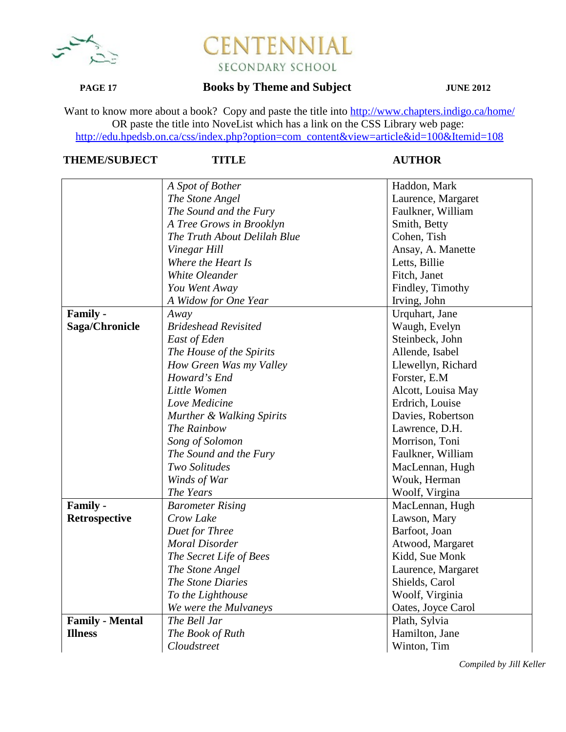

### **PAGE 17 Books by Theme and Subject JUNE 2012**

Want to know more about a book? Copy and paste the title into http://www.chapters.indigo.ca/home/ OR paste the title into NoveList which has a link on the CSS Library web page: http://edu.hpedsb.on.ca/css/index.php?option=com\_content&view=article&id=100&Itemid=108

# **THEME/SUBJECT TITLE AUTHOR**

|                        | A Spot of Bother             | Haddon, Mark       |
|------------------------|------------------------------|--------------------|
|                        | The Stone Angel              | Laurence, Margaret |
|                        | The Sound and the Fury       | Faulkner, William  |
|                        | A Tree Grows in Brooklyn     | Smith, Betty       |
|                        | The Truth About Delilah Blue | Cohen, Tish        |
|                        | Vinegar Hill                 | Ansay, A. Manette  |
|                        | Where the Heart Is           | Letts, Billie      |
|                        | White Oleander               | Fitch, Janet       |
|                        | You Went Away                | Findley, Timothy   |
|                        | A Widow for One Year         | Irving, John       |
| Family -               | Away                         | Urquhart, Jane     |
| Saga/Chronicle         | <b>Brideshead Revisited</b>  | Waugh, Evelyn      |
|                        | East of Eden                 | Steinbeck, John    |
|                        | The House of the Spirits     | Allende, Isabel    |
|                        | How Green Was my Valley      | Llewellyn, Richard |
|                        | Howard's End                 | Forster, E.M.      |
|                        | Little Women                 | Alcott, Louisa May |
|                        | Love Medicine                | Erdrich, Louise    |
|                        | Murther & Walking Spirits    | Davies, Robertson  |
|                        | The Rainbow                  | Lawrence, D.H.     |
|                        | Song of Solomon              | Morrison, Toni     |
|                        | The Sound and the Fury       | Faulkner, William  |
|                        | Two Solitudes                | MacLennan, Hugh    |
|                        | Winds of War                 | Wouk, Herman       |
|                        | The Years                    | Woolf, Virgina     |
| Family -               | <b>Barometer Rising</b>      | MacLennan, Hugh    |
| Retrospective          | Crow Lake                    | Lawson, Mary       |
|                        | Duet for Three               | Barfoot, Joan      |
|                        | <b>Moral Disorder</b>        | Atwood, Margaret   |
|                        | The Secret Life of Bees      | Kidd, Sue Monk     |
|                        | The Stone Angel              | Laurence, Margaret |
|                        | The Stone Diaries            | Shields, Carol     |
|                        | To the Lighthouse            | Woolf, Virginia    |
|                        | We were the Mulvaneys        | Oates, Joyce Carol |
| <b>Family - Mental</b> | The Bell Jar                 | Plath, Sylvia      |
| <b>Illness</b>         | The Book of Ruth             | Hamilton, Jane     |
|                        | Cloudstreet                  | Winton, Tim        |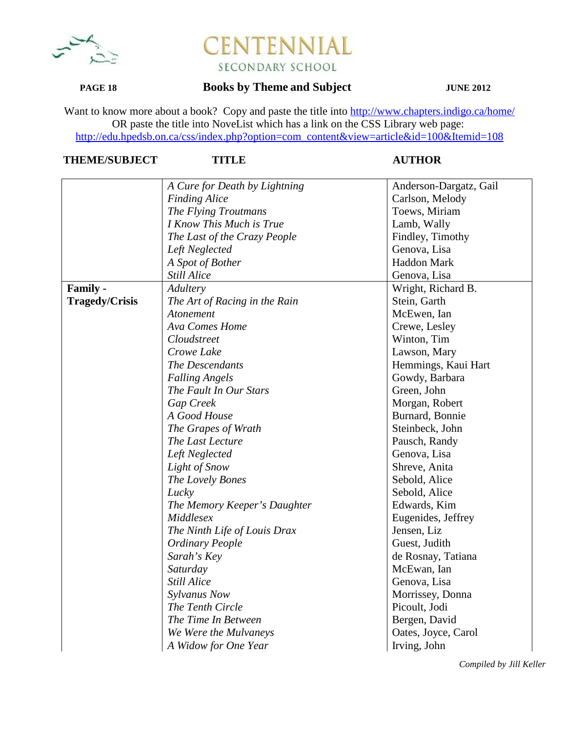

## **PAGE 18 Books by Theme and Subject JUNE 2012**

Want to know more about a book? Copy and paste the title into http://www.chapters.indigo.ca/home/ OR paste the title into NoveList which has a link on the CSS Library web page: http://edu.hpedsb.on.ca/css/index.php?option=com\_content&view=article&id=100&Itemid=108

# **THEME/SUBJECT TITLE AUTHOR**

|                       | A Cure for Death by Lightning | Anderson-Dargatz, Gail |
|-----------------------|-------------------------------|------------------------|
|                       | <b>Finding Alice</b>          | Carlson, Melody        |
|                       | The Flying Troutmans          | Toews, Miriam          |
|                       | I Know This Much is True      | Lamb, Wally            |
|                       | The Last of the Crazy People  | Findley, Timothy       |
|                       | Left Neglected                | Genova, Lisa           |
|                       | A Spot of Bother              | <b>Haddon Mark</b>     |
|                       | <b>Still Alice</b>            | Genova, Lisa           |
| <b>Family -</b>       | Adultery                      | Wright, Richard B.     |
| <b>Tragedy/Crisis</b> | The Art of Racing in the Rain | Stein, Garth           |
|                       | Atonement                     | McEwen, Ian            |
|                       | Ava Comes Home                | Crewe, Lesley          |
|                       | Cloudstreet                   | Winton, Tim            |
|                       | Crowe Lake                    | Lawson, Mary           |
|                       | The Descendants               | Hemmings, Kaui Hart    |
|                       | <b>Falling Angels</b>         | Gowdy, Barbara         |
|                       | The Fault In Our Stars        | Green, John            |
|                       | Gap Creek                     | Morgan, Robert         |
|                       | A Good House                  | Burnard, Bonnie        |
|                       | The Grapes of Wrath           | Steinbeck, John        |
|                       | The Last Lecture              | Pausch, Randy          |
|                       | Left Neglected                | Genova, Lisa           |
|                       | Light of Snow                 | Shreve, Anita          |
|                       | The Lovely Bones              | Sebold, Alice          |
|                       | Lucky                         | Sebold, Alice          |
|                       | The Memory Keeper's Daughter  | Edwards, Kim           |
|                       | Middlesex                     | Eugenides, Jeffrey     |
|                       | The Ninth Life of Louis Drax  | Jensen, Liz            |
|                       | <b>Ordinary People</b>        | Guest, Judith          |
|                       | Sarah's Key                   | de Rosnay, Tatiana     |
|                       | Saturday                      | McEwan, Ian            |
|                       | <b>Still Alice</b>            | Genova, Lisa           |
|                       | Sylvanus Now                  | Morrissey, Donna       |
|                       | The Tenth Circle              | Picoult, Jodi          |
|                       | The Time In Between           | Bergen, David          |
|                       | We Were the Mulvaneys         | Oates, Joyce, Carol    |
|                       | A Widow for One Year          | Irving, John           |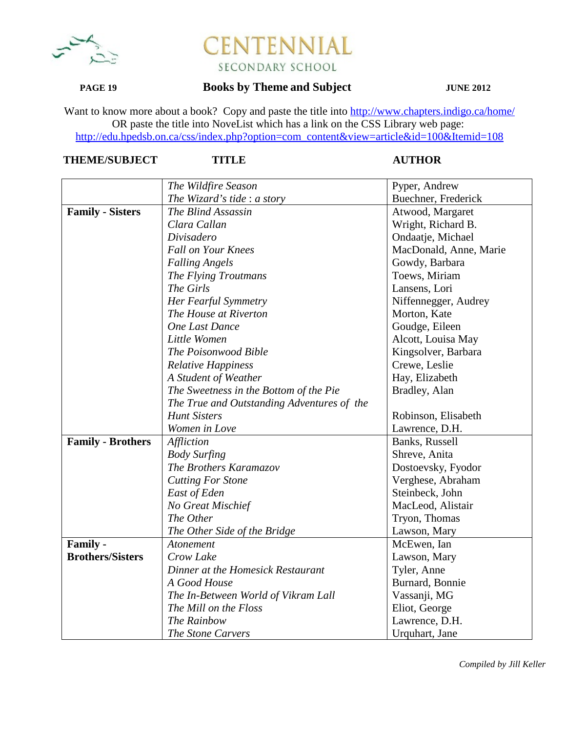

### **PAGE 19 Books by Theme and Subject JUNE 2012**

Want to know more about a book? Copy and paste the title into http://www.chapters.indigo.ca/home/ OR paste the title into NoveList which has a link on the CSS Library web page: http://edu.hpedsb.on.ca/css/index.php?option=com\_content&view=article&id=100&Itemid=108

### **THEME/SUBJECT TITLE AUTHOR**

|                          | The Wildfire Season                        | Pyper, Andrew          |
|--------------------------|--------------------------------------------|------------------------|
|                          | The Wizard's tide : a story                | Buechner, Frederick    |
| <b>Family - Sisters</b>  | The Blind Assassin                         | Atwood, Margaret       |
|                          | Clara Callan                               | Wright, Richard B.     |
|                          | Divisadero                                 | Ondaatje, Michael      |
|                          | <b>Fall on Your Knees</b>                  | MacDonald, Anne, Marie |
|                          | <b>Falling Angels</b>                      | Gowdy, Barbara         |
|                          | The Flying Troutmans                       | Toews, Miriam          |
|                          | The Girls                                  | Lansens, Lori          |
|                          | Her Fearful Symmetry                       | Niffennegger, Audrey   |
|                          | The House at Riverton                      | Morton, Kate           |
|                          | <b>One Last Dance</b>                      | Goudge, Eileen         |
|                          | Little Women                               | Alcott, Louisa May     |
|                          | The Poisonwood Bible                       | Kingsolver, Barbara    |
|                          | <b>Relative Happiness</b>                  | Crewe, Leslie          |
|                          | A Student of Weather                       | Hay, Elizabeth         |
|                          | The Sweetness in the Bottom of the Pie     | Bradley, Alan          |
|                          | The True and Outstanding Adventures of the |                        |
|                          | <b>Hunt Sisters</b>                        | Robinson, Elisabeth    |
|                          | Women in Love                              | Lawrence, D.H.         |
| <b>Family - Brothers</b> | Affliction                                 | Banks, Russell         |
|                          | <b>Body Surfing</b>                        | Shreve, Anita          |
|                          | The Brothers Karamazov                     | Dostoevsky, Fyodor     |
|                          | <b>Cutting For Stone</b>                   | Verghese, Abraham      |
|                          | East of Eden                               | Steinbeck, John        |
|                          | No Great Mischief                          | MacLeod, Alistair      |
|                          | The Other                                  | Tryon, Thomas          |
|                          | The Other Side of the Bridge               | Lawson, Mary           |
| Family -                 | Atonement                                  | McEwen, Ian            |
| <b>Brothers/Sisters</b>  | Crow Lake                                  | Lawson, Mary           |
|                          | Dinner at the Homesick Restaurant          | Tyler, Anne            |
|                          | A Good House                               | Burnard, Bonnie        |
|                          | The In-Between World of Vikram Lall        | Vassanji, MG           |
|                          | The Mill on the Floss                      | Eliot, George          |
|                          | The Rainbow                                | Lawrence, D.H.         |
|                          | The Stone Carvers                          | Urquhart, Jane         |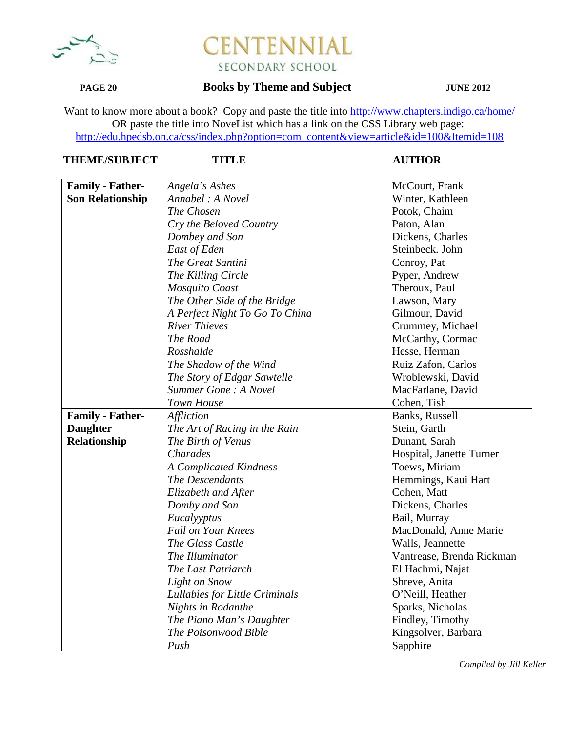

## **PAGE 20 Books by Theme and Subject JUNE 2012**

Want to know more about a book? Copy and paste the title into http://www.chapters.indigo.ca/home/ OR paste the title into NoveList which has a link on the CSS Library web page: http://edu.hpedsb.on.ca/css/index.php?option=com\_content&view=article&id=100&Itemid=108

### **THEME/SUBJECT TITLE AUTHOR**

| <b>Family - Father-</b> | Angela's Ashes                 | McCourt, Frank            |
|-------------------------|--------------------------------|---------------------------|
| <b>Son Relationship</b> | Annabel: A Novel               | Winter, Kathleen          |
|                         | The Chosen                     | Potok, Chaim              |
|                         | Cry the Beloved Country        | Paton, Alan               |
|                         | Dombey and Son                 | Dickens, Charles          |
|                         | East of Eden                   | Steinbeck. John           |
|                         | The Great Santini              | Conroy, Pat               |
|                         | The Killing Circle             | Pyper, Andrew             |
|                         | Mosquito Coast                 | Theroux, Paul             |
|                         | The Other Side of the Bridge   | Lawson, Mary              |
|                         | A Perfect Night To Go To China | Gilmour, David            |
|                         | <b>River Thieves</b>           | Crummey, Michael          |
|                         | The Road                       | McCarthy, Cormac          |
|                         | Rosshalde                      | Hesse, Herman             |
|                         | The Shadow of the Wind         | Ruiz Zafon, Carlos        |
|                         | The Story of Edgar Sawtelle    | Wroblewski, David         |
|                         | Summer Gone: A Novel           | MacFarlane, David         |
|                         | <b>Town House</b>              | Cohen, Tish               |
| <b>Family - Father-</b> | Affliction                     | Banks, Russell            |
| <b>Daughter</b>         | The Art of Racing in the Rain  | Stein, Garth              |
| Relationship            | The Birth of Venus             | Dunant, Sarah             |
|                         | <b>Charades</b>                | Hospital, Janette Turner  |
|                         | <b>A Complicated Kindness</b>  | Toews, Miriam             |
|                         | The Descendants                | Hemmings, Kaui Hart       |
|                         | Elizabeth and After            | Cohen, Matt               |
|                         | Domby and Son                  | Dickens, Charles          |
|                         | Eucalyyptus                    | Bail, Murray              |
|                         | <b>Fall on Your Knees</b>      | MacDonald, Anne Marie     |
|                         | The Glass Castle               | Walls, Jeannette          |
|                         | The Illuminator                | Vantrease, Brenda Rickman |
|                         | The Last Patriarch             | El Hachmi, Najat          |
|                         | Light on Snow                  | Shreve, Anita             |
|                         | Lullabies for Little Criminals | O'Neill, Heather          |
|                         | <b>Nights in Rodanthe</b>      | Sparks, Nicholas          |
|                         | The Piano Man's Daughter       | Findley, Timothy          |
|                         | The Poisonwood Bible           | Kingsolver, Barbara       |
|                         | Push                           | Sapphire                  |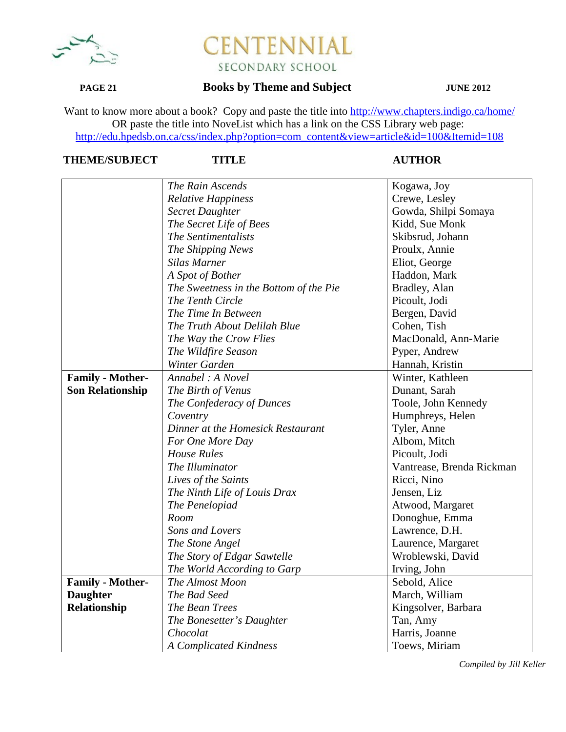

## **PAGE 21 Books by Theme and Subject JUNE 2012**

Want to know more about a book? Copy and paste the title into http://www.chapters.indigo.ca/home/ OR paste the title into NoveList which has a link on the CSS Library web page: http://edu.hpedsb.on.ca/css/index.php?option=com\_content&view=article&id=100&Itemid=108

## **THEME/SUBJECT TITLE AUTHOR**

|                         | The Rain Ascends                       | Kogawa, Joy               |
|-------------------------|----------------------------------------|---------------------------|
|                         | <b>Relative Happiness</b>              | Crewe, Lesley             |
|                         | <b>Secret Daughter</b>                 | Gowda, Shilpi Somaya      |
|                         | The Secret Life of Bees                | Kidd, Sue Monk            |
|                         | The Sentimentalists                    | Skibsrud, Johann          |
|                         | The Shipping News                      | Proulx, Annie             |
|                         | <b>Silas Marner</b>                    | Eliot, George             |
|                         | A Spot of Bother                       | Haddon, Mark              |
|                         | The Sweetness in the Bottom of the Pie | Bradley, Alan             |
|                         | The Tenth Circle                       | Picoult, Jodi             |
|                         | The Time In Between                    | Bergen, David             |
|                         | The Truth About Delilah Blue           | Cohen, Tish               |
|                         | The Way the Crow Flies                 | MacDonald, Ann-Marie      |
|                         | The Wildfire Season                    | Pyper, Andrew             |
|                         | Winter Garden                          | Hannah, Kristin           |
| <b>Family - Mother-</b> | Annabel : A Novel                      | Winter, Kathleen          |
| <b>Son Relationship</b> | The Birth of Venus                     | Dunant, Sarah             |
|                         | The Confederacy of Dunces              | Toole, John Kennedy       |
|                         | Coventry                               | Humphreys, Helen          |
|                         | Dinner at the Homesick Restaurant      | Tyler, Anne               |
|                         | For One More Day                       | Albom, Mitch              |
|                         | <b>House Rules</b>                     | Picoult, Jodi             |
|                         | The Illuminator                        | Vantrease, Brenda Rickman |
|                         | Lives of the Saints                    | Ricci, Nino               |
|                         | The Ninth Life of Louis Drax           | Jensen, Liz               |
|                         | The Penelopiad                         | Atwood, Margaret          |
|                         | Room                                   | Donoghue, Emma            |
|                         | Sons and Lovers                        | Lawrence, D.H.            |
|                         | The Stone Angel                        | Laurence, Margaret        |
|                         | The Story of Edgar Sawtelle            | Wroblewski, David         |
|                         | The World According to Garp            | Irving, John              |
| <b>Family - Mother-</b> | The Almost Moon                        | Sebold, Alice             |
| <b>Daughter</b>         | The Bad Seed                           | March, William            |
| Relationship            | The Bean Trees                         | Kingsolver, Barbara       |
|                         | The Bonesetter's Daughter              | Tan, Amy                  |
|                         | Chocolat                               | Harris, Joanne            |
|                         | <b>A Complicated Kindness</b>          | Toews, Miriam             |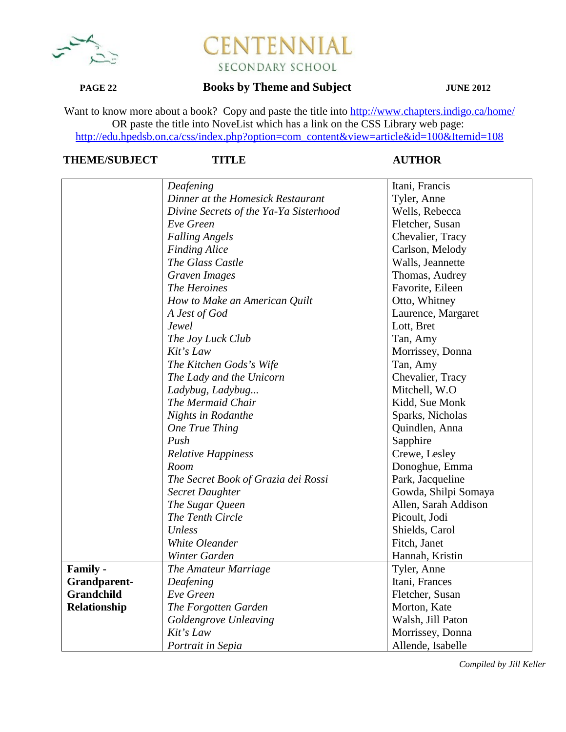

## **PAGE 22 Books by Theme and Subject JUNE 2012**

Want to know more about a book? Copy and paste the title into http://www.chapters.indigo.ca/home/ OR paste the title into NoveList which has a link on the CSS Library web page: http://edu.hpedsb.on.ca/css/index.php?option=com\_content&view=article&id=100&Itemid=108

## **THEME/SUBJECT TITLE AUTHOR**

|              | Deafening                              | Itani, Francis       |
|--------------|----------------------------------------|----------------------|
|              | Dinner at the Homesick Restaurant      | Tyler, Anne          |
|              | Divine Secrets of the Ya-Ya Sisterhood | Wells, Rebecca       |
|              | Eve Green                              | Fletcher, Susan      |
|              | <b>Falling Angels</b>                  | Chevalier, Tracy     |
|              | <b>Finding Alice</b>                   | Carlson, Melody      |
|              | The Glass Castle                       | Walls, Jeannette     |
|              | Graven Images                          | Thomas, Audrey       |
|              | The Heroines                           | Favorite, Eileen     |
|              | How to Make an American Quilt          | Otto, Whitney        |
|              | A Jest of God                          | Laurence, Margaret   |
|              | Jewel                                  | Lott, Bret           |
|              | The Joy Luck Club                      | Tan, Amy             |
|              | Kit's Law                              | Morrissey, Donna     |
|              | The Kitchen Gods's Wife                | Tan, Amy             |
|              | The Lady and the Unicorn               | Chevalier, Tracy     |
|              | Ladybug, Ladybug                       | Mitchell, W.O        |
|              | The Mermaid Chair                      | Kidd, Sue Monk       |
|              | Nights in Rodanthe                     | Sparks, Nicholas     |
|              | One True Thing                         | Quindlen, Anna       |
|              | Push                                   | Sapphire             |
|              | <b>Relative Happiness</b>              | Crewe, Lesley        |
|              | Room                                   | Donoghue, Emma       |
|              | The Secret Book of Grazia dei Rossi    | Park, Jacqueline     |
|              | <b>Secret Daughter</b>                 | Gowda, Shilpi Somaya |
|              | The Sugar Queen                        | Allen, Sarah Addison |
|              | The Tenth Circle                       | Picoult, Jodi        |
|              | Unless                                 | Shields, Carol       |
|              | White Oleander                         | Fitch, Janet         |
|              | Winter Garden                          | Hannah, Kristin      |
| Family -     | The Amateur Marriage                   | Tyler, Anne          |
| Grandparent- | Deafening                              | Itani, Frances       |
| Grandchild   | Eve Green                              | Fletcher, Susan      |
| Relationship | The Forgotten Garden                   | Morton, Kate         |
|              | <b>Goldengrove Unleaving</b>           | Walsh, Jill Paton    |
|              | Kit's Law                              | Morrissey, Donna     |
|              | Portrait in Sepia                      | Allende, Isabelle    |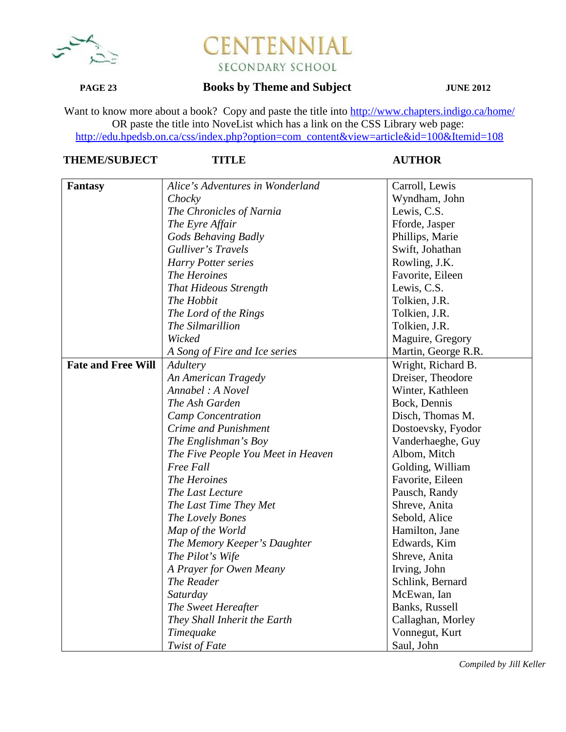

## **PAGE 23 Books by Theme and Subject JUNE 2012**

Want to know more about a book? Copy and paste the title into http://www.chapters.indigo.ca/home/ OR paste the title into NoveList which has a link on the CSS Library web page: http://edu.hpedsb.on.ca/css/index.php?option=com\_content&view=article&id=100&Itemid=108

## **THEME/SUBJECT TITLE AUTHOR**

| <b>Fantasy</b>            | Alice's Adventures in Wonderland   | Carroll, Lewis      |
|---------------------------|------------------------------------|---------------------|
|                           | Chocky                             | Wyndham, John       |
|                           | The Chronicles of Narnia           | Lewis, C.S.         |
|                           | The Eyre Affair                    | Fforde, Jasper      |
|                           | Gods Behaving Badly                | Phillips, Marie     |
|                           | Gulliver's Travels                 | Swift, Johathan     |
|                           | Harry Potter series                | Rowling, J.K.       |
|                           | The Heroines                       | Favorite, Eileen    |
|                           | <b>That Hideous Strength</b>       | Lewis, C.S.         |
|                           | The Hobbit                         | Tolkien, J.R.       |
|                           | The Lord of the Rings              | Tolkien, J.R.       |
|                           | The Silmarillion                   | Tolkien, J.R.       |
|                           | Wicked                             | Maguire, Gregory    |
|                           | A Song of Fire and Ice series      | Martin, George R.R. |
| <b>Fate and Free Will</b> | Adultery                           | Wright, Richard B.  |
|                           | An American Tragedy                | Dreiser, Theodore   |
|                           | Annabel : A Novel                  | Winter, Kathleen    |
|                           | The Ash Garden                     | Bock, Dennis        |
|                           | <b>Camp Concentration</b>          | Disch, Thomas M.    |
|                           | Crime and Punishment               | Dostoevsky, Fyodor  |
|                           | The Englishman's Boy               | Vanderhaeghe, Guy   |
|                           | The Five People You Meet in Heaven | Albom, Mitch        |
|                           | Free Fall                          | Golding, William    |
|                           | The Heroines                       | Favorite, Eileen    |
|                           | The Last Lecture                   | Pausch, Randy       |
|                           | The Last Time They Met             | Shreve, Anita       |
|                           | The Lovely Bones                   | Sebold, Alice       |
|                           | Map of the World                   | Hamilton, Jane      |
|                           | The Memory Keeper's Daughter       | Edwards, Kim        |
|                           | The Pilot's Wife                   | Shreve, Anita       |
|                           | A Prayer for Owen Meany            | Irving, John        |
|                           | The Reader                         | Schlink, Bernard    |
|                           | Saturday                           | McEwan, Ian         |
|                           | The Sweet Hereafter                | Banks, Russell      |
|                           | They Shall Inherit the Earth       | Callaghan, Morley   |
|                           | Timequake                          | Vonnegut, Kurt      |
|                           | Twist of Fate                      | Saul, John          |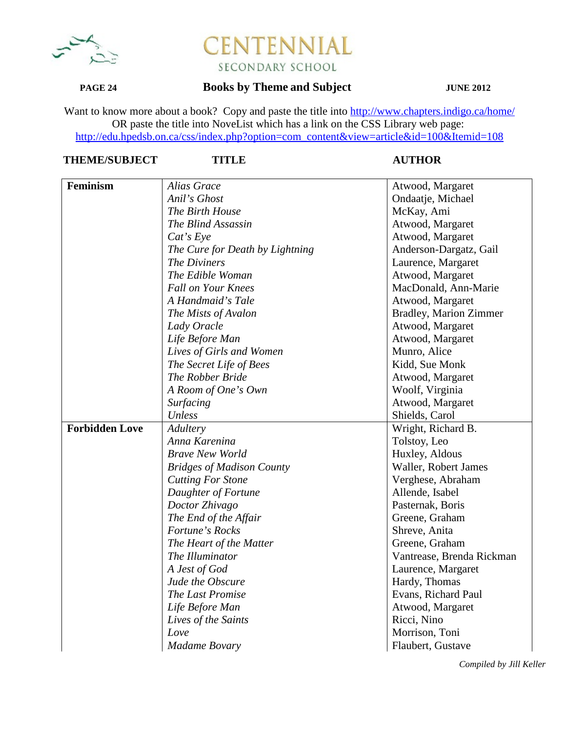

### **PAGE 24 Books by Theme and Subject JUNE 2012**

Want to know more about a book? Copy and paste the title into http://www.chapters.indigo.ca/home/ OR paste the title into NoveList which has a link on the CSS Library web page: http://edu.hpedsb.on.ca/css/index.php?option=com\_content&view=article&id=100&Itemid=108

## **THEME/SUBJECT TITLE AUTHOR**

| Feminism              | <b>Alias Grace</b>               | Atwood, Margaret              |
|-----------------------|----------------------------------|-------------------------------|
|                       | Anil's Ghost                     | Ondaatje, Michael             |
|                       | The Birth House                  | McKay, Ami                    |
|                       | The Blind Assassin               | Atwood, Margaret              |
|                       | Cat's Eye                        | Atwood, Margaret              |
|                       | The Cure for Death by Lightning  | Anderson-Dargatz, Gail        |
|                       | The Diviners                     | Laurence, Margaret            |
|                       | The Edible Woman                 | Atwood, Margaret              |
|                       | <b>Fall on Your Knees</b>        | MacDonald, Ann-Marie          |
|                       | A Handmaid's Tale                | Atwood, Margaret              |
|                       | The Mists of Avalon              | <b>Bradley, Marion Zimmer</b> |
|                       | Lady Oracle                      | Atwood, Margaret              |
|                       | Life Before Man                  | Atwood, Margaret              |
|                       | Lives of Girls and Women         | Munro, Alice                  |
|                       | The Secret Life of Bees          | Kidd, Sue Monk                |
|                       | The Robber Bride                 | Atwood, Margaret              |
|                       | A Room of One's Own              | Woolf, Virginia               |
|                       | <b>Surfacing</b>                 | Atwood, Margaret              |
|                       | Unless                           | Shields, Carol                |
| <b>Forbidden Love</b> | Adultery                         | Wright, Richard B.            |
|                       | Anna Karenina                    | Tolstoy, Leo                  |
|                       | <b>Brave New World</b>           | Huxley, Aldous                |
|                       | <b>Bridges of Madison County</b> | Waller, Robert James          |
|                       | <b>Cutting For Stone</b>         | Verghese, Abraham             |
|                       | Daughter of Fortune              | Allende, Isabel               |
|                       | Doctor Zhivago                   | Pasternak, Boris              |
|                       | The End of the Affair            | Greene, Graham                |
|                       | Fortune's Rocks                  | Shreve, Anita                 |
|                       | The Heart of the Matter          | Greene, Graham                |
|                       | The Illuminator                  | Vantrease, Brenda Rickman     |
|                       | A Jest of God                    | Laurence, Margaret            |
|                       | Jude the Obscure                 | Hardy, Thomas                 |
|                       | The Last Promise                 | Evans, Richard Paul           |
|                       | Life Before Man                  | Atwood, Margaret              |
|                       | Lives of the Saints              | Ricci, Nino                   |
|                       | Love                             | Morrison, Toni                |
|                       | <b>Madame Bovary</b>             | Flaubert, Gustave             |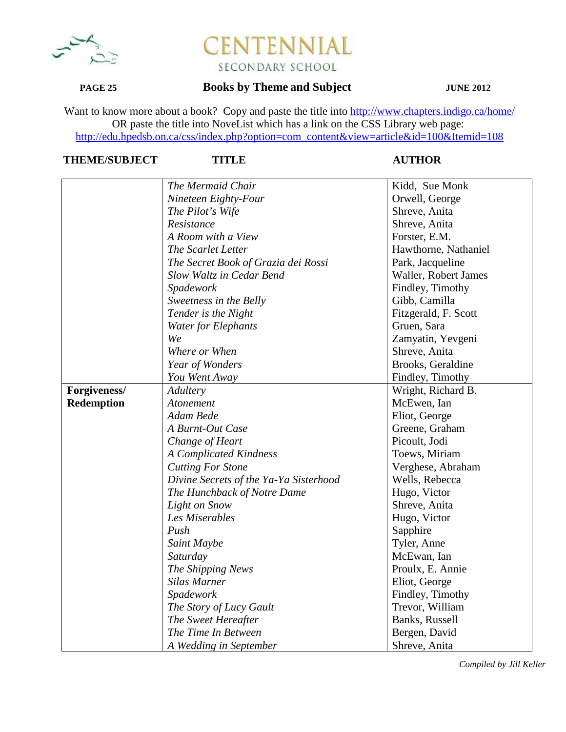

## **PAGE 25 Books by Theme and Subject JUNE 2012**

Want to know more about a book? Copy and paste the title into http://www.chapters.indigo.ca/home/ OR paste the title into NoveList which has a link on the CSS Library web page: http://edu.hpedsb.on.ca/css/index.php?option=com\_content&view=article&id=100&Itemid=108

## **THEME/SUBJECT TITLE AUTHOR**

|                   | The Mermaid Chair                      | Kidd, Sue Monk       |
|-------------------|----------------------------------------|----------------------|
|                   | Nineteen Eighty-Four                   | Orwell, George       |
|                   | The Pilot's Wife                       | Shreve, Anita        |
|                   | Resistance                             | Shreve, Anita        |
|                   | A Room with a View                     | Forster, E.M.        |
|                   | The Scarlet Letter                     | Hawthorne, Nathaniel |
|                   | The Secret Book of Grazia dei Rossi    | Park, Jacqueline     |
|                   | Slow Waltz in Cedar Bend               | Waller, Robert James |
|                   | Spadework                              | Findley, Timothy     |
|                   | Sweetness in the Belly                 | Gibb, Camilla        |
|                   | Tender is the Night                    | Fitzgerald, F. Scott |
|                   | <b>Water for Elephants</b>             | Gruen, Sara          |
|                   | We                                     | Zamyatin, Yevgeni    |
|                   | Where or When                          | Shreve, Anita        |
|                   | Year of Wonders                        | Brooks, Geraldine    |
|                   | You Went Away                          | Findley, Timothy     |
| Forgiveness/      | Adultery                               | Wright, Richard B.   |
| <b>Redemption</b> | Atonement                              | McEwen, Ian          |
|                   | Adam Bede                              | Eliot, George        |
|                   | A Burnt-Out Case                       | Greene, Graham       |
|                   | Change of Heart                        | Picoult, Jodi        |
|                   | <b>A Complicated Kindness</b>          | Toews, Miriam        |
|                   | <b>Cutting For Stone</b>               | Verghese, Abraham    |
|                   | Divine Secrets of the Ya-Ya Sisterhood | Wells, Rebecca       |
|                   | The Hunchback of Notre Dame            | Hugo, Victor         |
|                   | <b>Light on Snow</b>                   | Shreve, Anita        |
|                   | Les Miserables                         | Hugo, Victor         |
|                   | Push                                   | Sapphire             |
|                   | Saint Maybe                            | Tyler, Anne          |
|                   | Saturday                               | McEwan, Ian          |
|                   | The Shipping News                      | Proulx, E. Annie     |
|                   | <b>Silas Marner</b>                    | Eliot, George        |
|                   | Spadework                              | Findley, Timothy     |
|                   | The Story of Lucy Gault                | Trevor, William      |
|                   | The Sweet Hereafter                    | Banks, Russell       |
|                   | The Time In Between                    | Bergen, David        |
|                   | A Wedding in September                 | Shreve, Anita        |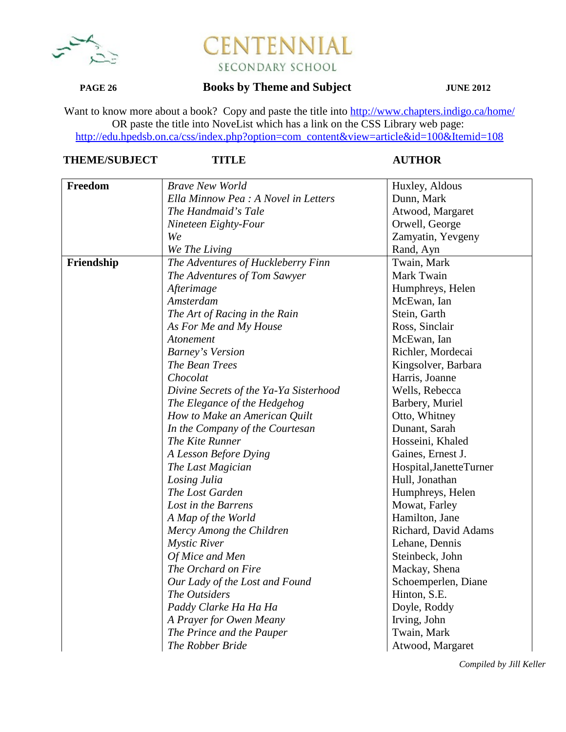

### **PAGE 26 Books by Theme and Subject JUNE 2012**

Want to know more about a book? Copy and paste the title into http://www.chapters.indigo.ca/home/ OR paste the title into NoveList which has a link on the CSS Library web page: http://edu.hpedsb.on.ca/css/index.php?option=com\_content&view=article&id=100&Itemid=108

## **THEME/SUBJECT TITLE AUTHOR**

| Freedom    | <b>Brave New World</b>                 | Huxley, Aldous           |
|------------|----------------------------------------|--------------------------|
|            | Ella Minnow Pea : A Novel in Letters   | Dunn, Mark               |
|            | The Handmaid's Tale                    | Atwood, Margaret         |
|            | Nineteen Eighty-Four                   | Orwell, George           |
|            | We                                     | Zamyatin, Yevgeny        |
|            | We The Living                          | Rand, Ayn                |
| Friendship | The Adventures of Huckleberry Finn     | Twain, Mark              |
|            | The Adventures of Tom Sawyer           | Mark Twain               |
|            | Afterimage                             | Humphreys, Helen         |
|            | Amsterdam                              | McEwan, Ian              |
|            | The Art of Racing in the Rain          | Stein, Garth             |
|            | As For Me and My House                 | Ross, Sinclair           |
|            | Atonement                              | McEwan, Ian              |
|            | <b>Barney's Version</b>                | Richler, Mordecai        |
|            | The Bean Trees                         | Kingsolver, Barbara      |
|            | Chocolat                               | Harris, Joanne           |
|            | Divine Secrets of the Ya-Ya Sisterhood | Wells, Rebecca           |
|            | The Elegance of the Hedgehog           | Barbery, Muriel          |
|            | How to Make an American Quilt          | Otto, Whitney            |
|            | In the Company of the Courtesan        | Dunant, Sarah            |
|            | The Kite Runner                        | Hosseini, Khaled         |
|            | A Lesson Before Dying                  | Gaines, Ernest J.        |
|            | The Last Magician                      | Hospital, Janette Turner |
|            | Losing Julia                           | Hull, Jonathan           |
|            | The Lost Garden                        | Humphreys, Helen         |
|            | Lost in the Barrens                    | Mowat, Farley            |
|            | A Map of the World                     | Hamilton, Jane           |
|            | Mercy Among the Children               | Richard, David Adams     |
|            | <b>Mystic River</b>                    | Lehane, Dennis           |
|            | Of Mice and Men                        | Steinbeck, John          |
|            | The Orchard on Fire                    | Mackay, Shena            |
|            | Our Lady of the Lost and Found         | Schoemperlen, Diane      |
|            | The Outsiders                          | Hinton, S.E.             |
|            | Paddy Clarke Ha Ha Ha                  | Doyle, Roddy             |
|            | A Prayer for Owen Meany                | Irving, John             |
|            | The Prince and the Pauper              | Twain, Mark              |
|            | The Robber Bride                       | Atwood, Margaret         |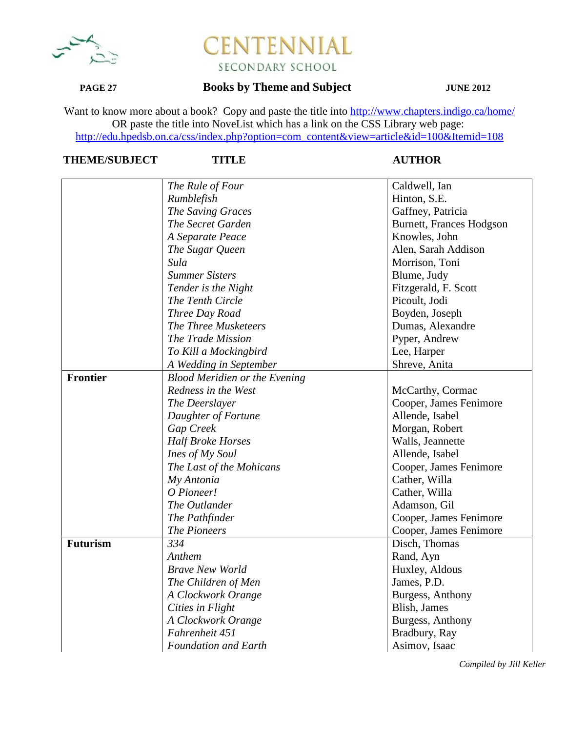

## **PAGE 27 Books by Theme and Subject JUNE 2012**

Want to know more about a book? Copy and paste the title into http://www.chapters.indigo.ca/home/ OR paste the title into NoveList which has a link on the CSS Library web page: http://edu.hpedsb.on.ca/css/index.php?option=com\_content&view=article&id=100&Itemid=108

# **THEME/SUBJECT TITLE AUTHOR**

|                 | The Rule of Four                     | Caldwell, Ian                   |
|-----------------|--------------------------------------|---------------------------------|
|                 | Rumblefish                           | Hinton, S.E.                    |
|                 | The Saving Graces                    | Gaffney, Patricia               |
|                 | The Secret Garden                    | <b>Burnett, Frances Hodgson</b> |
|                 | A Separate Peace                     | Knowles, John                   |
|                 | The Sugar Queen                      | Alen, Sarah Addison             |
|                 | Sula                                 | Morrison, Toni                  |
|                 | <b>Summer Sisters</b>                | Blume, Judy                     |
|                 | Tender is the Night                  | Fitzgerald, F. Scott            |
|                 | The Tenth Circle                     | Picoult, Jodi                   |
|                 | Three Day Road                       | Boyden, Joseph                  |
|                 | The Three Musketeers                 | Dumas, Alexandre                |
|                 | The Trade Mission                    | Pyper, Andrew                   |
|                 | To Kill a Mockingbird                | Lee, Harper                     |
|                 | A Wedding in September               | Shreve, Anita                   |
| <b>Frontier</b> | <b>Blood Meridien or the Evening</b> |                                 |
|                 | Redness in the West                  | McCarthy, Cormac                |
|                 | The Deerslayer                       | Cooper, James Fenimore          |
|                 | Daughter of Fortune                  | Allende, Isabel                 |
|                 | Gap Creek                            | Morgan, Robert                  |
|                 | <b>Half Broke Horses</b>             | Walls, Jeannette                |
|                 | Ines of My Soul                      | Allende, Isabel                 |
|                 | The Last of the Mohicans             | Cooper, James Fenimore          |
|                 | My Antonia                           | Cather, Willa                   |
|                 | O Pioneer!                           | Cather, Willa                   |
|                 | The Outlander                        | Adamson, Gil                    |
|                 | The Pathfinder                       | Cooper, James Fenimore          |
|                 | <b>The Pioneers</b>                  | Cooper, James Fenimore          |
| <b>Futurism</b> | 334                                  | Disch, Thomas                   |
|                 | Anthem                               | Rand, Ayn                       |
|                 | <b>Brave New World</b>               | Huxley, Aldous                  |
|                 | The Children of Men                  | James, P.D.                     |
|                 | A Clockwork Orange                   | Burgess, Anthony                |
|                 | Cities in Flight                     | Blish, James                    |
|                 | A Clockwork Orange                   | Burgess, Anthony                |
|                 | Fahrenheit 451                       | Bradbury, Ray                   |
|                 | <b>Foundation and Earth</b>          | Asimov, Isaac                   |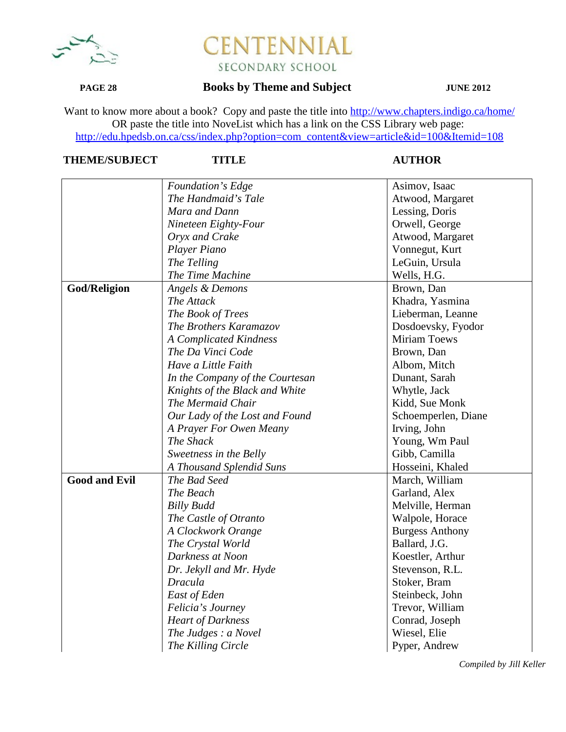

## **PAGE 28 Books by Theme and Subject JUNE 2012**

Want to know more about a book? Copy and paste the title into http://www.chapters.indigo.ca/home/ OR paste the title into NoveList which has a link on the CSS Library web page: http://edu.hpedsb.on.ca/css/index.php?option=com\_content&view=article&id=100&Itemid=108

# **THEME/SUBJECT TITLE AUTHOR**

|                      | Foundation's Edge                           | Asimov, Isaac          |
|----------------------|---------------------------------------------|------------------------|
|                      | The Handmaid's Tale                         | Atwood, Margaret       |
|                      | Mara and Dann                               | Lessing, Doris         |
|                      | Nineteen Eighty-Four                        | Orwell, George         |
|                      | Oryx and Crake                              | Atwood, Margaret       |
|                      | Player Piano                                | Vonnegut, Kurt         |
|                      | The Telling                                 | LeGuin, Ursula         |
|                      | The Time Machine                            | Wells, H.G.            |
| God/Religion         | Angels & Demons                             | Brown, Dan             |
|                      | The Attack                                  | Khadra, Yasmina        |
|                      |                                             |                        |
|                      | The Book of Trees                           | Lieberman, Leanne      |
|                      | The Brothers Karamazov                      | Dosdoevsky, Fyodor     |
|                      | A Complicated Kindness<br>The Da Vinci Code | Miriam Toews           |
|                      |                                             | Brown, Dan             |
|                      | Have a Little Faith                         | Albom, Mitch           |
|                      | In the Company of the Courtesan             | Dunant, Sarah          |
|                      | Knights of the Black and White              | Whytle, Jack           |
|                      | The Mermaid Chair                           | Kidd, Sue Monk         |
|                      | Our Lady of the Lost and Found              | Schoemperlen, Diane    |
|                      | A Prayer For Owen Meany                     | Irving, John           |
|                      | The Shack                                   | Young, Wm Paul         |
|                      | Sweetness in the Belly                      | Gibb, Camilla          |
|                      | A Thousand Splendid Suns                    | Hosseini, Khaled       |
| <b>Good and Evil</b> | The Bad Seed                                | March, William         |
|                      | The Beach                                   | Garland, Alex          |
|                      | <b>Billy Budd</b>                           | Melville, Herman       |
|                      | The Castle of Otranto                       | Walpole, Horace        |
|                      | A Clockwork Orange                          | <b>Burgess Anthony</b> |
|                      | The Crystal World                           | Ballard, J.G.          |
|                      | Darkness at Noon                            | Koestler, Arthur       |
|                      | Dr. Jekyll and Mr. Hyde                     | Stevenson, R.L.        |
|                      | <b>Dracula</b>                              | Stoker, Bram           |
|                      | East of Eden                                | Steinbeck, John        |
|                      | Felicia's Journey                           | Trevor, William        |
|                      | <b>Heart of Darkness</b>                    | Conrad, Joseph         |
|                      | The Judges : a Novel                        | Wiesel, Elie           |
|                      | The Killing Circle                          | Pyper, Andrew          |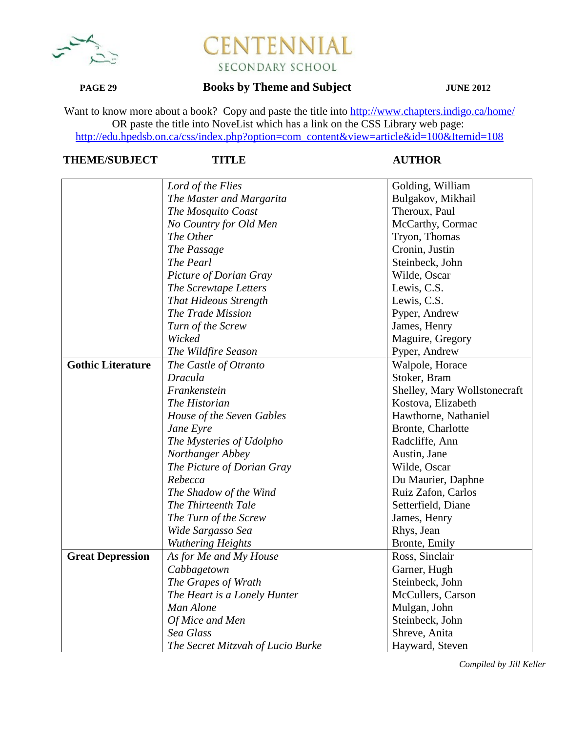

## **PAGE 29 Books by Theme and Subject JUNE 2012**

Want to know more about a book? Copy and paste the title into http://www.chapters.indigo.ca/home/ OR paste the title into NoveList which has a link on the CSS Library web page: http://edu.hpedsb.on.ca/css/index.php?option=com\_content&view=article&id=100&Itemid=108

# **THEME/SUBJECT TITLE AUTHOR**

|                          | Lord of the Flies                 | Golding, William             |
|--------------------------|-----------------------------------|------------------------------|
|                          | The Master and Margarita          | Bulgakov, Mikhail            |
|                          | The Mosquito Coast                | Theroux, Paul                |
|                          | No Country for Old Men            | McCarthy, Cormac             |
|                          | The Other                         | Tryon, Thomas                |
|                          | The Passage                       | Cronin, Justin               |
|                          | The Pearl                         | Steinbeck, John              |
|                          | Picture of Dorian Gray            | Wilde, Oscar                 |
|                          | The Screwtape Letters             | Lewis, C.S.                  |
|                          | <b>That Hideous Strength</b>      | Lewis, C.S.                  |
|                          | The Trade Mission                 | Pyper, Andrew                |
|                          | Turn of the Screw                 | James, Henry                 |
|                          | Wicked                            | Maguire, Gregory             |
|                          | The Wildfire Season               | Pyper, Andrew                |
| <b>Gothic Literature</b> | The Castle of Otranto             | Walpole, Horace              |
|                          | <b>Dracula</b>                    | Stoker, Bram                 |
|                          | Frankenstein                      | Shelley, Mary Wollstonecraft |
|                          | The Historian                     | Kostova, Elizabeth           |
|                          | House of the Seven Gables         | Hawthorne, Nathaniel         |
|                          | Jane Eyre                         | Bronte, Charlotte            |
|                          | The Mysteries of Udolpho          | Radcliffe, Ann               |
|                          | Northanger Abbey                  | Austin, Jane                 |
|                          | The Picture of Dorian Gray        | Wilde, Oscar                 |
|                          | Rebecca                           | Du Maurier, Daphne           |
|                          | The Shadow of the Wind            | Ruiz Zafon, Carlos           |
|                          | The Thirteenth Tale               | Setterfield, Diane           |
|                          | The Turn of the Screw             | James, Henry                 |
|                          | Wide Sargasso Sea                 | Rhys, Jean                   |
|                          | <b>Wuthering Heights</b>          | Bronte, Emily                |
| <b>Great Depression</b>  | As for Me and My House            | Ross, Sinclair               |
|                          | Cabbagetown                       | Garner, Hugh                 |
|                          | The Grapes of Wrath               | Steinbeck, John              |
|                          | The Heart is a Lonely Hunter      | McCullers, Carson            |
|                          | Man Alone                         | Mulgan, John                 |
|                          | Of Mice and Men                   | Steinbeck, John              |
|                          | Sea Glass                         | Shreve, Anita                |
|                          | The Secret Mitzvah of Lucio Burke | Hayward, Steven              |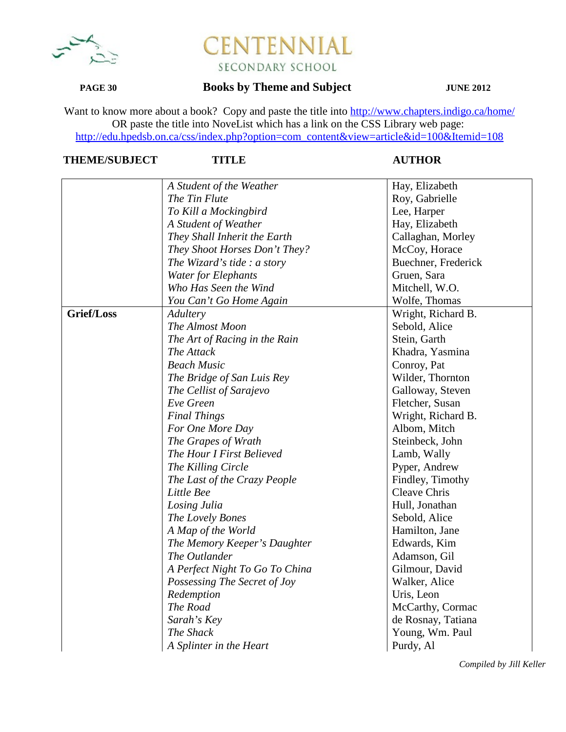

### **PAGE 30 Books by Theme and Subject JUNE 2012**

Want to know more about a book? Copy and paste the title into http://www.chapters.indigo.ca/home/ OR paste the title into NoveList which has a link on the CSS Library web page: http://edu.hpedsb.on.ca/css/index.php?option=com\_content&view=article&id=100&Itemid=108

## **THEME/SUBJECT TITLE AUTHOR**

| Hay, Elizabeth<br>A Student of the Weather         |  |
|----------------------------------------------------|--|
| The Tin Flute<br>Roy, Gabrielle                    |  |
| Lee, Harper<br>To Kill a Mockingbird               |  |
| Hay, Elizabeth<br>A Student of Weather             |  |
| They Shall Inherit the Earth<br>Callaghan, Morley  |  |
| They Shoot Horses Don't They?<br>McCoy, Horace     |  |
| Buechner, Frederick<br>The Wizard's tide : a story |  |
| <b>Water for Elephants</b><br>Gruen, Sara          |  |
| Who Has Seen the Wind<br>Mitchell, W.O.            |  |
| Wolfe, Thomas<br>You Can't Go Home Again           |  |
| Grief/Loss<br>Wright, Richard B.<br>Adultery       |  |
| The Almost Moon<br>Sebold, Alice                   |  |
| The Art of Racing in the Rain<br>Stein, Garth      |  |
| The Attack<br>Khadra, Yasmina                      |  |
| <b>Beach Music</b><br>Conroy, Pat                  |  |
| The Bridge of San Luis Rey<br>Wilder, Thornton     |  |
| Galloway, Steven<br>The Cellist of Sarajevo        |  |
| Eve Green<br>Fletcher, Susan                       |  |
| <b>Final Things</b><br>Wright, Richard B.          |  |
| For One More Day<br>Albom, Mitch                   |  |
| The Grapes of Wrath<br>Steinbeck, John             |  |
| The Hour I First Believed<br>Lamb, Wally           |  |
| The Killing Circle<br>Pyper, Andrew                |  |
| Findley, Timothy<br>The Last of the Crazy People   |  |
| Cleave Chris<br>Little Bee                         |  |
| Hull, Jonathan<br>Losing Julia                     |  |
| Sebold, Alice<br>The Lovely Bones                  |  |
| Hamilton, Jane<br>A Map of the World               |  |
| Edwards, Kim<br>The Memory Keeper's Daughter       |  |
| The Outlander<br>Adamson, Gil                      |  |
| A Perfect Night To Go To China<br>Gilmour, David   |  |
| Walker, Alice<br>Possessing The Secret of Joy      |  |
| Redemption<br>Uris, Leon                           |  |
| The Road<br>McCarthy, Cormac                       |  |
| Sarah's Key<br>de Rosnay, Tatiana                  |  |
| The Shack<br>Young, Wm. Paul                       |  |
| A Splinter in the Heart<br>Purdy, Al               |  |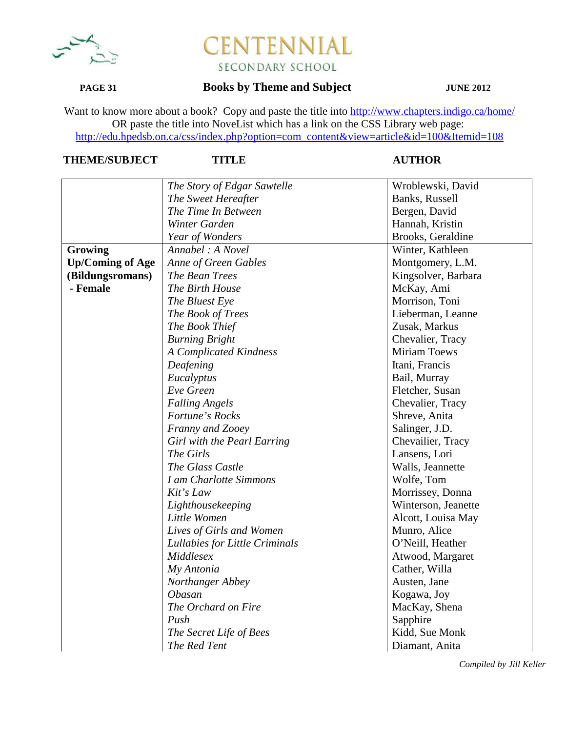

## **PAGE 31 Books by Theme and Subject JUNE 2012**

Want to know more about a book? Copy and paste the title into http://www.chapters.indigo.ca/home/ OR paste the title into NoveList which has a link on the CSS Library web page: http://edu.hpedsb.on.ca/css/index.php?option=com\_content&view=article&id=100&Itemid=108

# **THEME/SUBJECT TITLE AUTHOR**

|                         | The Story of Edgar Sawtelle    | Wroblewski, David   |
|-------------------------|--------------------------------|---------------------|
|                         | The Sweet Hereafter            | Banks, Russell      |
|                         | The Time In Between            | Bergen, David       |
|                         | Winter Garden                  | Hannah, Kristin     |
|                         | Year of Wonders                | Brooks, Geraldine   |
| Growing                 | Annabel: A Novel               | Winter, Kathleen    |
| <b>Up/Coming of Age</b> | Anne of Green Gables           | Montgomery, L.M.    |
| (Bildungsromans)        | The Bean Trees                 | Kingsolver, Barbara |
| - Female                | The Birth House                | McKay, Ami          |
|                         | The Bluest Eye                 | Morrison, Toni      |
|                         | The Book of Trees              | Lieberman, Leanne   |
|                         | The Book Thief                 | Zusak, Markus       |
|                         | <b>Burning Bright</b>          | Chevalier, Tracy    |
|                         | <b>A Complicated Kindness</b>  | <b>Miriam Toews</b> |
|                         | Deafening                      | Itani, Francis      |
|                         | Eucalyptus                     | Bail, Murray        |
|                         | Eve Green                      | Fletcher, Susan     |
|                         | <b>Falling Angels</b>          | Chevalier, Tracy    |
|                         | Fortune's Rocks                | Shreve, Anita       |
|                         | Franny and Zooey               | Salinger, J.D.      |
|                         | Girl with the Pearl Earring    | Chevailier, Tracy   |
|                         | The Girls                      | Lansens, Lori       |
|                         | The Glass Castle               | Walls, Jeannette    |
|                         | I am Charlotte Simmons         | Wolfe, Tom          |
|                         | Kit's Law                      | Morrissey, Donna    |
|                         | Lighthousekeeping              | Winterson, Jeanette |
|                         | Little Women                   | Alcott, Louisa May  |
|                         | Lives of Girls and Women       | Munro, Alice        |
|                         | Lullabies for Little Criminals | O'Neill, Heather    |
|                         | Middlesex                      | Atwood, Margaret    |
|                         | My Antonia                     | Cather, Willa       |
|                         | Northanger Abbey               | Austen, Jane        |
|                         | <b>Obasan</b>                  | Kogawa, Joy         |
|                         | The Orchard on Fire            | MacKay, Shena       |
|                         | Push                           | Sapphire            |
|                         | The Secret Life of Bees        | Kidd, Sue Monk      |
|                         | The Red Tent                   | Diamant, Anita      |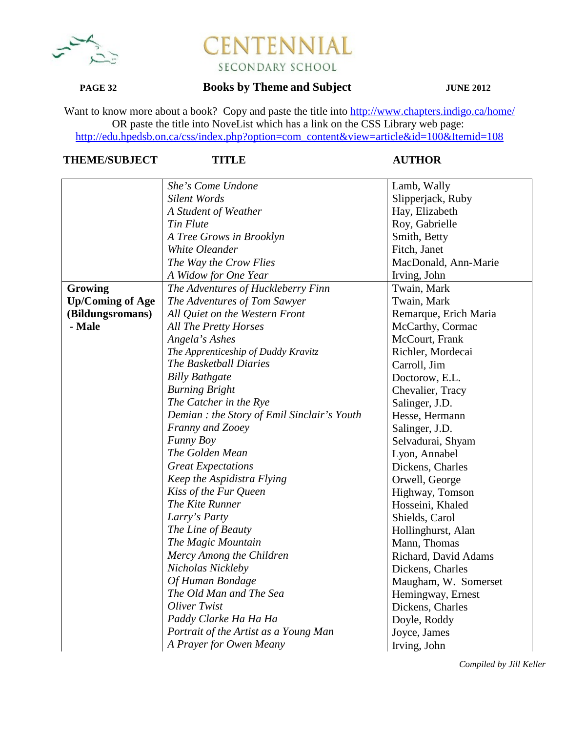

## **PAGE 32 Books by Theme and Subject JUNE 2012**

Want to know more about a book? Copy and paste the title into http://www.chapters.indigo.ca/home/ OR paste the title into NoveList which has a link on the CSS Library web page: http://edu.hpedsb.on.ca/css/index.php?option=com\_content&view=article&id=100&Itemid=108

# **THEME/SUBJECT TITLE AUTHOR**

|                         | She's Come Undone                           | Lamb, Wally           |
|-------------------------|---------------------------------------------|-----------------------|
|                         | <b>Silent Words</b>                         | Slipperjack, Ruby     |
|                         | A Student of Weather                        | Hay, Elizabeth        |
|                         | Tin Flute                                   | Roy, Gabrielle        |
|                         | A Tree Grows in Brooklyn                    | Smith, Betty          |
|                         | White Oleander                              | Fitch, Janet          |
|                         | The Way the Crow Flies                      | MacDonald, Ann-Marie  |
|                         | A Widow for One Year                        | Irving, John          |
| Growing                 | The Adventures of Huckleberry Finn          | Twain, Mark           |
| <b>Up/Coming of Age</b> | The Adventures of Tom Sawyer                | Twain, Mark           |
| (Bildungsromans)        | All Quiet on the Western Front              | Remarque, Erich Maria |
| - Male                  | <b>All The Pretty Horses</b>                | McCarthy, Cormac      |
|                         | Angela's Ashes                              | McCourt, Frank        |
|                         | The Apprenticeship of Duddy Kravitz         | Richler, Mordecai     |
|                         | The Basketball Diaries                      | Carroll, Jim          |
|                         | <b>Billy Bathgate</b>                       | Doctorow, E.L.        |
|                         | <b>Burning Bright</b>                       | Chevalier, Tracy      |
|                         | The Catcher in the Rye                      | Salinger, J.D.        |
|                         | Demian : the Story of Emil Sinclair's Youth | Hesse, Hermann        |
|                         | Franny and Zooey                            | Salinger, J.D.        |
|                         | Funny Boy                                   | Selvadurai, Shyam     |
|                         | The Golden Mean                             | Lyon, Annabel         |
|                         | <b>Great Expectations</b>                   | Dickens, Charles      |
|                         | Keep the Aspidistra Flying                  | Orwell, George        |
|                         | Kiss of the Fur Queen                       | Highway, Tomson       |
|                         | The Kite Runner                             | Hosseini, Khaled      |
|                         | Larry's Party                               | Shields, Carol        |
|                         | The Line of Beauty                          | Hollinghurst, Alan    |
|                         | The Magic Mountain                          | Mann, Thomas          |
|                         | Mercy Among the Children                    | Richard, David Adams  |
|                         | Nicholas Nickleby                           | Dickens, Charles      |
|                         | Of Human Bondage                            | Maugham, W. Somerset  |
|                         | The Old Man and The Sea                     | Hemingway, Ernest     |
|                         | Oliver Twist                                | Dickens, Charles      |
|                         | Paddy Clarke Ha Ha Ha                       | Doyle, Roddy          |
|                         | Portrait of the Artist as a Young Man       | Joyce, James          |
|                         | A Prayer for Owen Meany                     | Irving, John          |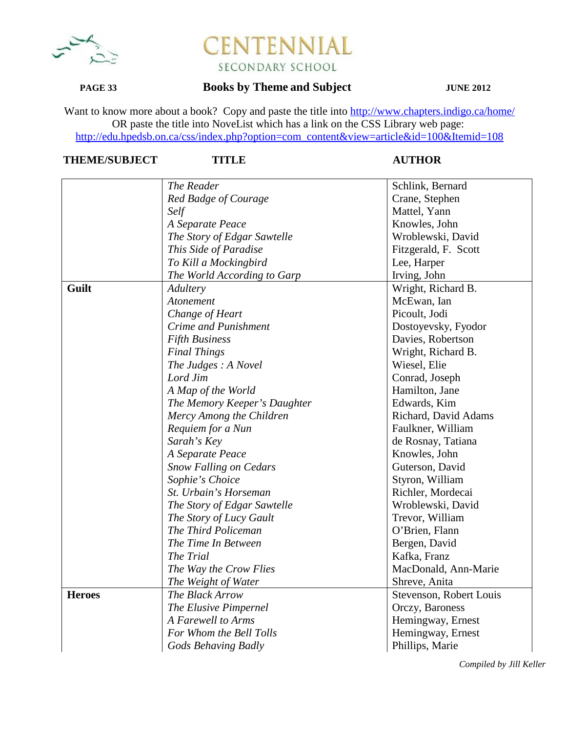

## **PAGE 33 Books by Theme and Subject JUNE 2012**

Want to know more about a book? Copy and paste the title into http://www.chapters.indigo.ca/home/ OR paste the title into NoveList which has a link on the CSS Library web page: http://edu.hpedsb.on.ca/css/index.php?option=com\_content&view=article&id=100&Itemid=108

# **THEME/SUBJECT TITLE AUTHOR**

|               | The Reader                    | Schlink, Bernard        |
|---------------|-------------------------------|-------------------------|
|               | Red Badge of Courage          | Crane, Stephen          |
|               | Self                          | Mattel, Yann            |
|               |                               |                         |
|               | A Separate Peace              | Knowles, John           |
|               | The Story of Edgar Sawtelle   | Wroblewski, David       |
|               | This Side of Paradise         | Fitzgerald, F. Scott    |
|               | To Kill a Mockingbird         | Lee, Harper             |
|               | The World According to Garp   | Irving, John            |
| Guilt         | Adultery                      | Wright, Richard B.      |
|               | Atonement                     | McEwan, Ian             |
|               | Change of Heart               | Picoult, Jodi           |
|               | Crime and Punishment          | Dostoyevsky, Fyodor     |
|               | <b>Fifth Business</b>         | Davies, Robertson       |
|               | <b>Final Things</b>           | Wright, Richard B.      |
|               | The Judges: A Novel           | Wiesel, Elie            |
|               | Lord Jim                      | Conrad, Joseph          |
|               | A Map of the World            | Hamilton, Jane          |
|               | The Memory Keeper's Daughter  | Edwards, Kim            |
|               | Mercy Among the Children      | Richard, David Adams    |
|               | Requiem for a Nun             | Faulkner, William       |
|               | Sarah's Key                   | de Rosnay, Tatiana      |
|               | A Separate Peace              | Knowles, John           |
|               | <b>Snow Falling on Cedars</b> | Guterson, David         |
|               | Sophie's Choice               | Styron, William         |
|               | St. Urbain's Horseman         | Richler, Mordecai       |
|               | The Story of Edgar Sawtelle   | Wroblewski, David       |
|               | The Story of Lucy Gault       | Trevor, William         |
|               | The Third Policeman           | O'Brien, Flann          |
|               | The Time In Between           | Bergen, David           |
|               | The Trial                     | Kafka, Franz            |
|               | The Way the Crow Flies        | MacDonald, Ann-Marie    |
|               | The Weight of Water           | Shreve, Anita           |
| <b>Heroes</b> | The Black Arrow               | Stevenson, Robert Louis |
|               | The Elusive Pimpernel         | Orczy, Baroness         |
|               | A Farewell to Arms            |                         |
|               |                               | Hemingway, Ernest       |
|               | For Whom the Bell Tolls       | Hemingway, Ernest       |
|               | Gods Behaving Badly           | Phillips, Marie         |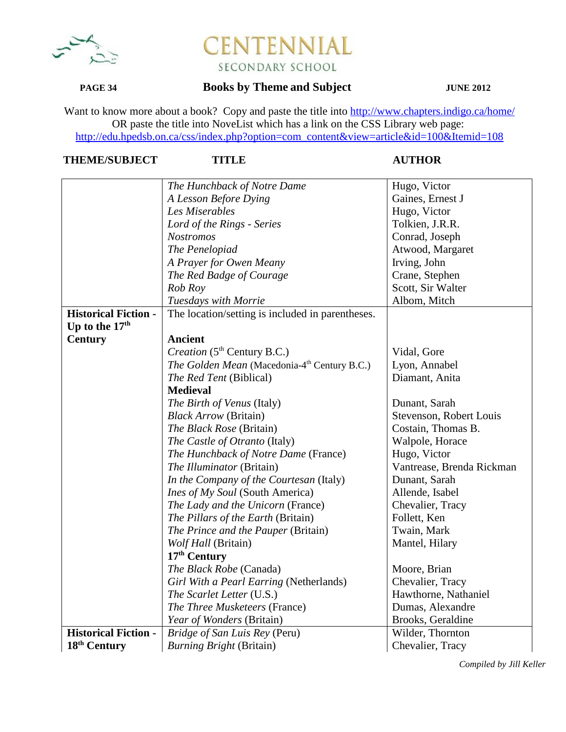

## **PAGE 34 Books by Theme and Subject JUNE 2012**

Want to know more about a book? Copy and paste the title into http://www.chapters.indigo.ca/home/ OR paste the title into NoveList which has a link on the CSS Library web page: http://edu.hpedsb.on.ca/css/index.php?option=com\_content&view=article&id=100&Itemid=108

## **THEME/SUBJECT TITLE AUTHOR**

|                             | The Hunchback of Notre Dame                              | Hugo, Victor              |
|-----------------------------|----------------------------------------------------------|---------------------------|
|                             | A Lesson Before Dying                                    | Gaines, Ernest J          |
|                             | Les Miserables                                           | Hugo, Victor              |
|                             | Lord of the Rings - Series                               | Tolkien, J.R.R.           |
|                             | <b>Nostromos</b>                                         | Conrad, Joseph            |
|                             | The Penelopiad                                           | Atwood, Margaret          |
|                             | A Prayer for Owen Meany                                  | Irving, John              |
|                             | The Red Badge of Courage                                 | Crane, Stephen            |
|                             | Rob Roy                                                  | Scott, Sir Walter         |
|                             | Tuesdays with Morrie                                     | Albom, Mitch              |
| <b>Historical Fiction -</b> | The location/setting is included in parentheses.         |                           |
| Up to the 17 <sup>th</sup>  |                                                          |                           |
| <b>Century</b>              | <b>Ancient</b>                                           |                           |
|                             | Creation (5 <sup>th</sup> Century B.C.)                  | Vidal, Gore               |
|                             | The Golden Mean (Macedonia-4 <sup>th</sup> Century B.C.) | Lyon, Annabel             |
|                             | The Red Tent (Biblical)                                  | Diamant, Anita            |
|                             | <b>Medieval</b>                                          |                           |
|                             | The Birth of Venus (Italy)                               | Dunant, Sarah             |
|                             | <b>Black Arrow</b> (Britain)                             | Stevenson, Robert Louis   |
|                             | The Black Rose (Britain)                                 | Costain, Thomas B.        |
|                             | The Castle of Otranto (Italy)                            | Walpole, Horace           |
|                             | The Hunchback of Notre Dame (France)                     | Hugo, Victor              |
|                             | The Illuminator (Britain)                                | Vantrease, Brenda Rickman |
|                             | In the Company of the Courtesan (Italy)                  | Dunant, Sarah             |
|                             | <i>Ines of My Soul</i> (South America)                   | Allende, Isabel           |
|                             | The Lady and the Unicorn (France)                        | Chevalier, Tracy          |
|                             | The Pillars of the Earth (Britain)                       | Follett, Ken              |
|                             | The Prince and the Pauper (Britain)                      | Twain, Mark               |
|                             | Wolf Hall (Britain)                                      | Mantel, Hilary            |
|                             | 17 <sup>th</sup> Century                                 |                           |
|                             | The Black Robe (Canada)                                  | Moore, Brian              |
|                             | Girl With a Pearl Earring (Netherlands)                  | Chevalier, Tracy          |
|                             | The Scarlet Letter (U.S.)                                | Hawthorne, Nathaniel      |
|                             | The Three Musketeers (France)                            | Dumas, Alexandre          |
|                             | Year of Wonders (Britain)                                | Brooks, Geraldine         |
| <b>Historical Fiction -</b> | Bridge of San Luis Rey (Peru)                            | Wilder, Thornton          |
| 18 <sup>th</sup> Century    | <b>Burning Bright (Britain)</b>                          | Chevalier, Tracy          |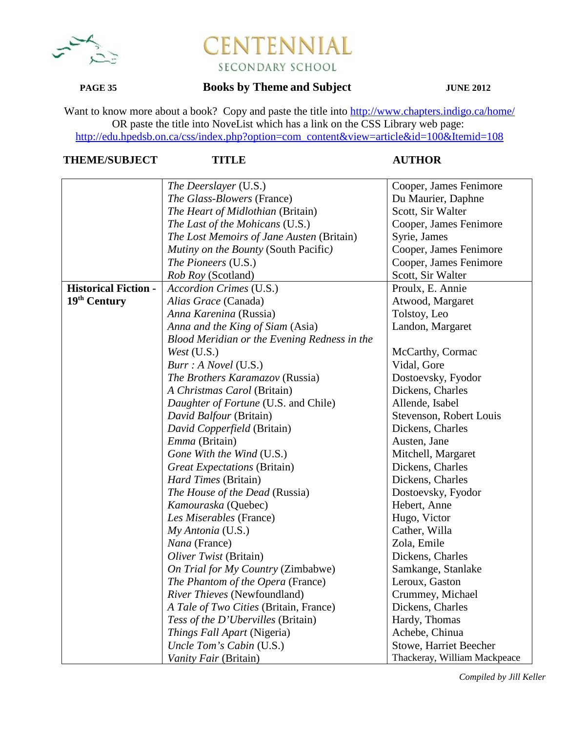

## **PAGE 35 Books by Theme and Subject JUNE 2012**

Want to know more about a book? Copy and paste the title into http://www.chapters.indigo.ca/home/ OR paste the title into NoveList which has a link on the CSS Library web page: http://edu.hpedsb.on.ca/css/index.php?option=com\_content&view=article&id=100&Itemid=108

# **THEME/SUBJECT TITLE AUTHOR**

|                             | The Deerslayer (U.S.)                        | Cooper, James Fenimore       |
|-----------------------------|----------------------------------------------|------------------------------|
|                             | <i>The Glass-Blowers</i> (France)            | Du Maurier, Daphne           |
|                             | The Heart of Midlothian (Britain)            | Scott, Sir Walter            |
|                             | The Last of the Mohicans (U.S.)              | Cooper, James Fenimore       |
|                             | The Lost Memoirs of Jane Austen (Britain)    | Syrie, James                 |
|                             | Mutiny on the Bounty (South Pacific)         | Cooper, James Fenimore       |
|                             | The Pioneers (U.S.)                          | Cooper, James Fenimore       |
|                             | <i>Rob Roy</i> (Scotland)                    | Scott, Sir Walter            |
| <b>Historical Fiction -</b> | Accordion Crimes (U.S.)                      | Proulx, E. Annie             |
| 19th Century                | Alias Grace (Canada)                         | Atwood, Margaret             |
|                             | Anna Karenina (Russia)                       | Tolstoy, Leo                 |
|                             | Anna and the King of Siam (Asia)             | Landon, Margaret             |
|                             | Blood Meridian or the Evening Redness in the |                              |
|                             | <i>West</i> $(U.S.)$                         | McCarthy, Cormac             |
|                             | Burr : A Novel (U.S.)                        | Vidal, Gore                  |
|                             | The Brothers Karamazov (Russia)              | Dostoevsky, Fyodor           |
|                             | A Christmas Carol (Britain)                  | Dickens, Charles             |
|                             | Daughter of Fortune (U.S. and Chile)         | Allende, Isabel              |
|                             | David Balfour (Britain)                      | Stevenson, Robert Louis      |
|                             | David Copperfield (Britain)                  | Dickens, Charles             |
|                             | Emma (Britain)                               | Austen, Jane                 |
|                             | Gone With the Wind (U.S.)                    | Mitchell, Margaret           |
|                             | <b>Great Expectations (Britain)</b>          | Dickens, Charles             |
|                             | Hard Times (Britain)                         | Dickens, Charles             |
|                             | The House of the Dead (Russia)               | Dostoevsky, Fyodor           |
|                             | Kamouraska (Quebec)                          | Hebert, Anne                 |
|                             | Les Miserables (France)                      | Hugo, Victor                 |
|                             | My Antonia (U.S.)                            | Cather, Willa                |
|                             | Nana (France)                                | Zola, Emile                  |
|                             | Oliver Twist (Britain)                       | Dickens, Charles             |
|                             | On Trial for My Country (Zimbabwe)           | Samkange, Stanlake           |
|                             | The Phantom of the Opera (France)            | Leroux, Gaston               |
|                             | River Thieves (Newfoundland)                 | Crummey, Michael             |
|                             | A Tale of Two Cities (Britain, France)       | Dickens, Charles             |
|                             | Tess of the D'Ubervilles (Britain)           | Hardy, Thomas                |
|                             | Things Fall Apart (Nigeria)                  | Achebe, Chinua               |
|                             | Uncle Tom's Cabin (U.S.)                     | Stowe, Harriet Beecher       |
|                             | Vanity Fair (Britain)                        | Thackeray, William Mackpeace |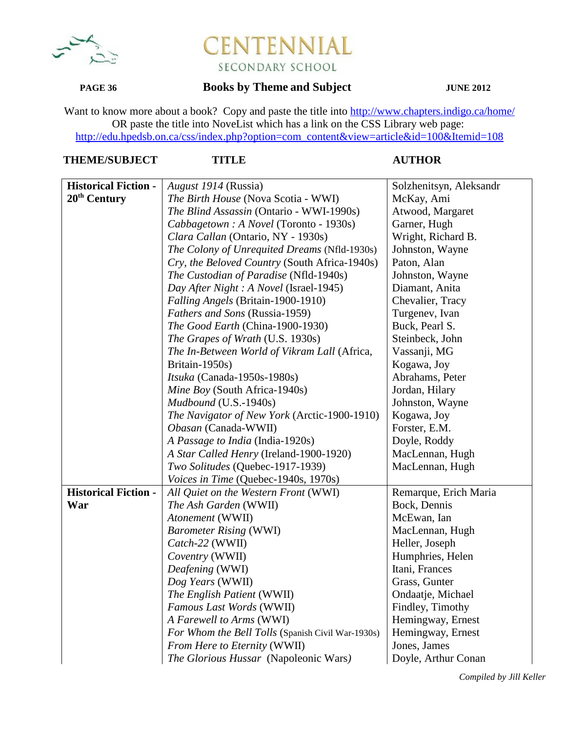

## **PAGE 36 Books by Theme and Subject JUNE 2012**

Want to know more about a book? Copy and paste the title into http://www.chapters.indigo.ca/home/ OR paste the title into NoveList which has a link on the CSS Library web page: http://edu.hpedsb.on.ca/css/index.php?option=com\_content&view=article&id=100&Itemid=108

### **TITLE AUTHOR**

| <b>Historical Fiction -</b> | August 1914 (Russia)                              | Solzhenitsyn, Aleksandr |
|-----------------------------|---------------------------------------------------|-------------------------|
| 20 <sup>th</sup> Century    | The Birth House (Nova Scotia - WWI)               | McKay, Ami              |
|                             | The Blind Assassin (Ontario - WWI-1990s)          | Atwood, Margaret        |
|                             | Cabbagetown : A Novel (Toronto - 1930s)           | Garner, Hugh            |
|                             | Clara Callan (Ontario, NY - 1930s)                | Wright, Richard B.      |
|                             | The Colony of Unrequited Dreams (Nfld-1930s)      | Johnston, Wayne         |
|                             | Cry, the Beloved Country (South Africa-1940s)     | Paton, Alan             |
|                             | The Custodian of Paradise (Nfld-1940s)            | Johnston, Wayne         |
|                             | Day After Night : A Novel (Israel-1945)           | Diamant, Anita          |
|                             | Falling Angels (Britain-1900-1910)                | Chevalier, Tracy        |
|                             | Fathers and Sons (Russia-1959)                    | Turgenev, Ivan          |
|                             | The Good Earth (China-1900-1930)                  | Buck, Pearl S.          |
|                             | The Grapes of Wrath (U.S. 1930s)                  | Steinbeck, John         |
|                             | The In-Between World of Vikram Lall (Africa,      | Vassanji, MG            |
|                             | Britain-1950s)                                    | Kogawa, Joy             |
|                             | Itsuka (Canada-1950s-1980s)                       | Abrahams, Peter         |
|                             | Mine Boy (South Africa-1940s)                     | Jordan, Hilary          |
|                             | Mudbound (U.S.-1940s)                             | Johnston, Wayne         |
|                             | The Navigator of New York (Arctic-1900-1910)      | Kogawa, Joy             |
|                             | Obasan (Canada-WWII)                              | Forster, E.M.           |
|                             | A Passage to India (India-1920s)                  | Doyle, Roddy            |
|                             | A Star Called Henry (Ireland-1900-1920)           | MacLennan, Hugh         |
|                             | Two Solitudes (Quebec-1917-1939)                  | MacLennan, Hugh         |
|                             | Voices in Time (Quebec-1940s, 1970s)              |                         |
| <b>Historical Fiction -</b> | All Quiet on the Western Front (WWI)              | Remarque, Erich Maria   |
| War                         | The Ash Garden (WWII)                             | Bock, Dennis            |
|                             | Atonement (WWII)                                  | McEwan, Ian             |
|                             | <b>Barometer Rising (WWI)</b>                     | MacLennan, Hugh         |
|                             | Catch-22 (WWII)                                   | Heller, Joseph          |
|                             | Coventry (WWII)                                   | Humphries, Helen        |
|                             | Deafening (WWI)                                   | Itani, Frances          |
|                             | Dog Years (WWII)                                  | Grass, Gunter           |
|                             | The English Patient (WWII)                        | Ondaatje, Michael       |
|                             | Famous Last Words (WWII)                          | Findley, Timothy        |
|                             | A Farewell to Arms (WWI)                          | Hemingway, Ernest       |
|                             | For Whom the Bell Tolls (Spanish Civil War-1930s) | Hemingway, Ernest       |
|                             | From Here to Eternity (WWII)                      | Jones, James            |
|                             | The Glorious Hussar (Napoleonic Wars)             | Doyle, Arthur Conan     |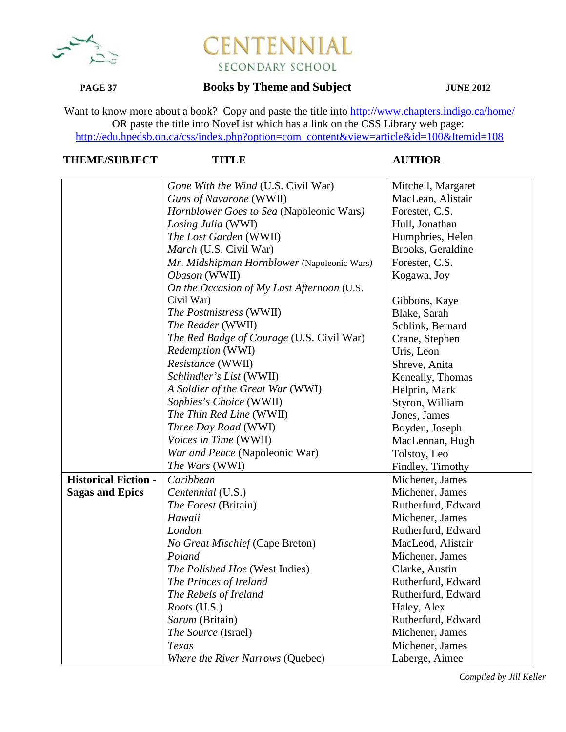

# **PAGE 37 Books by Theme and Subject JUNE 2012**

Want to know more about a book? Copy and paste the title into http://www.chapters.indigo.ca/home/ OR paste the title into NoveList which has a link on the CSS Library web page: http://edu.hpedsb.on.ca/css/index.php?option=com\_content&view=article&id=100&Itemid=108

## **THEME/SUBJECT TITLE AUTHOR**

|                             | Gone With the Wind (U.S. Civil War)         | Mitchell, Margaret |
|-----------------------------|---------------------------------------------|--------------------|
|                             | Guns of Navarone (WWII)                     | MacLean, Alistair  |
|                             | Hornblower Goes to Sea (Napoleonic Wars)    | Forester, C.S.     |
|                             | Losing Julia (WWI)                          | Hull, Jonathan     |
|                             | The Lost Garden (WWII)                      | Humphries, Helen   |
|                             | <i>March</i> (U.S. Civil War)               | Brooks, Geraldine  |
|                             | Mr. Midshipman Hornblower (Napoleonic Wars) | Forester, C.S.     |
|                             | Obason (WWII)                               | Kogawa, Joy        |
|                             | On the Occasion of My Last Afternoon (U.S.  |                    |
|                             | Civil War)                                  | Gibbons, Kaye      |
|                             | The Postmistress (WWII)                     | Blake, Sarah       |
|                             | The Reader (WWII)                           | Schlink, Bernard   |
|                             | The Red Badge of Courage (U.S. Civil War)   | Crane, Stephen     |
|                             | Redemption (WWI)                            | Uris, Leon         |
|                             | Resistance (WWII)                           | Shreve, Anita      |
|                             | Schlindler's List (WWII)                    | Keneally, Thomas   |
|                             | A Soldier of the Great War (WWI)            | Helprin, Mark      |
|                             | Sophies's Choice (WWII)                     | Styron, William    |
|                             | The Thin Red Line (WWII)                    | Jones, James       |
|                             | Three Day Road (WWI)                        | Boyden, Joseph     |
|                             | Voices in Time (WWII)                       | MacLennan, Hugh    |
|                             | War and Peace (Napoleonic War)              | Tolstoy, Leo       |
|                             | The Wars (WWI)                              | Findley, Timothy   |
| <b>Historical Fiction -</b> | Caribbean                                   | Michener, James    |
| <b>Sagas and Epics</b>      | Centennial (U.S.)                           | Michener, James    |
|                             | <i>The Forest</i> (Britain)                 | Rutherfurd, Edward |
|                             | Hawaii                                      | Michener, James    |
|                             | London                                      | Rutherfurd, Edward |
|                             | No Great Mischief (Cape Breton)             | MacLeod, Alistair  |
|                             | Poland                                      | Michener, James    |
|                             | The Polished Hoe (West Indies)              | Clarke, Austin     |
|                             | The Princes of Ireland                      | Rutherfurd, Edward |
|                             | The Rebels of Ireland                       | Rutherfurd, Edward |
|                             | <i>Roots</i> (U.S.)                         | Haley, Alex        |
|                             | Sarum (Britain)                             | Rutherfurd, Edward |
|                             | The Source (Israel)                         | Michener, James    |
|                             | Texas                                       | Michener, James    |
|                             | Where the River Narrows (Quebec)            | Laberge, Aimee     |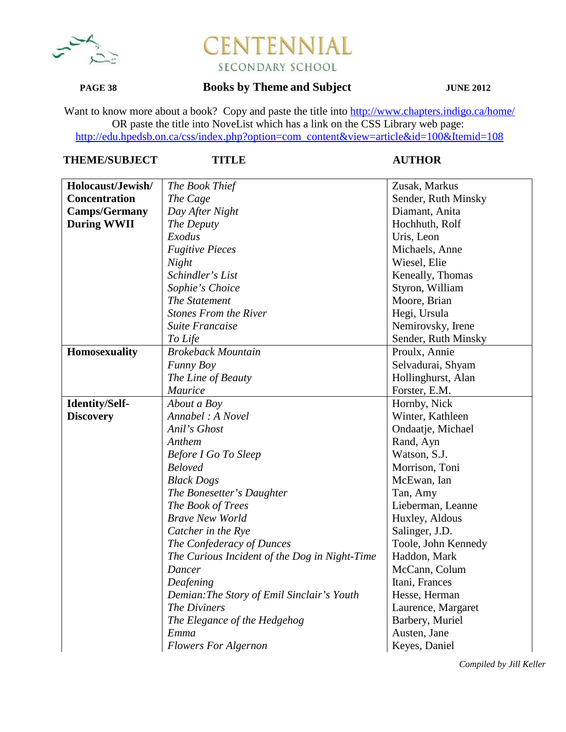

## **PAGE 38 Books by Theme and Subject JUNE 2012**

Want to know more about a book? Copy and paste the title into http://www.chapters.indigo.ca/home/ OR paste the title into NoveList which has a link on the CSS Library web page: http://edu.hpedsb.on.ca/css/index.php?option=com\_content&view=article&id=100&Itemid=108

### **THEME/SUBJECT TITLE AUTHOR**

| Holocaust/Jewish/    | The Book Thief                                | Zusak, Markus       |
|----------------------|-----------------------------------------------|---------------------|
| <b>Concentration</b> | The Cage                                      | Sender, Ruth Minsky |
| <b>Camps/Germany</b> | Day After Night                               | Diamant, Anita      |
| <b>During WWII</b>   | The Deputy                                    | Hochhuth, Rolf      |
|                      | Exodus                                        | Uris, Leon          |
|                      | <b>Fugitive Pieces</b>                        | Michaels, Anne      |
|                      | Night                                         | Wiesel, Elie        |
|                      | Schindler's List                              | Keneally, Thomas    |
|                      | Sophie's Choice                               | Styron, William     |
|                      | The Statement                                 | Moore, Brian        |
|                      | <b>Stones From the River</b>                  | Hegi, Ursula        |
|                      | Suite Francaise                               | Nemirovsky, Irene   |
|                      | To Life                                       | Sender, Ruth Minsky |
| <b>Homosexuality</b> | <b>Brokeback Mountain</b>                     | Proulx, Annie       |
|                      | Funny Boy                                     | Selvadurai, Shyam   |
|                      | The Line of Beauty                            | Hollinghurst, Alan  |
|                      | <b>Maurice</b>                                | Forster, E.M.       |
| Identity/Self-       | About a Boy                                   | Hornby, Nick        |
| <b>Discovery</b>     | Annabel: A Novel                              | Winter, Kathleen    |
|                      | Anil's Ghost                                  | Ondaatje, Michael   |
|                      | Anthem                                        | Rand, Ayn           |
|                      | <b>Before I Go To Sleep</b>                   | Watson, S.J.        |
|                      | <b>Beloved</b>                                | Morrison, Toni      |
|                      | <b>Black Dogs</b>                             | McEwan, Ian         |
|                      | The Bonesetter's Daughter                     | Tan, Amy            |
|                      | The Book of Trees                             | Lieberman, Leanne   |
|                      | <b>Brave New World</b>                        | Huxley, Aldous      |
|                      | Catcher in the Rye                            | Salinger, J.D.      |
|                      | The Confederacy of Dunces                     | Toole, John Kennedy |
|                      | The Curious Incident of the Dog in Night-Time | Haddon, Mark        |
|                      | Dancer                                        | McCann, Colum       |
|                      | Deafening                                     | Itani, Frances      |
|                      | Demian: The Story of Emil Sinclair's Youth    | Hesse, Herman       |
|                      | The Diviners                                  | Laurence, Margaret  |
|                      | The Elegance of the Hedgehog                  | Barbery, Muriel     |
|                      | Emma                                          | Austen, Jane        |
|                      | <b>Flowers For Algernon</b>                   | Keyes, Daniel       |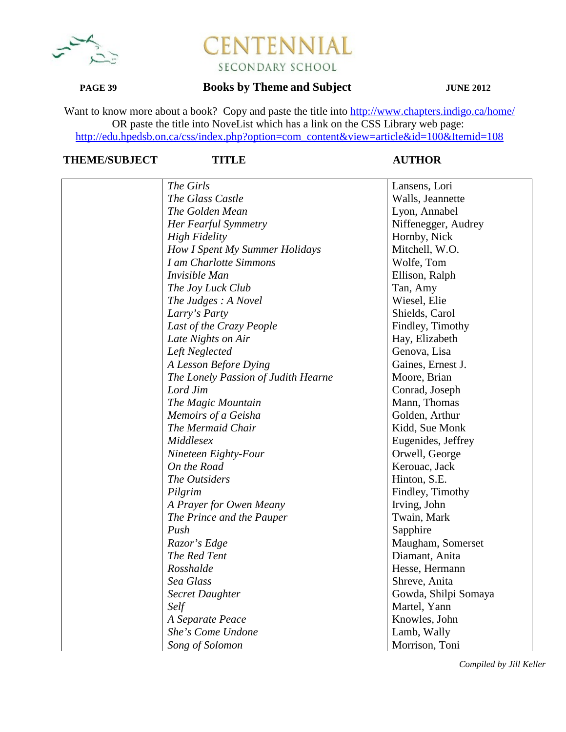

### **PAGE 39 Books by Theme and Subject JUNE 2012**

Want to know more about a book? Copy and paste the title into http://www.chapters.indigo.ca/home/ OR paste the title into NoveList which has a link on the CSS Library web page: http://edu.hpedsb.on.ca/css/index.php?option=com\_content&view=article&id=100&Itemid=108

# **THEME/SUBJECT TITLE AUTHOR**

| The Girls                           | Lansens, Lori        |
|-------------------------------------|----------------------|
| The Glass Castle                    | Walls, Jeannette     |
| The Golden Mean                     | Lyon, Annabel        |
| Her Fearful Symmetry                | Niffenegger, Audrey  |
| <b>High Fidelity</b>                | Hornby, Nick         |
| How I Spent My Summer Holidays      | Mitchell, W.O.       |
| I am Charlotte Simmons              | Wolfe, Tom           |
| Invisible Man                       | Ellison, Ralph       |
| The Joy Luck Club                   | Tan, Amy             |
| The Judges: A Novel                 | Wiesel, Elie         |
| Larry's Party                       | Shields, Carol       |
| Last of the Crazy People            | Findley, Timothy     |
| Late Nights on Air                  | Hay, Elizabeth       |
| Left Neglected                      | Genova, Lisa         |
| A Lesson Before Dying               | Gaines, Ernest J.    |
| The Lonely Passion of Judith Hearne | Moore, Brian         |
| Lord Jim                            | Conrad, Joseph       |
| The Magic Mountain                  | Mann, Thomas         |
| Memoirs of a Geisha                 | Golden, Arthur       |
| The Mermaid Chair                   | Kidd, Sue Monk       |
| Middlesex                           | Eugenides, Jeffrey   |
| Nineteen Eighty-Four                | Orwell, George       |
| On the Road                         | Kerouac, Jack        |
| The Outsiders                       | Hinton, S.E.         |
| Pilgrim                             | Findley, Timothy     |
| A Prayer for Owen Meany             | Irving, John         |
| The Prince and the Pauper           | Twain, Mark          |
| Push                                | Sapphire             |
| Razor's Edge                        | Maugham, Somerset    |
| The Red Tent                        | Diamant, Anita       |
| Rosshalde                           | Hesse, Hermann       |
| Sea Glass                           | Shreve, Anita        |
| <b>Secret Daughter</b>              | Gowda, Shilpi Somaya |
| Self                                | Martel, Yann         |
| A Separate Peace                    | Knowles, John        |
| She's Come Undone                   | Lamb, Wally          |
| Song of Solomon                     | Morrison, Toni       |
|                                     |                      |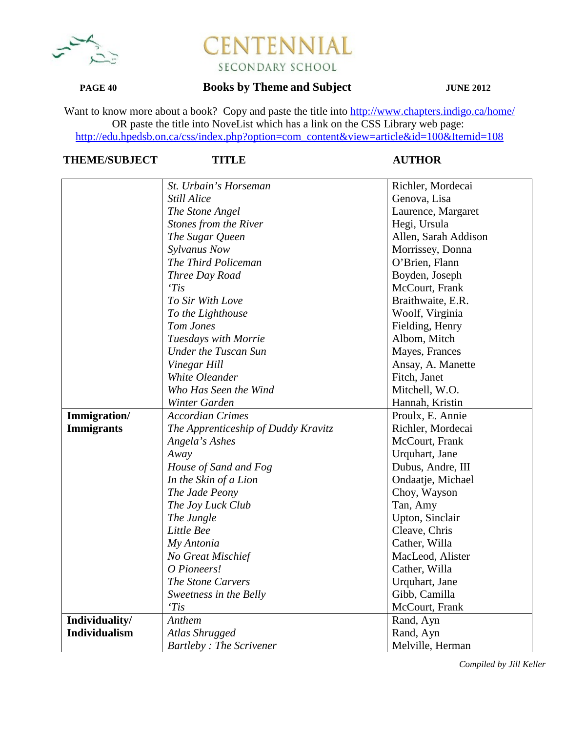

## **PAGE 40 Books by Theme and Subject JUNE 2012**

Want to know more about a book? Copy and paste the title into http://www.chapters.indigo.ca/home/ OR paste the title into NoveList which has a link on the CSS Library web page: http://edu.hpedsb.on.ca/css/index.php?option=com\_content&view=article&id=100&Itemid=108

## **THEME/SUBJECT TITLE AUTHOR**

|                      | St. Urbain's Horseman               | Richler, Mordecai    |
|----------------------|-------------------------------------|----------------------|
|                      | <b>Still Alice</b>                  | Genova, Lisa         |
|                      | The Stone Angel                     | Laurence, Margaret   |
|                      | Stones from the River               | Hegi, Ursula         |
|                      | The Sugar Queen                     | Allen, Sarah Addison |
|                      | Sylvanus Now                        | Morrissey, Donna     |
|                      | The Third Policeman                 | O'Brien, Flann       |
|                      | Three Day Road                      | Boyden, Joseph       |
|                      | Tis                                 | McCourt, Frank       |
|                      | To Sir With Love                    | Braithwaite, E.R.    |
|                      | To the Lighthouse                   | Woolf, Virginia      |
|                      | Tom Jones                           | Fielding, Henry      |
|                      | Tuesdays with Morrie                | Albom, Mitch         |
|                      | <b>Under the Tuscan Sun</b>         | Mayes, Frances       |
|                      | Vinegar Hill                        | Ansay, A. Manette    |
|                      | White Oleander                      | Fitch, Janet         |
|                      | Who Has Seen the Wind               | Mitchell, W.O.       |
|                      | Winter Garden                       | Hannah, Kristin      |
| Immigration/         | <b>Accordian Crimes</b>             | Proulx, E. Annie     |
| <b>Immigrants</b>    | The Apprenticeship of Duddy Kravitz | Richler, Mordecai    |
|                      | Angela's Ashes                      | McCourt, Frank       |
|                      | Away                                | Urquhart, Jane       |
|                      | House of Sand and Fog               | Dubus, Andre, III    |
|                      | In the Skin of a Lion               | Ondaatje, Michael    |
|                      | The Jade Peony                      | Choy, Wayson         |
|                      | The Joy Luck Club                   | Tan, Amy             |
|                      | The Jungle                          | Upton, Sinclair      |
|                      | Little Bee                          | Cleave, Chris        |
|                      | My Antonia                          | Cather, Willa        |
|                      | No Great Mischief                   | MacLeod, Alister     |
|                      | O Pioneers!                         | Cather, Willa        |
|                      | The Stone Carvers                   | Urquhart, Jane       |
|                      | Sweetness in the Belly              | Gibb, Camilla        |
|                      | 'Tis                                | McCourt, Frank       |
| Individuality/       | Anthem                              | Rand, Ayn            |
| <b>Individualism</b> | Atlas Shrugged                      | Rand, Ayn            |
|                      | <b>Bartleby: The Scrivener</b>      | Melville, Herman     |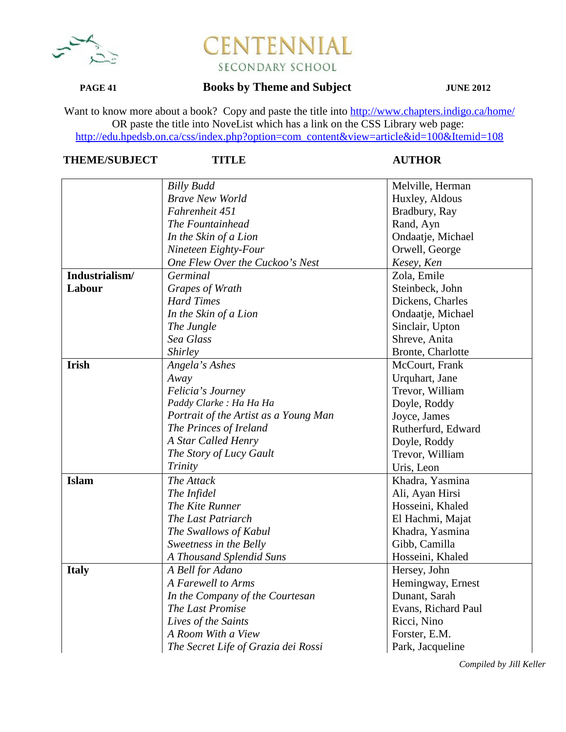

## **PAGE 41 Books by Theme and Subject JUNE 2012**

Want to know more about a book? Copy and paste the title into http://www.chapters.indigo.ca/home/ OR paste the title into NoveList which has a link on the CSS Library web page: http://edu.hpedsb.on.ca/css/index.php?option=com\_content&view=article&id=100&Itemid=108

# **THEME/SUBJECT TITLE AUTHOR**

|                | <b>Billy Budd</b>                     | Melville, Herman    |
|----------------|---------------------------------------|---------------------|
|                | <b>Brave New World</b>                | Huxley, Aldous      |
|                | Fahrenheit 451                        | Bradbury, Ray       |
|                | The Fountainhead                      | Rand, Ayn           |
|                | In the Skin of a Lion                 | Ondaatje, Michael   |
|                | Nineteen Eighty-Four                  | Orwell, George      |
|                | One Flew Over the Cuckoo's Nest       | Kesey, Ken          |
| Industrialism/ | Germinal                              | Zola, Emile         |
| Labour         | Grapes of Wrath                       | Steinbeck, John     |
|                | <b>Hard Times</b>                     | Dickens, Charles    |
|                | In the Skin of a Lion                 | Ondaatje, Michael   |
|                | The Jungle                            | Sinclair, Upton     |
|                | Sea Glass                             | Shreve, Anita       |
|                | Shirley                               | Bronte, Charlotte   |
| <b>Irish</b>   | Angela's Ashes                        | McCourt, Frank      |
|                | Away                                  | Urquhart, Jane      |
|                | Felicia's Journey                     | Trevor, William     |
|                | Paddy Clarke : Ha Ha Ha               | Doyle, Roddy        |
|                | Portrait of the Artist as a Young Man | Joyce, James        |
|                | The Princes of Ireland                | Rutherfurd, Edward  |
|                | A Star Called Henry                   | Doyle, Roddy        |
|                | The Story of Lucy Gault               | Trevor, William     |
|                | Trinity                               | Uris, Leon          |
| <b>Islam</b>   | The Attack                            | Khadra, Yasmina     |
|                | The Infidel                           | Ali, Ayan Hirsi     |
|                | The Kite Runner                       | Hosseini, Khaled    |
|                | The Last Patriarch                    | El Hachmi, Majat    |
|                | The Swallows of Kabul                 | Khadra, Yasmina     |
|                | Sweetness in the Belly                | Gibb, Camilla       |
|                | A Thousand Splendid Suns              | Hosseini, Khaled    |
| <b>Italy</b>   | A Bell for Adano                      | Hersey, John        |
|                | A Farewell to Arms                    | Hemingway, Ernest   |
|                | In the Company of the Courtesan       | Dunant, Sarah       |
|                | The Last Promise                      | Evans, Richard Paul |
|                | Lives of the Saints                   | Ricci, Nino         |
|                | A Room With a View                    | Forster, E.M.       |
|                | The Secret Life of Grazia dei Rossi   | Park, Jacqueline    |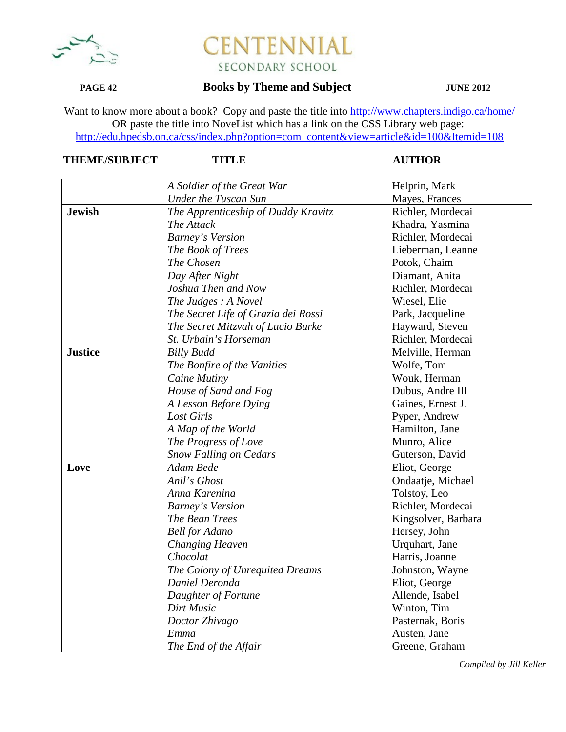

## **PAGE 42 Books by Theme and Subject JUNE 2012**

Want to know more about a book? Copy and paste the title into http://www.chapters.indigo.ca/home/ OR paste the title into NoveList which has a link on the CSS Library web page: http://edu.hpedsb.on.ca/css/index.php?option=com\_content&view=article&id=100&Itemid=108

## **THEME/SUBJECT TITLE AUTHOR**

|                | A Soldier of the Great War          | Helprin, Mark       |
|----------------|-------------------------------------|---------------------|
|                | <b>Under the Tuscan Sun</b>         | Mayes, Frances      |
| <b>Jewish</b>  | The Apprenticeship of Duddy Kravitz | Richler, Mordecai   |
|                | The Attack                          | Khadra, Yasmina     |
|                | <b>Barney's Version</b>             | Richler, Mordecai   |
|                | The Book of Trees                   | Lieberman, Leanne   |
|                | The Chosen                          | Potok, Chaim        |
|                | Day After Night                     | Diamant, Anita      |
|                | Joshua Then and Now                 | Richler, Mordecai   |
|                | The Judges: A Novel                 | Wiesel, Elie        |
|                | The Secret Life of Grazia dei Rossi | Park, Jacqueline    |
|                | The Secret Mitzvah of Lucio Burke   | Hayward, Steven     |
|                | St. Urbain's Horseman               | Richler, Mordecai   |
| <b>Justice</b> | <b>Billy Budd</b>                   | Melville, Herman    |
|                | The Bonfire of the Vanities         | Wolfe, Tom          |
|                | Caine Mutiny                        | Wouk, Herman        |
|                | House of Sand and Fog               | Dubus, Andre III    |
|                | A Lesson Before Dying               | Gaines, Ernest J.   |
|                | Lost Girls                          | Pyper, Andrew       |
|                | A Map of the World                  | Hamilton, Jane      |
|                | The Progress of Love                | Munro, Alice        |
|                | <b>Snow Falling on Cedars</b>       | Guterson, David     |
| Love           | Adam Bede                           | Eliot, George       |
|                | Anil's Ghost                        | Ondaatje, Michael   |
|                | Anna Karenina                       | Tolstoy, Leo        |
|                | <b>Barney's Version</b>             | Richler, Mordecai   |
|                | The Bean Trees                      | Kingsolver, Barbara |
|                | <b>Bell</b> for Adano               | Hersey, John        |
|                | <b>Changing Heaven</b>              | Urquhart, Jane      |
|                | Chocolat                            | Harris, Joanne      |
|                | The Colony of Unrequited Dreams     | Johnston, Wayne     |
|                | Daniel Deronda                      | Eliot, George       |
|                | Daughter of Fortune                 | Allende, Isabel     |
|                | Dirt Music                          | Winton, Tim         |
|                | Doctor Zhivago                      | Pasternak, Boris    |
|                | Emma                                | Austen, Jane        |
|                | The End of the Affair               | Greene, Graham      |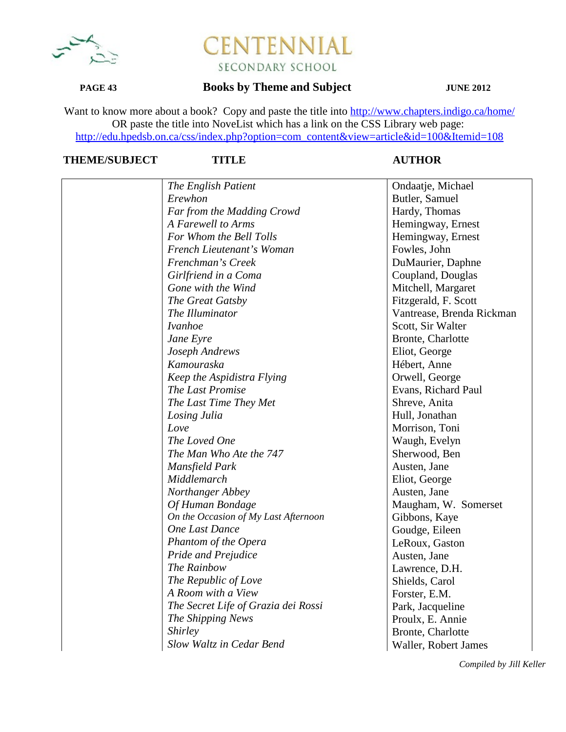

## **PAGE 43 Books by Theme and Subject JUNE 2012**

Want to know more about a book? Copy and paste the title into http://www.chapters.indigo.ca/home/ OR paste the title into NoveList which has a link on the CSS Library web page: http://edu.hpedsb.on.ca/css/index.php?option=com\_content&view=article&id=100&Itemid=108

# **THEME/SUBJECT TITLE AUTHOR**

| The English Patient                  | Ondaatje, Michael         |
|--------------------------------------|---------------------------|
| Erewhon                              | Butler, Samuel            |
| Far from the Madding Crowd           | Hardy, Thomas             |
| A Farewell to Arms                   | Hemingway, Ernest         |
| For Whom the Bell Tolls              | Hemingway, Ernest         |
| French Lieutenant's Woman            | Fowles, John              |
| Frenchman's Creek                    | DuMaurier, Daphne         |
| Girlfriend in a Coma                 | Coupland, Douglas         |
| Gone with the Wind                   | Mitchell, Margaret        |
| The Great Gatsby                     | Fitzgerald, F. Scott      |
| The Illuminator                      | Vantrease, Brenda Rickman |
| <i>Ivanhoe</i>                       | Scott, Sir Walter         |
| Jane Eyre                            | Bronte, Charlotte         |
| Joseph Andrews                       | Eliot, George             |
| Kamouraska                           | Hébert, Anne              |
| Keep the Aspidistra Flying           | Orwell, George            |
| The Last Promise                     | Evans, Richard Paul       |
| The Last Time They Met               | Shreve, Anita             |
| Losing Julia                         | Hull, Jonathan            |
| Love                                 | Morrison, Toni            |
| The Loved One                        | Waugh, Evelyn             |
| The Man Who Ate the 747              | Sherwood, Ben             |
| Mansfield Park                       | Austen, Jane              |
| Middlemarch                          | Eliot, George             |
| Northanger Abbey                     | Austen, Jane              |
| Of Human Bondage                     | Maugham, W. Somerset      |
| On the Occasion of My Last Afternoon | Gibbons, Kaye             |
| One Last Dance                       | Goudge, Eileen            |
| Phantom of the Opera                 | LeRoux, Gaston            |
| Pride and Prejudice                  | Austen, Jane              |
| The Rainbow                          | Lawrence, D.H.            |
| The Republic of Love                 | Shields, Carol            |
| A Room with a View                   | Forster, E.M.             |
| The Secret Life of Grazia dei Rossi  | Park, Jacqueline          |
| The Shipping News                    | Proulx, E. Annie          |
| <i>Shirley</i>                       | Bronte, Charlotte         |
| Slow Waltz in Cedar Bend             | Waller, Robert James      |
|                                      |                           |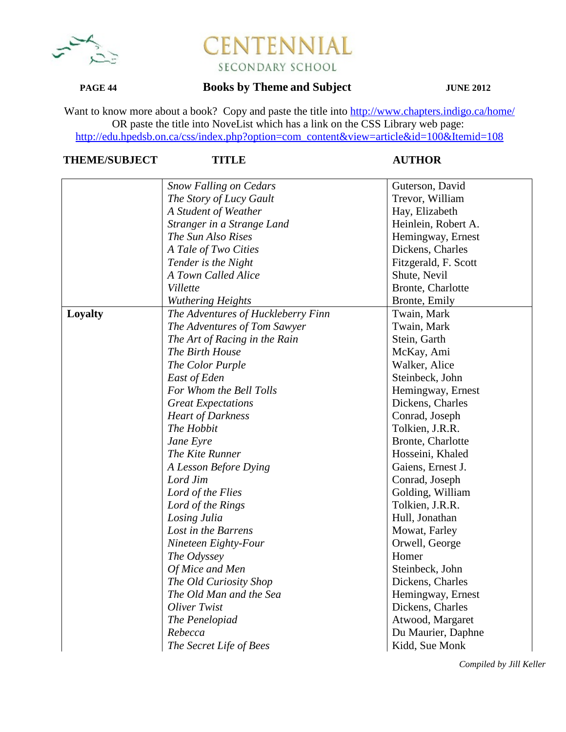

## **PAGE 44 Books by Theme and Subject JUNE 2012**

Want to know more about a book? Copy and paste the title into http://www.chapters.indigo.ca/home/ OR paste the title into NoveList which has a link on the CSS Library web page: http://edu.hpedsb.on.ca/css/index.php?option=com\_content&view=article&id=100&Itemid=108

# **THEME/SUBJECT TITLE AUTHOR**

|         |                                    | Guterson, David      |
|---------|------------------------------------|----------------------|
|         | <b>Snow Falling on Cedars</b>      | Trevor, William      |
|         | The Story of Lucy Gault            |                      |
|         | A Student of Weather               | Hay, Elizabeth       |
|         | Stranger in a Strange Land         | Heinlein, Robert A.  |
|         | The Sun Also Rises                 | Hemingway, Ernest    |
|         | A Tale of Two Cities               | Dickens, Charles     |
|         | Tender is the Night                | Fitzgerald, F. Scott |
|         | A Town Called Alice                | Shute, Nevil         |
|         | Villette                           | Bronte, Charlotte    |
|         | Wuthering Heights                  | Bronte, Emily        |
| Loyalty | The Adventures of Huckleberry Finn | Twain, Mark          |
|         | The Adventures of Tom Sawyer       | Twain, Mark          |
|         | The Art of Racing in the Rain      | Stein, Garth         |
|         | The Birth House                    | McKay, Ami           |
|         | The Color Purple                   | Walker, Alice        |
|         | East of Eden                       | Steinbeck, John      |
|         | For Whom the Bell Tolls            | Hemingway, Ernest    |
|         | <b>Great Expectations</b>          | Dickens, Charles     |
|         | <b>Heart of Darkness</b>           | Conrad, Joseph       |
|         | The Hobbit                         | Tolkien, J.R.R.      |
|         | Jane Eyre                          | Bronte, Charlotte    |
|         | The Kite Runner                    | Hosseini, Khaled     |
|         | A Lesson Before Dying              | Gaiens, Ernest J.    |
|         | Lord Jim                           | Conrad, Joseph       |
|         | Lord of the Flies                  | Golding, William     |
|         | Lord of the Rings                  | Tolkien, J.R.R.      |
|         | Losing Julia                       | Hull, Jonathan       |
|         | Lost in the Barrens                | Mowat, Farley        |
|         | Nineteen Eighty-Four               | Orwell, George       |
|         | The Odyssey                        | Homer                |
|         | Of Mice and Men                    | Steinbeck, John      |
|         | The Old Curiosity Shop             | Dickens, Charles     |
|         | The Old Man and the Sea            | Hemingway, Ernest    |
|         | Oliver Twist                       | Dickens, Charles     |
|         | The Penelopiad                     | Atwood, Margaret     |
|         | Rebecca                            | Du Maurier, Daphne   |
|         | The Secret Life of Bees            | Kidd, Sue Monk       |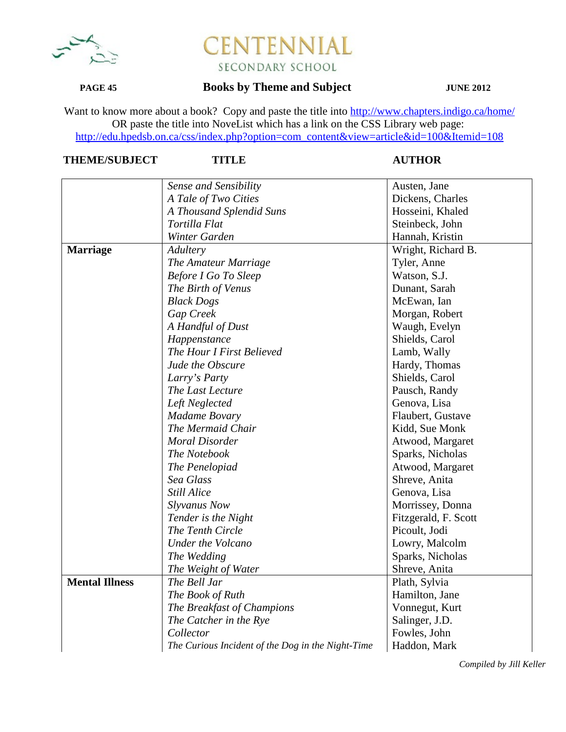

### **PAGE 45 Books by Theme and Subject JUNE 2012**

Want to know more about a book? Copy and paste the title into http://www.chapters.indigo.ca/home/ OR paste the title into NoveList which has a link on the CSS Library web page: http://edu.hpedsb.on.ca/css/index.php?option=com\_content&view=article&id=100&Itemid=108

# **THEME/SUBJECT TITLE AUTHOR**

|                       | Sense and Sensibility                             | Austen, Jane         |
|-----------------------|---------------------------------------------------|----------------------|
|                       | A Tale of Two Cities                              | Dickens, Charles     |
|                       | A Thousand Splendid Suns                          | Hosseini, Khaled     |
|                       | Tortilla Flat                                     | Steinbeck, John      |
|                       | Winter Garden                                     | Hannah, Kristin      |
| <b>Marriage</b>       | Adultery                                          | Wright, Richard B.   |
|                       | The Amateur Marriage                              | Tyler, Anne          |
|                       | <b>Before I Go To Sleep</b>                       | Watson, S.J.         |
|                       | The Birth of Venus                                | Dunant, Sarah        |
|                       | <b>Black Dogs</b>                                 | McEwan, Ian          |
|                       | Gap Creek                                         | Morgan, Robert       |
|                       | A Handful of Dust                                 | Waugh, Evelyn        |
|                       | Happenstance                                      | Shields, Carol       |
|                       | The Hour I First Believed                         | Lamb, Wally          |
|                       | Jude the Obscure                                  | Hardy, Thomas        |
|                       | Larry's Party                                     | Shields, Carol       |
|                       | The Last Lecture                                  | Pausch, Randy        |
|                       | Left Neglected                                    | Genova, Lisa         |
|                       | <b>Madame Bovary</b>                              | Flaubert, Gustave    |
|                       | The Mermaid Chair                                 | Kidd, Sue Monk       |
|                       | <b>Moral Disorder</b>                             | Atwood, Margaret     |
|                       | The Notebook                                      | Sparks, Nicholas     |
|                       | The Penelopiad                                    | Atwood, Margaret     |
|                       | Sea Glass                                         | Shreve, Anita        |
|                       | <b>Still Alice</b>                                | Genova, Lisa         |
|                       | <b>Slyvanus Now</b>                               | Morrissey, Donna     |
|                       | Tender is the Night                               | Fitzgerald, F. Scott |
|                       | The Tenth Circle                                  | Picoult, Jodi        |
|                       | <b>Under the Volcano</b>                          | Lowry, Malcolm       |
|                       | The Wedding                                       | Sparks, Nicholas     |
|                       | The Weight of Water                               | Shreve, Anita        |
| <b>Mental Illness</b> | The Bell Jar                                      | Plath, Sylvia        |
|                       | The Book of Ruth                                  | Hamilton, Jane       |
|                       | The Breakfast of Champions                        | Vonnegut, Kurt       |
|                       | The Catcher in the Rye                            | Salinger, J.D.       |
|                       | Collector                                         | Fowles, John         |
|                       | The Curious Incident of the Dog in the Night-Time | Haddon, Mark         |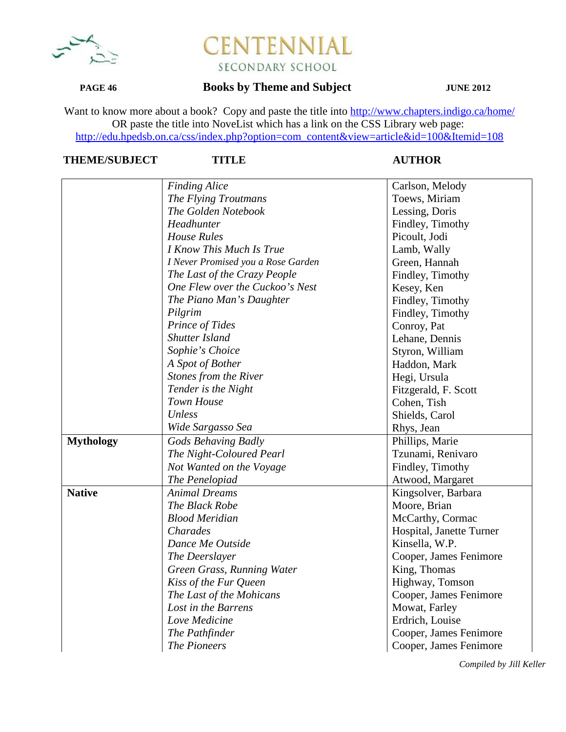

### **PAGE 46 Books by Theme and Subject JUNE 2012**

Want to know more about a book? Copy and paste the title into http://www.chapters.indigo.ca/home/ OR paste the title into NoveList which has a link on the CSS Library web page: http://edu.hpedsb.on.ca/css/index.php?option=com\_content&view=article&id=100&Itemid=108

## **THEME/SUBJECT TITLE AUTHOR**

|                  | <b>Finding Alice</b>               | Carlson, Melody          |
|------------------|------------------------------------|--------------------------|
|                  | The Flying Troutmans               | Toews, Miriam            |
|                  | The Golden Notebook                | Lessing, Doris           |
|                  | Headhunter                         | Findley, Timothy         |
|                  | <b>House Rules</b>                 | Picoult, Jodi            |
|                  | I Know This Much Is True           | Lamb, Wally              |
|                  | I Never Promised you a Rose Garden | Green, Hannah            |
|                  | The Last of the Crazy People       | Findley, Timothy         |
|                  | One Flew over the Cuckoo's Nest    | Kesey, Ken               |
|                  | The Piano Man's Daughter           | Findley, Timothy         |
|                  | Pilgrim                            | Findley, Timothy         |
|                  | Prince of Tides                    | Conroy, Pat              |
|                  | <b>Shutter Island</b>              | Lehane, Dennis           |
|                  | Sophie's Choice                    | Styron, William          |
|                  | A Spot of Bother                   | Haddon, Mark             |
|                  | Stones from the River              | Hegi, Ursula             |
|                  | Tender is the Night                | Fitzgerald, F. Scott     |
|                  | Town House                         | Cohen, Tish              |
|                  | Unless                             | Shields, Carol           |
|                  | Wide Sargasso Sea                  | Rhys, Jean               |
| <b>Mythology</b> | <b>Gods Behaving Badly</b>         | Phillips, Marie          |
|                  | The Night-Coloured Pearl           | Tzunami, Renivaro        |
|                  | Not Wanted on the Voyage           | Findley, Timothy         |
|                  | The Penelopiad                     | Atwood, Margaret         |
| <b>Native</b>    | <b>Animal Dreams</b>               | Kingsolver, Barbara      |
|                  | The Black Robe                     | Moore, Brian             |
|                  | <b>Blood Meridian</b>              | McCarthy, Cormac         |
|                  | <b>Charades</b>                    | Hospital, Janette Turner |
|                  | Dance Me Outside                   | Kinsella, W.P.           |
|                  | The Deerslayer                     | Cooper, James Fenimore   |
|                  | Green Grass, Running Water         | King, Thomas             |
|                  | Kiss of the Fur Queen              | Highway, Tomson          |
|                  | The Last of the Mohicans           | Cooper, James Fenimore   |
|                  | Lost in the Barrens                | Mowat, Farley            |
|                  | Love Medicine                      | Erdrich, Louise          |
|                  | The Pathfinder                     | Cooper, James Fenimore   |
|                  | <b>The Pioneers</b>                | Cooper, James Fenimore   |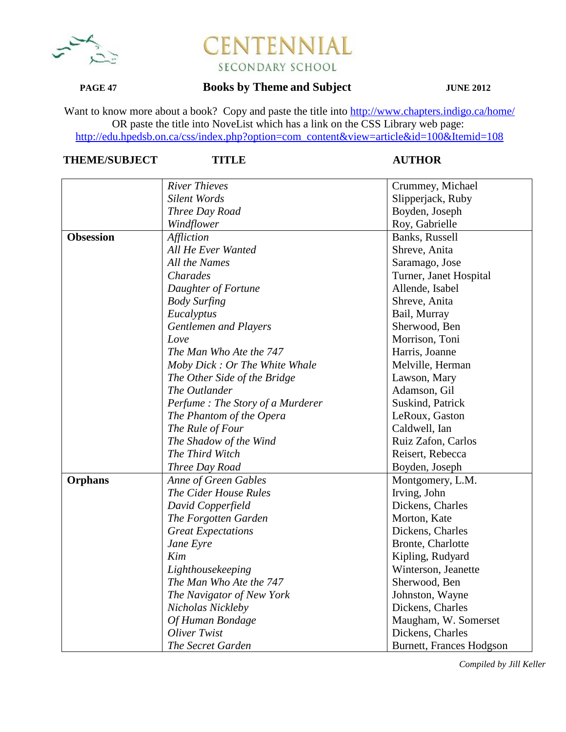

## **PAGE 47 Books by Theme and Subject JUNE 2012**

Want to know more about a book? Copy and paste the title into http://www.chapters.indigo.ca/home/ OR paste the title into NoveList which has a link on the CSS Library web page: http://edu.hpedsb.on.ca/css/index.php?option=com\_content&view=article&id=100&Itemid=108

# **THEME/SUBJECT TITLE AUTHOR**

|                  | <b>River Thieves</b>             | Crummey, Michael         |
|------------------|----------------------------------|--------------------------|
|                  | <b>Silent Words</b>              | Slipperjack, Ruby        |
|                  | Three Day Road                   | Boyden, Joseph           |
|                  | Windflower                       | Roy, Gabrielle           |
| <b>Obsession</b> | <b>Affliction</b>                | Banks, Russell           |
|                  | All He Ever Wanted               | Shreve, Anita            |
|                  | All the Names                    |                          |
|                  | Charades                         | Saramago, Jose           |
|                  |                                  | Turner, Janet Hospital   |
|                  | Daughter of Fortune              | Allende, Isabel          |
|                  | <b>Body Surfing</b>              | Shreve, Anita            |
|                  | Eucalyptus                       | Bail, Murray             |
|                  | Gentlemen and Players            | Sherwood, Ben            |
|                  | Love                             | Morrison, Toni           |
|                  | The Man Who Ate the 747          | Harris, Joanne           |
|                  | Moby Dick : Or The White Whale   | Melville, Herman         |
|                  | The Other Side of the Bridge     | Lawson, Mary             |
|                  | The Outlander                    | Adamson, Gil             |
|                  | Perfume: The Story of a Murderer | Suskind, Patrick         |
|                  | The Phantom of the Opera         | LeRoux, Gaston           |
|                  | The Rule of Four                 | Caldwell, Ian            |
|                  | The Shadow of the Wind           | Ruiz Zafon, Carlos       |
|                  | The Third Witch                  | Reisert, Rebecca         |
|                  | Three Day Road                   | Boyden, Joseph           |
| <b>Orphans</b>   | <b>Anne of Green Gables</b>      | Montgomery, L.M.         |
|                  | The Cider House Rules            | Irving, John             |
|                  | David Copperfield                | Dickens, Charles         |
|                  | The Forgotten Garden             | Morton, Kate             |
|                  | <b>Great Expectations</b>        | Dickens, Charles         |
|                  | Jane Eyre                        | Bronte, Charlotte        |
|                  | Kim                              | Kipling, Rudyard         |
|                  | Lighthousekeeping                | Winterson, Jeanette      |
|                  | The Man Who Ate the 747          | Sherwood, Ben            |
|                  | The Navigator of New York        | Johnston, Wayne          |
|                  | Nicholas Nickleby                | Dickens, Charles         |
|                  | Of Human Bondage                 | Maugham, W. Somerset     |
|                  | Oliver Twist                     | Dickens, Charles         |
|                  | The Secret Garden                | Burnett, Frances Hodgson |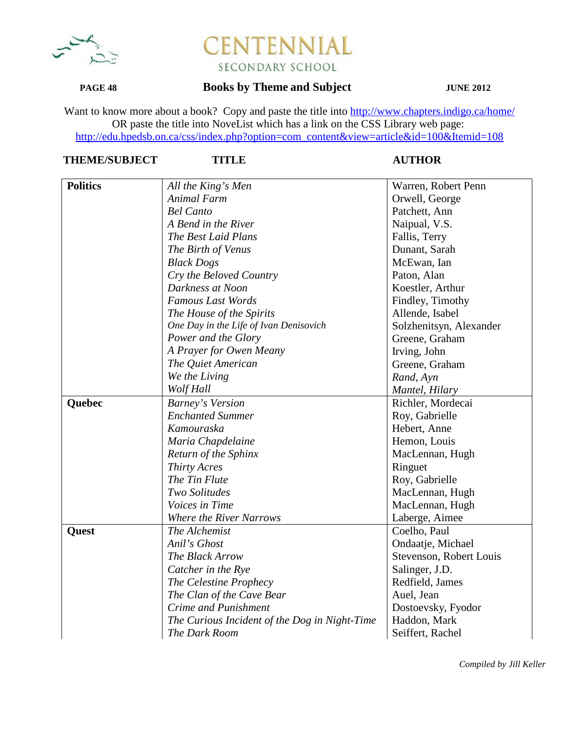

## **PAGE 48 Books by Theme and Subject JUNE 2012**

Want to know more about a book? Copy and paste the title into http://www.chapters.indigo.ca/home/ OR paste the title into NoveList which has a link on the CSS Library web page: http://edu.hpedsb.on.ca/css/index.php?option=com\_content&view=article&id=100&Itemid=108

| <b>Politics</b> | All the King's Men                            | Warren, Robert Penn     |
|-----------------|-----------------------------------------------|-------------------------|
|                 | <b>Animal Farm</b>                            | Orwell, George          |
|                 | <b>Bel Canto</b>                              | Patchett, Ann           |
|                 | A Bend in the River                           | Naipual, V.S.           |
|                 | The Best Laid Plans                           | Fallis, Terry           |
|                 | The Birth of Venus                            | Dunant, Sarah           |
|                 | <b>Black Dogs</b>                             | McEwan, Ian             |
|                 | Cry the Beloved Country                       | Paton, Alan             |
|                 | Darkness at Noon                              | Koestler, Arthur        |
|                 | <b>Famous Last Words</b>                      | Findley, Timothy        |
|                 | The House of the Spirits                      | Allende, Isabel         |
|                 | One Day in the Life of Ivan Denisovich        | Solzhenitsyn, Alexander |
|                 | Power and the Glory                           | Greene, Graham          |
|                 | A Prayer for Owen Meany                       | Irving, John            |
|                 | The Quiet American                            | Greene, Graham          |
|                 | We the Living                                 | Rand, Ayn               |
|                 | Wolf Hall                                     | Mantel, Hilary          |
| Quebec          | <b>Barney's Version</b>                       | Richler, Mordecai       |
|                 | <b>Enchanted Summer</b>                       | Roy, Gabrielle          |
|                 | Kamouraska                                    | Hebert, Anne            |
|                 | Maria Chapdelaine                             | Hemon, Louis            |
|                 | Return of the Sphinx                          | MacLennan, Hugh         |
|                 | Thirty Acres                                  | Ringuet                 |
|                 | The Tin Flute                                 | Roy, Gabrielle          |
|                 | Two Solitudes                                 | MacLennan, Hugh         |
|                 | Voices in Time                                | MacLennan, Hugh         |
|                 | <b>Where the River Narrows</b>                | Laberge, Aimee          |
| Quest           | The Alchemist                                 | Coelho, Paul            |
|                 | Anil's Ghost                                  | Ondaatje, Michael       |
|                 | The Black Arrow                               | Stevenson, Robert Louis |
|                 | Catcher in the Rye                            | Salinger, J.D.          |
|                 | The Celestine Prophecy                        | Redfield, James         |
|                 | The Clan of the Cave Bear                     | Auel, Jean              |
|                 | Crime and Punishment                          | Dostoevsky, Fyodor      |
|                 | The Curious Incident of the Dog in Night-Time | Haddon, Mark            |
|                 | The Dark Room                                 | Seiffert, Rachel        |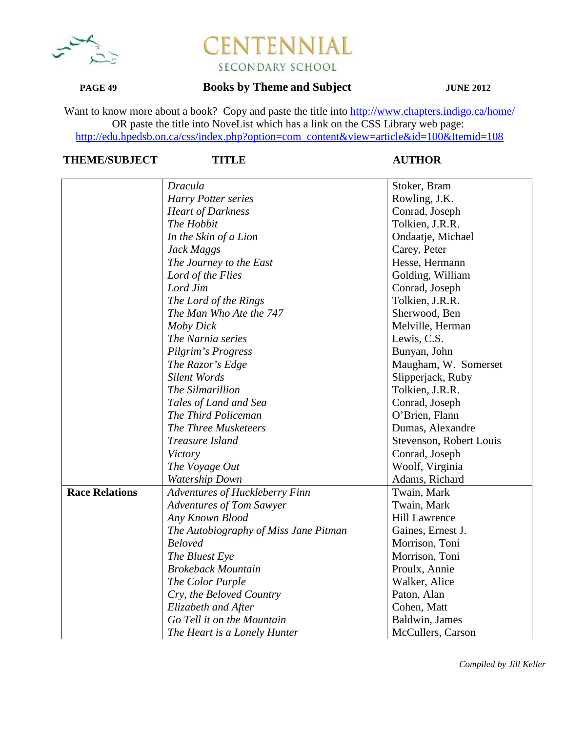

## **PAGE 49 Books by Theme and Subject JUNE 2012**

Want to know more about a book? Copy and paste the title into http://www.chapters.indigo.ca/home/ OR paste the title into NoveList which has a link on the CSS Library web page: http://edu.hpedsb.on.ca/css/index.php?option=com\_content&view=article&id=100&Itemid=108

## **THEME/SUBJECT TITLE AUTHOR**

|                       | <b>Dracula</b>                        | Stoker, Bram            |
|-----------------------|---------------------------------------|-------------------------|
|                       | Harry Potter series                   | Rowling, J.K.           |
|                       | <b>Heart of Darkness</b>              | Conrad, Joseph          |
|                       | The Hobbit                            | Tolkien, J.R.R.         |
|                       | In the Skin of a Lion                 | Ondaatje, Michael       |
|                       | Jack Maggs                            | Carey, Peter            |
|                       | The Journey to the East               | Hesse, Hermann          |
|                       | Lord of the Flies                     | Golding, William        |
|                       | Lord Jim                              | Conrad, Joseph          |
|                       | The Lord of the Rings                 | Tolkien, J.R.R.         |
|                       | The Man Who Ate the 747               | Sherwood, Ben           |
|                       | Moby Dick                             | Melville, Herman        |
|                       | The Narnia series                     | Lewis, C.S.             |
|                       | Pilgrim's Progress                    | Bunyan, John            |
|                       | The Razor's Edge                      | Maugham, W. Somerset    |
|                       | <b>Silent Words</b>                   | Slipperjack, Ruby       |
|                       | The Silmarillion                      | Tolkien, J.R.R.         |
|                       | Tales of Land and Sea                 | Conrad, Joseph          |
|                       | The Third Policeman                   | O'Brien, Flann          |
|                       | The Three Musketeers                  | Dumas, Alexandre        |
|                       | Treasure Island                       | Stevenson, Robert Louis |
|                       | Victory                               | Conrad, Joseph          |
|                       | The Voyage Out                        | Woolf, Virginia         |
|                       | <b>Watership Down</b>                 | Adams, Richard          |
| <b>Race Relations</b> | <b>Adventures of Huckleberry Finn</b> | Twain, Mark             |
|                       | Adventures of Tom Sawyer              | Twain, Mark             |
|                       | Any Known Blood                       | <b>Hill Lawrence</b>    |
|                       | The Autobiography of Miss Jane Pitman | Gaines, Ernest J.       |
|                       | <b>Beloved</b>                        | Morrison, Toni          |
|                       | The Bluest Eye                        | Morrison, Toni          |
|                       | <b>Brokeback Mountain</b>             | Proulx, Annie           |
|                       | The Color Purple                      | Walker, Alice           |
|                       | Cry, the Beloved Country              | Paton, Alan             |
|                       | Elizabeth and After                   | Cohen, Matt             |
|                       | Go Tell it on the Mountain            | Baldwin, James          |
|                       | The Heart is a Lonely Hunter          | McCullers, Carson       |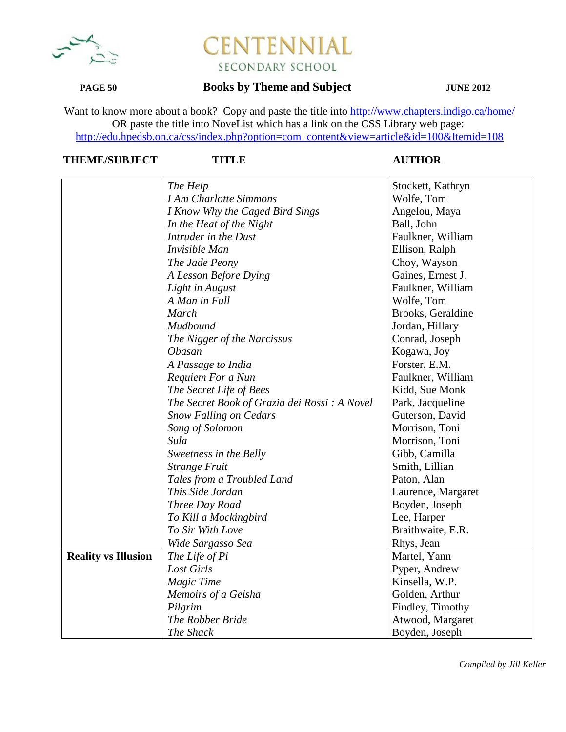

### **PAGE 50 Books by Theme and Subject JUNE 2012**

Want to know more about a book? Copy and paste the title into http://www.chapters.indigo.ca/home/ OR paste the title into NoveList which has a link on the CSS Library web page: http://edu.hpedsb.on.ca/css/index.php?option=com\_content&view=article&id=100&Itemid=108

## **THEME/SUBJECT TITLE AUTHOR**

|                            | The Help                                     | Stockett, Kathryn  |
|----------------------------|----------------------------------------------|--------------------|
|                            | <b>I Am Charlotte Simmons</b>                | Wolfe, Tom         |
|                            | I Know Why the Caged Bird Sings              | Angelou, Maya      |
|                            | In the Heat of the Night                     | Ball, John         |
|                            | Intruder in the Dust                         | Faulkner, William  |
|                            | Invisible Man                                | Ellison, Ralph     |
|                            | The Jade Peony                               | Choy, Wayson       |
|                            | A Lesson Before Dying                        | Gaines, Ernest J.  |
|                            | Light in August                              | Faulkner, William  |
|                            | A Man in Full                                | Wolfe, Tom         |
|                            | March                                        | Brooks, Geraldine  |
|                            | Mudbound                                     | Jordan, Hillary    |
|                            | The Nigger of the Narcissus                  | Conrad, Joseph     |
|                            | <b>Obasan</b>                                | Kogawa, Joy        |
|                            | A Passage to India                           | Forster, E.M.      |
|                            | Requiem For a Nun                            | Faulkner, William  |
|                            | The Secret Life of Bees                      | Kidd, Sue Monk     |
|                            | The Secret Book of Grazia dei Rossi: A Novel | Park, Jacqueline   |
|                            | <b>Snow Falling on Cedars</b>                | Guterson, David    |
|                            | Song of Solomon                              | Morrison, Toni     |
|                            | Sula                                         | Morrison, Toni     |
|                            | Sweetness in the Belly                       | Gibb, Camilla      |
|                            | <b>Strange Fruit</b>                         | Smith, Lillian     |
|                            | Tales from a Troubled Land                   | Paton, Alan        |
|                            | This Side Jordan                             | Laurence, Margaret |
|                            | Three Day Road                               | Boyden, Joseph     |
|                            | To Kill a Mockingbird                        | Lee, Harper        |
|                            | To Sir With Love                             | Braithwaite, E.R.  |
|                            | Wide Sargasso Sea                            | Rhys, Jean         |
| <b>Reality vs Illusion</b> | The Life of Pi                               | Martel, Yann       |
|                            | Lost Girls                                   | Pyper, Andrew      |
|                            | <b>Magic Time</b>                            | Kinsella, W.P.     |
|                            | Memoirs of a Geisha                          | Golden, Arthur     |
|                            | Pilgrim                                      | Findley, Timothy   |
|                            | The Robber Bride                             | Atwood, Margaret   |
|                            | The Shack                                    | Boyden, Joseph     |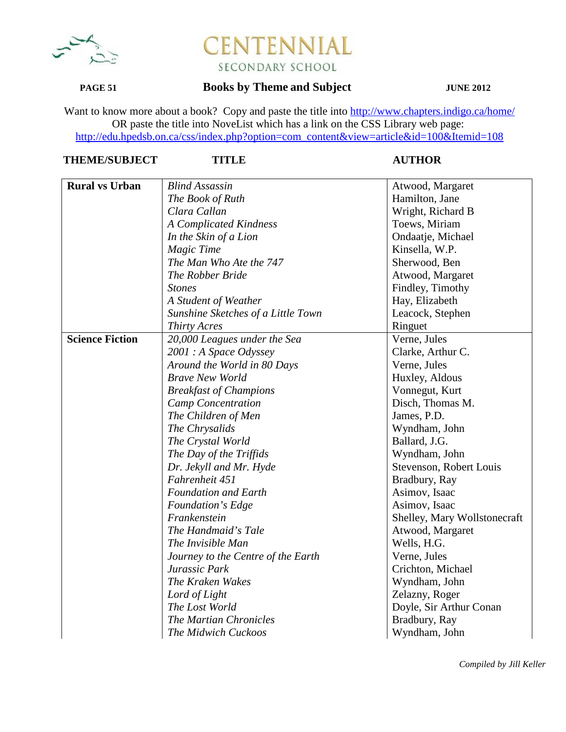

## **PAGE 51 Books by Theme and Subject JUNE 2012**

Want to know more about a book? Copy and paste the title into http://www.chapters.indigo.ca/home/ OR paste the title into NoveList which has a link on the CSS Library web page: http://edu.hpedsb.on.ca/css/index.php?option=com\_content&view=article&id=100&Itemid=108

| <b>Rural vs Urban</b>  | <b>Blind Assassin</b>              | Atwood, Margaret             |
|------------------------|------------------------------------|------------------------------|
|                        | The Book of Ruth                   | Hamilton, Jane               |
|                        | Clara Callan                       | Wright, Richard B            |
|                        | <b>A Complicated Kindness</b>      | Toews, Miriam                |
|                        | In the Skin of a Lion              | Ondaatje, Michael            |
|                        | <b>Magic Time</b>                  | Kinsella, W.P.               |
|                        | The Man Who Ate the 747            | Sherwood, Ben                |
|                        | The Robber Bride                   | Atwood, Margaret             |
|                        | <b>Stones</b>                      | Findley, Timothy             |
|                        | A Student of Weather               | Hay, Elizabeth               |
|                        | Sunshine Sketches of a Little Town | Leacock, Stephen             |
|                        | <b>Thirty Acres</b>                | Ringuet                      |
| <b>Science Fiction</b> | 20,000 Leagues under the Sea       | Verne, Jules                 |
|                        | 2001 : A Space Odyssey             | Clarke, Arthur C.            |
|                        | Around the World in 80 Days        | Verne, Jules                 |
|                        | <b>Brave New World</b>             | Huxley, Aldous               |
|                        | <b>Breakfast of Champions</b>      | Vonnegut, Kurt               |
|                        | Camp Concentration                 | Disch, Thomas M.             |
|                        | The Children of Men                | James, P.D.                  |
|                        | The Chrysalids                     | Wyndham, John                |
|                        | The Crystal World                  | Ballard, J.G.                |
|                        | The Day of the Triffids            | Wyndham, John                |
|                        | Dr. Jekyll and Mr. Hyde            | Stevenson, Robert Louis      |
|                        | Fahrenheit 451                     | Bradbury, Ray                |
|                        | <b>Foundation and Earth</b>        | Asimov, Isaac                |
|                        | Foundation's Edge                  | Asimov, Isaac                |
|                        | Frankenstein                       | Shelley, Mary Wollstonecraft |
|                        | The Handmaid's Tale                | Atwood, Margaret             |
|                        | The Invisible Man                  | Wells, H.G.                  |
|                        | Journey to the Centre of the Earth | Verne, Jules                 |
|                        | Jurassic Park                      | Crichton, Michael            |
|                        | The Kraken Wakes                   | Wyndham, John                |
|                        | Lord of Light                      | Zelazny, Roger               |
|                        | The Lost World                     | Doyle, Sir Arthur Conan      |
|                        | The Martian Chronicles             | Bradbury, Ray                |
|                        | The Midwich Cuckoos                | Wyndham, John                |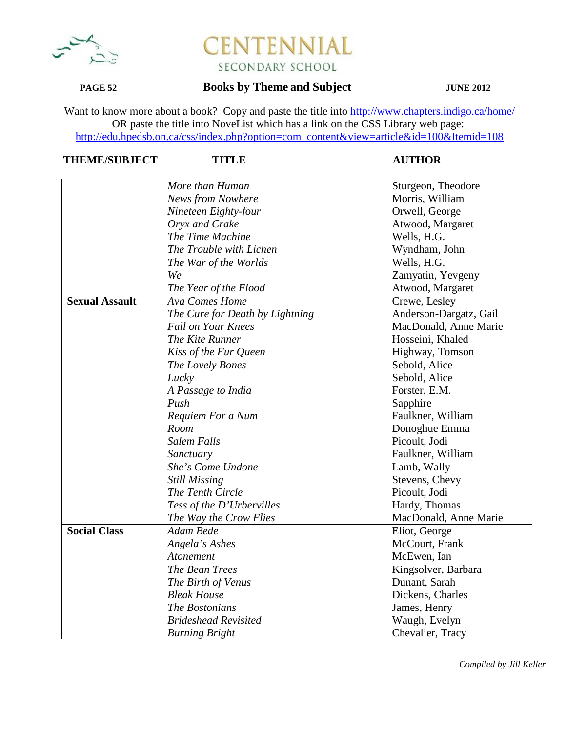

### **PAGE 52 Books by Theme and Subject JUNE 2012**

Want to know more about a book? Copy and paste the title into http://www.chapters.indigo.ca/home/ OR paste the title into NoveList which has a link on the CSS Library web page: http://edu.hpedsb.on.ca/css/index.php?option=com\_content&view=article&id=100&Itemid=108

# **THEME/SUBJECT TITLE AUTHOR**

|                       | More than Human                 | Sturgeon, Theodore     |
|-----------------------|---------------------------------|------------------------|
|                       | <b>News from Nowhere</b>        | Morris, William        |
|                       | Nineteen Eighty-four            | Orwell, George         |
|                       | Oryx and Crake                  | Atwood, Margaret       |
|                       | The Time Machine                | Wells, H.G.            |
|                       | The Trouble with Lichen         | Wyndham, John          |
|                       | The War of the Worlds           | Wells, H.G.            |
|                       | We                              | Zamyatin, Yevgeny      |
|                       | The Year of the Flood           | Atwood, Margaret       |
| <b>Sexual Assault</b> | Ava Comes Home                  | Crewe, Lesley          |
|                       | The Cure for Death by Lightning | Anderson-Dargatz, Gail |
|                       | <b>Fall on Your Knees</b>       | MacDonald, Anne Marie  |
|                       | The Kite Runner                 | Hosseini, Khaled       |
|                       | Kiss of the Fur Queen           | Highway, Tomson        |
|                       | The Lovely Bones                | Sebold, Alice          |
|                       | Lucky                           | Sebold, Alice          |
|                       | A Passage to India              | Forster, E.M.          |
|                       | Push                            | Sapphire               |
|                       | Requiem For a Num               | Faulkner, William      |
|                       | Room                            | Donoghue Emma          |
|                       | <b>Salem Falls</b>              | Picoult, Jodi          |
|                       | Sanctuary                       | Faulkner, William      |
|                       | She's Come Undone               | Lamb, Wally            |
|                       | <b>Still Missing</b>            | Stevens, Chevy         |
|                       | The Tenth Circle                | Picoult, Jodi          |
|                       | Tess of the D'Urbervilles       | Hardy, Thomas          |
|                       | The Way the Crow Flies          | MacDonald, Anne Marie  |
| <b>Social Class</b>   | Adam Bede                       | Eliot, George          |
|                       | Angela's Ashes                  | McCourt, Frank         |
|                       | Atonement                       | McEwen, Ian            |
|                       | The Bean Trees                  | Kingsolver, Barbara    |
|                       | The Birth of Venus              | Dunant, Sarah          |
|                       | <b>Bleak House</b>              | Dickens, Charles       |
|                       | The Bostonians                  | James, Henry           |
|                       | <b>Brideshead Revisited</b>     | Waugh, Evelyn          |
|                       | <b>Burning Bright</b>           | Chevalier, Tracy       |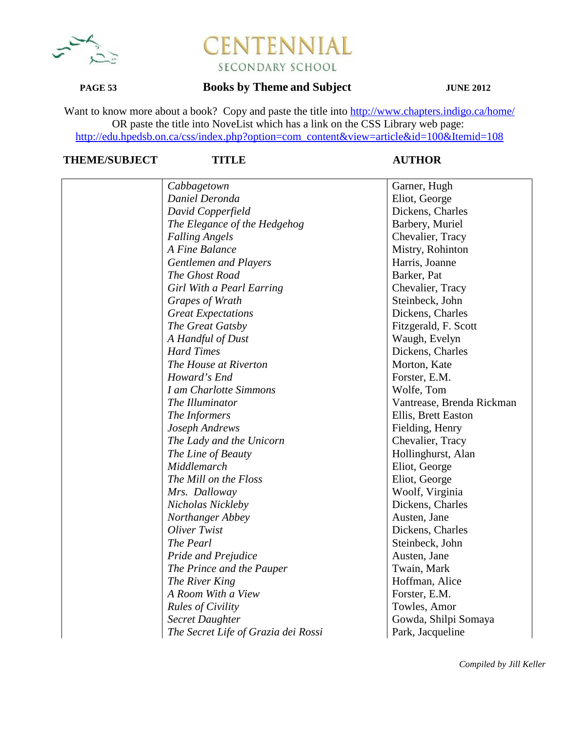

### **PAGE 53 Books by Theme and Subject JUNE 2012**

Want to know more about a book? Copy and paste the title into http://www.chapters.indigo.ca/home/ OR paste the title into NoveList which has a link on the CSS Library web page: http://edu.hpedsb.on.ca/css/index.php?option=com\_content&view=article&id=100&Itemid=108

| Cabbagetown                         | Garner, Hugh              |
|-------------------------------------|---------------------------|
| Daniel Deronda                      | Eliot, George             |
| David Copperfield                   | Dickens, Charles          |
| The Elegance of the Hedgehog        | Barbery, Muriel           |
| <b>Falling Angels</b>               | Chevalier, Tracy          |
| A Fine Balance                      | Mistry, Rohinton          |
| Gentlemen and Players               | Harris, Joanne            |
| The Ghost Road                      | Barker, Pat               |
| Girl With a Pearl Earring           | Chevalier, Tracy          |
| Grapes of Wrath                     | Steinbeck, John           |
| <b>Great Expectations</b>           | Dickens, Charles          |
| The Great Gatsby                    | Fitzgerald, F. Scott      |
| A Handful of Dust                   | Waugh, Evelyn             |
| <b>Hard Times</b>                   | Dickens, Charles          |
| The House at Riverton               | Morton, Kate              |
| Howard's End                        | Forster, E.M.             |
| I am Charlotte Simmons              | Wolfe, Tom                |
| The Illuminator                     | Vantrease, Brenda Rickman |
| The Informers                       | Ellis, Brett Easton       |
| Joseph Andrews                      | Fielding, Henry           |
| The Lady and the Unicorn            | Chevalier, Tracy          |
| The Line of Beauty                  | Hollinghurst, Alan        |
| Middlemarch                         | Eliot, George             |
| The Mill on the Floss               | Eliot, George             |
| Mrs. Dalloway                       | Woolf, Virginia           |
| Nicholas Nickleby                   | Dickens, Charles          |
| Northanger Abbey                    | Austen, Jane              |
| Oliver Twist                        | Dickens, Charles          |
| The Pearl                           | Steinbeck, John           |
| <b>Pride and Prejudice</b>          | Austen, Jane              |
| The Prince and the Pauper           | Twain, Mark               |
| The River King                      | Hoffman, Alice            |
| A Room With a View                  | Forster, E.M.             |
| <b>Rules of Civility</b>            | Towles, Amor              |
| <b>Secret Daughter</b>              | Gowda, Shilpi Somaya      |
| The Secret Life of Grazia dei Rossi | Park, Jacqueline          |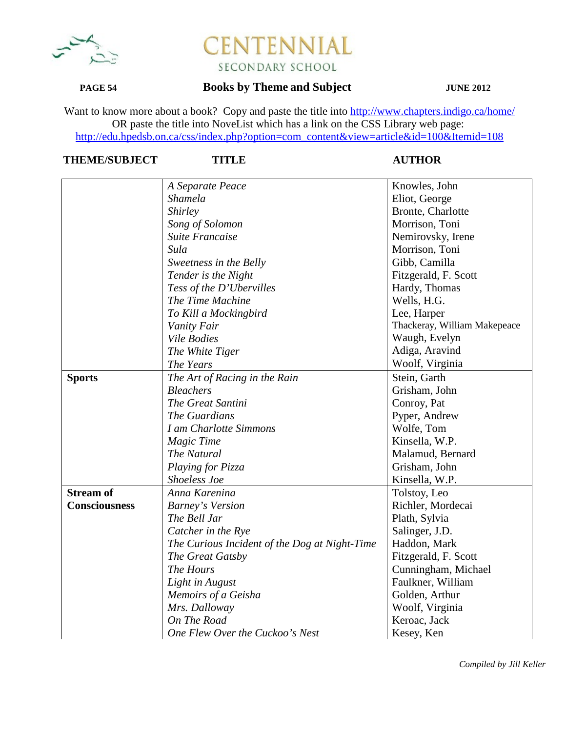

## **PAGE 54 Books by Theme and Subject JUNE 2012**

Want to know more about a book? Copy and paste the title into http://www.chapters.indigo.ca/home/ OR paste the title into NoveList which has a link on the CSS Library web page: http://edu.hpedsb.on.ca/css/index.php?option=com\_content&view=article&id=100&Itemid=108

|                      | A Separate Peace                              | Knowles, John                |
|----------------------|-----------------------------------------------|------------------------------|
|                      | Shamela                                       | Eliot, George                |
|                      | Shirley                                       | Bronte, Charlotte            |
|                      | Song of Solomon                               | Morrison, Toni               |
|                      | <b>Suite Francaise</b>                        | Nemirovsky, Irene            |
|                      | Sula                                          | Morrison, Toni               |
|                      | Sweetness in the Belly                        | Gibb, Camilla                |
|                      | Tender is the Night                           | Fitzgerald, F. Scott         |
|                      | Tess of the D'Ubervilles                      | Hardy, Thomas                |
|                      | The Time Machine                              | Wells, H.G.                  |
|                      | To Kill a Mockingbird                         | Lee, Harper                  |
|                      | Vanity Fair                                   | Thackeray, William Makepeace |
|                      | <b>Vile Bodies</b>                            | Waugh, Evelyn                |
|                      | The White Tiger                               | Adiga, Aravind               |
|                      | The Years                                     | Woolf, Virginia              |
| <b>Sports</b>        | The Art of Racing in the Rain                 | Stein, Garth                 |
|                      | <b>Bleachers</b>                              | Grisham, John                |
|                      | The Great Santini                             | Conroy, Pat                  |
|                      | The Guardians                                 | Pyper, Andrew                |
|                      | I am Charlotte Simmons                        | Wolfe, Tom                   |
|                      | <b>Magic Time</b>                             | Kinsella, W.P.               |
|                      | The Natural                                   | Malamud, Bernard             |
|                      | Playing for Pizza                             | Grisham, John                |
|                      | Shoeless Joe                                  | Kinsella, W.P.               |
| <b>Stream of</b>     | Anna Karenina                                 | Tolstoy, Leo                 |
| <b>Consciousness</b> | <b>Barney's Version</b>                       | Richler, Mordecai            |
|                      | The Bell Jar                                  | Plath, Sylvia                |
|                      | Catcher in the Rye                            | Salinger, J.D.               |
|                      | The Curious Incident of the Dog at Night-Time | Haddon, Mark                 |
|                      | The Great Gatsby                              | Fitzgerald, F. Scott         |
|                      | The Hours                                     | Cunningham, Michael          |
|                      | Light in August                               | Faulkner, William            |
|                      | Memoirs of a Geisha                           | Golden, Arthur               |
|                      | Mrs. Dalloway                                 | Woolf, Virginia              |
|                      | On The Road                                   | Keroac, Jack                 |
|                      | One Flew Over the Cuckoo's Nest               | Kesey, Ken                   |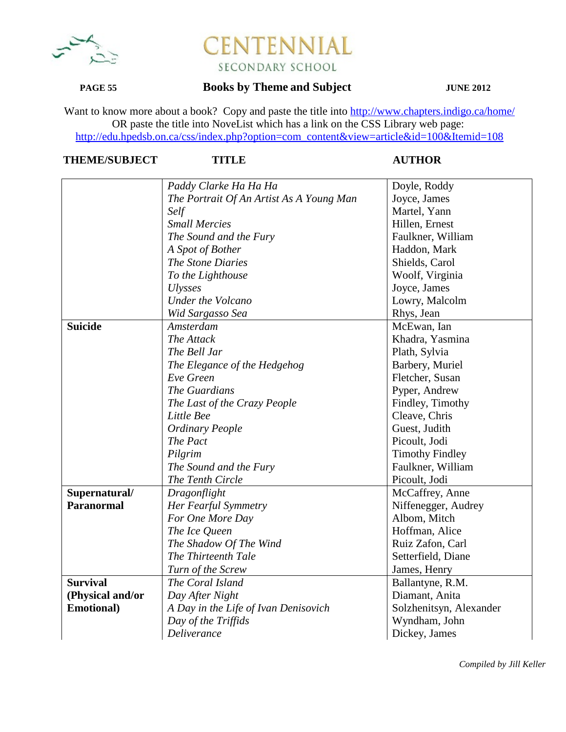

## **PAGE 55 Books by Theme and Subject JUNE 2012**

Want to know more about a book? Copy and paste the title into http://www.chapters.indigo.ca/home/ OR paste the title into NoveList which has a link on the CSS Library web page: http://edu.hpedsb.on.ca/css/index.php?option=com\_content&view=article&id=100&Itemid=108

|                    | Paddy Clarke Ha Ha Ha                    | Doyle, Roddy            |
|--------------------|------------------------------------------|-------------------------|
|                    | The Portrait Of An Artist As A Young Man | Joyce, James            |
|                    | Self                                     | Martel, Yann            |
|                    | <b>Small Mercies</b>                     | Hillen, Ernest          |
|                    | The Sound and the Fury                   | Faulkner, William       |
|                    | A Spot of Bother                         | Haddon, Mark            |
|                    | The Stone Diaries                        | Shields, Carol          |
|                    | To the Lighthouse                        | Woolf, Virginia         |
|                    | <b>Ulysses</b>                           | Joyce, James            |
|                    | Under the Volcano                        | Lowry, Malcolm          |
|                    | Wid Sargasso Sea                         | Rhys, Jean              |
| <b>Suicide</b>     | Amsterdam                                | McEwan, Ian             |
|                    | The Attack                               | Khadra, Yasmina         |
|                    | The Bell Jar                             | Plath, Sylvia           |
|                    | The Elegance of the Hedgehog             | Barbery, Muriel         |
|                    | Eve Green                                | Fletcher, Susan         |
|                    | The Guardians                            | Pyper, Andrew           |
|                    | The Last of the Crazy People             | Findley, Timothy        |
|                    | Little Bee                               | Cleave, Chris           |
|                    | <b>Ordinary People</b>                   | Guest, Judith           |
|                    | The Pact                                 | Picoult, Jodi           |
|                    | Pilgrim                                  | <b>Timothy Findley</b>  |
|                    | The Sound and the Fury                   | Faulkner, William       |
|                    | The Tenth Circle                         | Picoult, Jodi           |
| Supernatural/      | Dragonflight                             | McCaffrey, Anne         |
| <b>Paranormal</b>  | Her Fearful Symmetry                     | Niffenegger, Audrey     |
|                    | For One More Day                         | Albom, Mitch            |
|                    | The Ice Queen                            | Hoffman, Alice          |
|                    | The Shadow Of The Wind                   | Ruiz Zafon, Carl        |
|                    | The Thirteenth Tale                      | Setterfield, Diane      |
|                    | Turn of the Screw                        | James, Henry            |
| <b>Survival</b>    | The Coral Island                         | Ballantyne, R.M.        |
| (Physical and/or   | Day After Night                          | Diamant, Anita          |
| <b>Emotional</b> ) | A Day in the Life of Ivan Denisovich     | Solzhenitsyn, Alexander |
|                    | Day of the Triffids                      | Wyndham, John           |
|                    | <b>Deliverance</b>                       | Dickey, James           |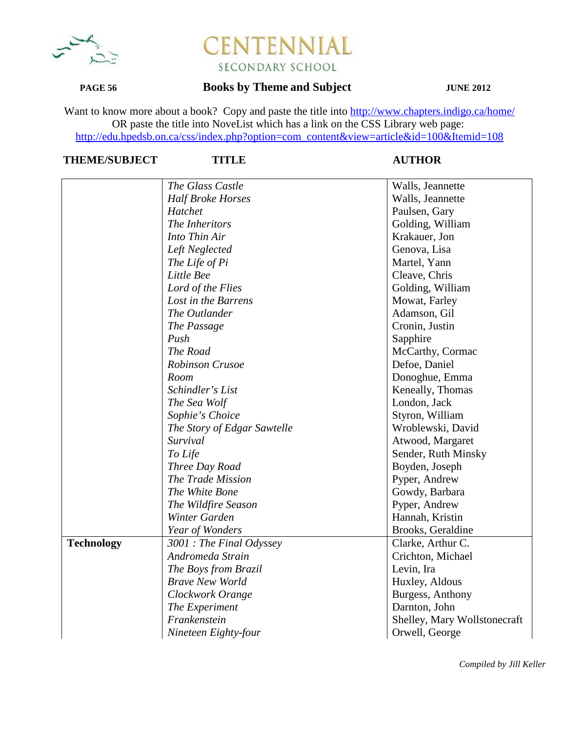

## **PAGE 56 Books by Theme and Subject JUNE 2012**

Want to know more about a book? Copy and paste the title into http://www.chapters.indigo.ca/home/ OR paste the title into NoveList which has a link on the CSS Library web page: http://edu.hpedsb.on.ca/css/index.php?option=com\_content&view=article&id=100&Itemid=108

# **THEME/SUBJECT TITLE AUTHOR**

|                   | The Glass Castle            | Walls, Jeannette             |
|-------------------|-----------------------------|------------------------------|
|                   | <b>Half Broke Horses</b>    | Walls, Jeannette             |
|                   | Hatchet                     | Paulsen, Gary                |
|                   | The Inheritors              | Golding, William             |
|                   | Into Thin Air               | Krakauer, Jon                |
|                   | Left Neglected              | Genova, Lisa                 |
|                   | The Life of Pi              | Martel, Yann                 |
|                   | Little Bee                  | Cleave, Chris                |
|                   | Lord of the Flies           | Golding, William             |
|                   | Lost in the Barrens         | Mowat, Farley                |
|                   | The Outlander               | Adamson, Gil                 |
|                   | The Passage                 | Cronin, Justin               |
|                   | Push                        | Sapphire                     |
|                   | The Road                    | McCarthy, Cormac             |
|                   | <b>Robinson Crusoe</b>      | Defoe, Daniel                |
|                   | Room                        | Donoghue, Emma               |
|                   | Schindler's List            | Keneally, Thomas             |
|                   | The Sea Wolf                | London, Jack                 |
|                   | Sophie's Choice             | Styron, William              |
|                   | The Story of Edgar Sawtelle | Wroblewski, David            |
|                   | Survival                    | Atwood, Margaret             |
|                   | To Life                     | Sender, Ruth Minsky          |
|                   | Three Day Road              | Boyden, Joseph               |
|                   | The Trade Mission           | Pyper, Andrew                |
|                   | The White Bone              | Gowdy, Barbara               |
|                   | The Wildfire Season         | Pyper, Andrew                |
|                   | Winter Garden               | Hannah, Kristin              |
|                   | Year of Wonders             | Brooks, Geraldine            |
| <b>Technology</b> | 3001 : The Final Odyssey    | Clarke, Arthur C.            |
|                   | Andromeda Strain            | Crichton, Michael            |
|                   | The Boys from Brazil        | Levin, Ira                   |
|                   | <b>Brave New World</b>      | Huxley, Aldous               |
|                   | Clockwork Orange            | Burgess, Anthony             |
|                   | The Experiment              | Darnton, John                |
|                   | Frankenstein                | Shelley, Mary Wollstonecraft |
|                   | Nineteen Eighty-four        | Orwell, George               |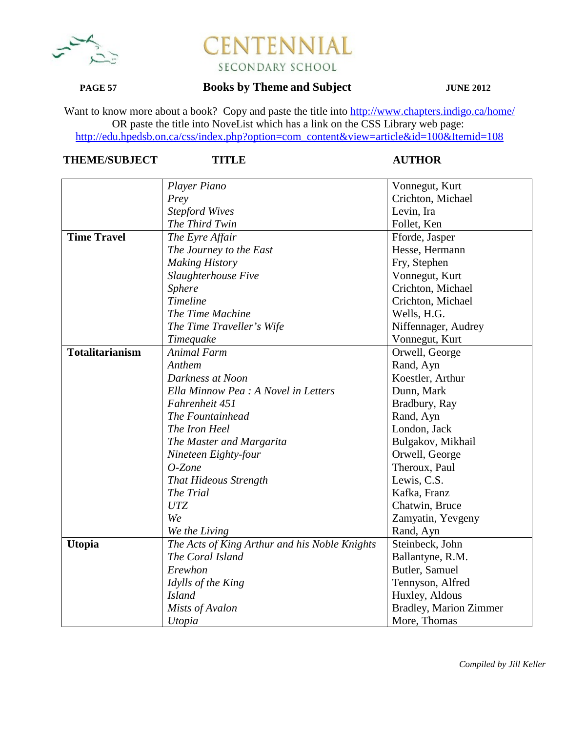

## **PAGE 57 Books by Theme and Subject JUNE 2012**

Want to know more about a book? Copy and paste the title into http://www.chapters.indigo.ca/home/ OR paste the title into NoveList which has a link on the CSS Library web page: http://edu.hpedsb.on.ca/css/index.php?option=com\_content&view=article&id=100&Itemid=108

|                        | Player Piano                                  | Vonnegut, Kurt                |
|------------------------|-----------------------------------------------|-------------------------------|
|                        | Prey                                          | Crichton, Michael             |
|                        | <b>Stepford Wives</b>                         | Levin, Ira                    |
|                        | The Third Twin                                | Follet, Ken                   |
| <b>Time Travel</b>     | The Eyre Affair                               | Fforde, Jasper                |
|                        | The Journey to the East                       | Hesse, Hermann                |
|                        | <b>Making History</b>                         | Fry, Stephen                  |
|                        | Slaughterhouse Five                           | Vonnegut, Kurt                |
|                        | <b>Sphere</b>                                 | Crichton, Michael             |
|                        | Timeline                                      | Crichton, Michael             |
|                        | The Time Machine                              | Wells, H.G.                   |
|                        | The Time Traveller's Wife                     | Niffennager, Audrey           |
|                        | Timequake                                     | Vonnegut, Kurt                |
| <b>Totalitarianism</b> | <b>Animal Farm</b>                            | Orwell, George                |
|                        | Anthem                                        | Rand, Ayn                     |
|                        | Darkness at Noon                              | Koestler, Arthur              |
|                        | Ella Minnow Pea : A Novel in Letters          | Dunn, Mark                    |
|                        | Fahrenheit 451                                | Bradbury, Ray                 |
|                        | The Fountainhead                              | Rand, Ayn                     |
|                        | The Iron Heel                                 | London, Jack                  |
|                        | The Master and Margarita                      | Bulgakov, Mikhail             |
|                        | Nineteen Eighty-four                          | Orwell, George                |
|                        | $O$ -Zone                                     | Theroux, Paul                 |
|                        | <b>That Hideous Strength</b>                  | Lewis, C.S.                   |
|                        | The Trial                                     | Kafka, Franz                  |
|                        | <b>UTZ</b>                                    | Chatwin, Bruce                |
|                        | We                                            | Zamyatin, Yevgeny             |
|                        | We the Living                                 | Rand, Ayn                     |
| <b>Utopia</b>          | The Acts of King Arthur and his Noble Knights | Steinbeck, John               |
|                        | The Coral Island                              | Ballantyne, R.M.              |
|                        | Erewhon                                       | Butler, Samuel                |
|                        | Idylls of the King                            | Tennyson, Alfred              |
|                        | <b>Island</b>                                 | Huxley, Aldous                |
|                        | Mists of Avalon                               | <b>Bradley, Marion Zimmer</b> |
|                        | Utopia                                        | More, Thomas                  |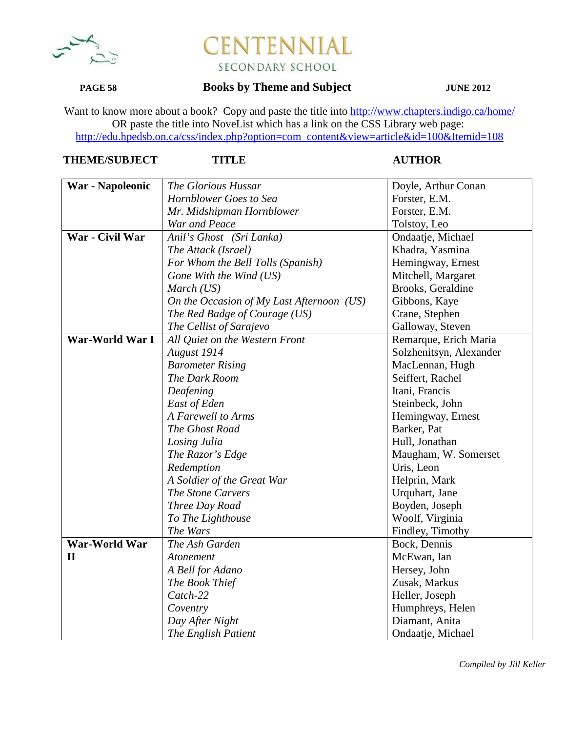

### **PAGE 58 Books by Theme and Subject JUNE 2012**

Want to know more about a book? Copy and paste the title into http://www.chapters.indigo.ca/home/ OR paste the title into NoveList which has a link on the CSS Library web page: http://edu.hpedsb.on.ca/css/index.php?option=com\_content&view=article&id=100&Itemid=108

| <b>THEME/SUBJECT</b> |
|----------------------|
|----------------------|

### **TITLE AUTHOR**

| War - Napoleonic | The Glorious Hussar                       | Doyle, Arthur Conan     |
|------------------|-------------------------------------------|-------------------------|
|                  | Hornblower Goes to Sea                    | Forster, E.M.           |
|                  | Mr. Midshipman Hornblower                 | Forster, E.M.           |
|                  | War and Peace                             | Tolstoy, Leo            |
| War - Civil War  | Anil's Ghost (Sri Lanka)                  | Ondaatje, Michael       |
|                  | The Attack (Israel)                       | Khadra, Yasmina         |
|                  | For Whom the Bell Tolls (Spanish)         | Hemingway, Ernest       |
|                  | Gone With the Wind (US)                   | Mitchell, Margaret      |
|                  |                                           | Brooks, Geraldine       |
|                  | March (US)                                |                         |
|                  | On the Occasion of My Last Afternoon (US) | Gibbons, Kaye           |
|                  | The Red Badge of Courage (US)             | Crane, Stephen          |
|                  | The Cellist of Sarajevo                   | Galloway, Steven        |
| War-World War I  | All Quiet on the Western Front            | Remarque, Erich Maria   |
|                  | August 1914                               | Solzhenitsyn, Alexander |
|                  | <b>Barometer Rising</b>                   | MacLennan, Hugh         |
|                  | The Dark Room                             | Seiffert, Rachel        |
|                  | Deafening                                 | Itani, Francis          |
|                  | East of Eden                              | Steinbeck, John         |
|                  | A Farewell to Arms                        | Hemingway, Ernest       |
|                  | The Ghost Road                            | Barker, Pat             |
|                  | Losing Julia                              | Hull, Jonathan          |
|                  | The Razor's Edge                          | Maugham, W. Somerset    |
|                  | Redemption                                | Uris, Leon              |
|                  | A Soldier of the Great War                | Helprin, Mark           |
|                  | The Stone Carvers                         | Urquhart, Jane          |
|                  | Three Day Road                            | Boyden, Joseph          |
|                  | To The Lighthouse                         | Woolf, Virginia         |
|                  | The Wars                                  | Findley, Timothy        |
| War-World War    | The Ash Garden                            | Bock, Dennis            |
| $\mathbf{I}$     | Atonement                                 | McEwan, Ian             |
|                  | A Bell for Adano                          | Hersey, John            |
|                  | The Book Thief                            | Zusak, Markus           |
|                  | Catch-22                                  | Heller, Joseph          |
|                  | Coventry                                  | Humphreys, Helen        |
|                  | Day After Night                           | Diamant, Anita          |
|                  | The English Patient                       | Ondaatje, Michael       |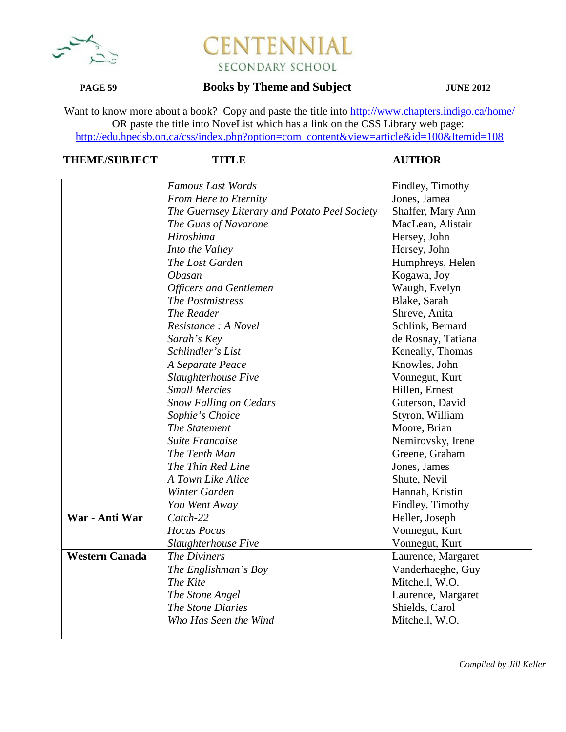

## **PAGE 59 Books by Theme and Subject JUNE 2012**

Want to know more about a book? Copy and paste the title into http://www.chapters.indigo.ca/home/ OR paste the title into NoveList which has a link on the CSS Library web page: http://edu.hpedsb.on.ca/css/index.php?option=com\_content&view=article&id=100&Itemid=108

|                       | <b>Famous Last Words</b>                      | Findley, Timothy   |
|-----------------------|-----------------------------------------------|--------------------|
|                       | From Here to Eternity                         | Jones, Jamea       |
|                       | The Guernsey Literary and Potato Peel Society | Shaffer, Mary Ann  |
|                       | The Guns of Navarone                          | MacLean, Alistair  |
|                       | Hiroshima                                     | Hersey, John       |
|                       | Into the Valley                               | Hersey, John       |
|                       | The Lost Garden                               | Humphreys, Helen   |
|                       | <b>Obasan</b>                                 | Kogawa, Joy        |
|                       | <b>Officers and Gentlemen</b>                 | Waugh, Evelyn      |
|                       | The Postmistress                              | Blake, Sarah       |
|                       | The Reader                                    | Shreve, Anita      |
|                       | Resistance : A Novel                          | Schlink, Bernard   |
|                       | Sarah's Key                                   | de Rosnay, Tatiana |
|                       | Schlindler's List                             | Keneally, Thomas   |
|                       | A Separate Peace                              | Knowles, John      |
|                       | Slaughterhouse Five                           | Vonnegut, Kurt     |
|                       | <b>Small Mercies</b>                          | Hillen, Ernest     |
|                       | <b>Snow Falling on Cedars</b>                 | Guterson, David    |
|                       | Sophie's Choice                               | Styron, William    |
|                       | The Statement                                 | Moore, Brian       |
|                       | <b>Suite Francaise</b>                        | Nemirovsky, Irene  |
|                       | The Tenth Man                                 | Greene, Graham     |
|                       | The Thin Red Line                             | Jones, James       |
|                       | A Town Like Alice                             | Shute, Nevil       |
|                       | Winter Garden                                 | Hannah, Kristin    |
|                       | You Went Away                                 | Findley, Timothy   |
| War - Anti War        | Catch-22                                      | Heller, Joseph     |
|                       | <b>Hocus</b> Pocus                            | Vonnegut, Kurt     |
|                       | Slaughterhouse Five                           | Vonnegut, Kurt     |
| <b>Western Canada</b> | The Diviners                                  | Laurence, Margaret |
|                       | The Englishman's Boy                          | Vanderhaeghe, Guy  |
|                       | The Kite                                      | Mitchell, W.O.     |
|                       | The Stone Angel                               | Laurence, Margaret |
|                       | The Stone Diaries                             | Shields, Carol     |
|                       | Who Has Seen the Wind                         | Mitchell, W.O.     |
|                       |                                               |                    |